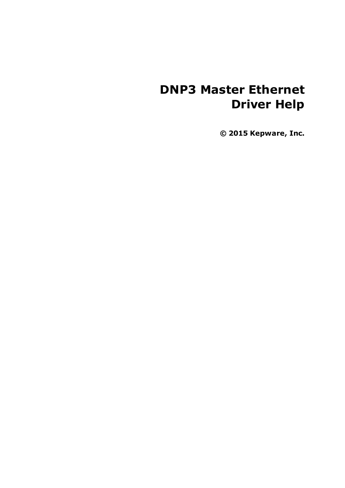# **DNP3 Master Ethernet Driver Help**

**© 2015 Kepware, Inc.**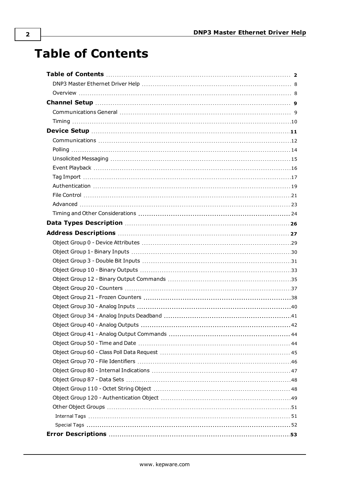# <span id="page-1-0"></span>**Table of Contents**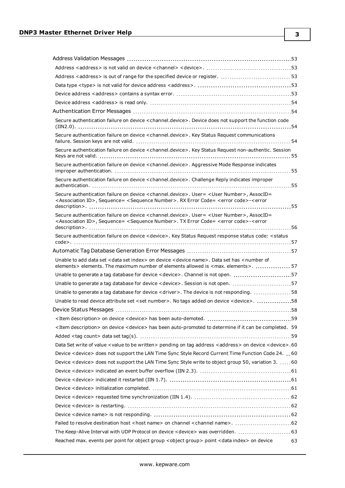| Address <address> is out of range for the specified device or register. 53</address>                                                                                                                                                                                         |  |
|------------------------------------------------------------------------------------------------------------------------------------------------------------------------------------------------------------------------------------------------------------------------------|--|
|                                                                                                                                                                                                                                                                              |  |
|                                                                                                                                                                                                                                                                              |  |
|                                                                                                                                                                                                                                                                              |  |
|                                                                                                                                                                                                                                                                              |  |
| Secure authentication failure on device <channel.device>. Device does not support the function code</channel.device>                                                                                                                                                         |  |
| Secure authentication failure on device <channel.device>. Key Status Request communications</channel.device>                                                                                                                                                                 |  |
| Secure authentication failure on device <channel.device>. Key Status Request non-authentic. Session</channel.device>                                                                                                                                                         |  |
| Secure authentication failure on device <channel.device>. Aggressive Mode Response indicates</channel.device>                                                                                                                                                                |  |
| Secure authentication failure on device < channel.device>. Challenge Reply indicates improper                                                                                                                                                                                |  |
| Secure authentication failure on device <channel.device>. User= <user number="">, AssocID=<br/><association id="">, Sequence= <sequence number="">. RX Error Code= <error code="">-<error< td=""><td></td></error<></error></sequence></association></user></channel.device> |  |
| Secure authentication failure on device < channel.device>. User = < User Number>, AssocID=<br><association id="">, Sequence= <sequence number="">. TX Error Code= <error code="">-<error< td=""><td></td></error<></error></sequence></association>                          |  |
| Secure authentication failure on device < device>. Key Status Request response status code: < status                                                                                                                                                                         |  |
|                                                                                                                                                                                                                                                                              |  |
|                                                                                                                                                                                                                                                                              |  |
|                                                                                                                                                                                                                                                                              |  |
| Unable to add data set < data set index> on device < device name>. Data set has < number of<br>elements > elements. The maximum number of elements allowed is <max. elements="">.  57</max.>                                                                                 |  |
| Unable to generate a tag database for device < device>. Channel is not open. 57                                                                                                                                                                                              |  |
| Unable to generate a tag database for device < device>. Session is not open. 57                                                                                                                                                                                              |  |
| Unable to generate a tag database for device <driver>. The device is not responding. 58</driver>                                                                                                                                                                             |  |
| Unable to read device attribute set <set number="">. No tags added on device <device>. 58</device></set>                                                                                                                                                                     |  |
|                                                                                                                                                                                                                                                                              |  |
|                                                                                                                                                                                                                                                                              |  |
| <item description=""> on device <device> has been auto-promoted to determine if it can be completed. 59</device></item>                                                                                                                                                      |  |
|                                                                                                                                                                                                                                                                              |  |
| Data Set write of value < value to be written > pending on tag address < address > on device < device > . 60                                                                                                                                                                 |  |
| Device < device> does not support the LAN Time Sync Style Record Current Time Function Code 24. 60                                                                                                                                                                           |  |
| Device < device> does not support the LAN Time Sync Style write to object group 50, variation 3.  60                                                                                                                                                                         |  |
|                                                                                                                                                                                                                                                                              |  |
|                                                                                                                                                                                                                                                                              |  |
|                                                                                                                                                                                                                                                                              |  |
|                                                                                                                                                                                                                                                                              |  |
|                                                                                                                                                                                                                                                                              |  |
|                                                                                                                                                                                                                                                                              |  |
|                                                                                                                                                                                                                                                                              |  |
| The Keep-Alive Interval with UDP Protocol on device < device> was overridden.  63                                                                                                                                                                                            |  |

**3**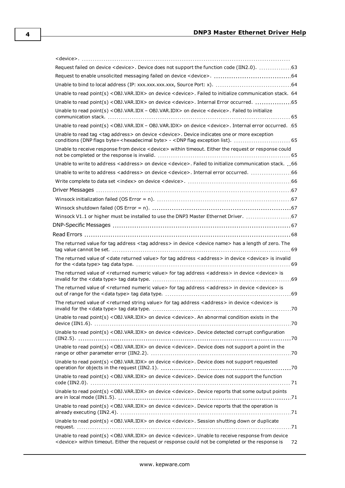| Request failed on device <device>. Device does not support the function code (IIN2.0). 63</device>                                                                                                                                                  |     |
|-----------------------------------------------------------------------------------------------------------------------------------------------------------------------------------------------------------------------------------------------------|-----|
|                                                                                                                                                                                                                                                     |     |
|                                                                                                                                                                                                                                                     |     |
| Unable to read point(s) < OBJ. VAR. IDX> on device < device>. Failed to initialize communication stack. 64                                                                                                                                          |     |
| Unable to read point(s) < OBJ.VAR.IDX> on device < device>. Internal Error occurred. 55                                                                                                                                                             |     |
| Unable to read point(s) < OBJ.VAR.IDX - OBJ.VAR.IDX> on device < device>. Failed to initialize                                                                                                                                                      |     |
| Unable to read point(s) < OBJ.VAR.IDX - OBJ.VAR.IDX> on device < device>. Internal error occurred. .65                                                                                                                                              |     |
| Unable to read tag <tag address=""> on device <device>. Device indicates one or more exception<br/>conditions (DNP flags byte=<hexadecimal byte=""> - <dnp 65<="" exception="" flag="" list).="" td=""><td></td></dnp></hexadecimal></device></tag> |     |
| Unable to receive response from device < device> within timeout. Either the request or response could                                                                                                                                               |     |
| Unable to write to address <address> on device <device>. Failed to initialize communication stack.  66</device></address>                                                                                                                           |     |
| Unable to write to address <address> on device <device>. Internal error occurred. 66</device></address>                                                                                                                                             |     |
|                                                                                                                                                                                                                                                     |     |
|                                                                                                                                                                                                                                                     |     |
|                                                                                                                                                                                                                                                     |     |
|                                                                                                                                                                                                                                                     |     |
| Winsock V1.1 or higher must be installed to use the DNP3 Master Ethernet Driver. 67                                                                                                                                                                 |     |
|                                                                                                                                                                                                                                                     |     |
|                                                                                                                                                                                                                                                     |     |
| The returned value for tag address <tag address=""> in device <device name=""> has a length of zero. The</device></tag>                                                                                                                             |     |
| The returned value of <date returned="" value=""> for tag address <address> in device <device> is invalid</device></address></date>                                                                                                                 |     |
| The returned value of <returned numeric="" value=""> for tag address <address> in device <device> is</device></address></returned>                                                                                                                  |     |
| The returned value of <returned numeric="" value=""> for tag address <address> in device <device> is</device></address></returned>                                                                                                                  |     |
| The returned value of <returned string="" value=""> for tag address <address> in device <device> is</device></address></returned>                                                                                                                   | .70 |
| Unable to read point(s) < OBJ. VAR. IDX> on device < device>. An abnormal condition exists in the                                                                                                                                                   |     |
| Unable to read point(s) < OBJ. VAR. IDX> on device < device>. Device detected corrupt configuration                                                                                                                                                 |     |
| Unable to read point(s) < OBJ. VAR. IDX> on device < device>. Device does not support a point in the                                                                                                                                                |     |
| Unable to read point(s) < OBJ. VAR. IDX> on device < device>. Device does not support requested                                                                                                                                                     |     |
| Unable to read point(s) <obj.var.idx> on device <device>. Device does not support the function</device></obj.var.idx>                                                                                                                               |     |
| Unable to read point(s) < OBJ.VAR.IDX> on device < device>. Device reports that some output points                                                                                                                                                  |     |
| Unable to read point(s) < OBJ.VAR.IDX> on device < device>. Device reports that the operation is                                                                                                                                                    |     |

[request.](#page-70-3) [71](#page-70-3) Unable to read point(s) [<OBJ.VAR.IDX>](#page-71-0) on device <device>. Unable to receive response from device <device> within timeout. Either the request or response could not be [completed](#page-71-0) or the response is [72](#page-71-0)

Unable to read point(s) [<OBJ.VAR.IDX>](#page-70-3) on device <device>. Session shutting down or duplicate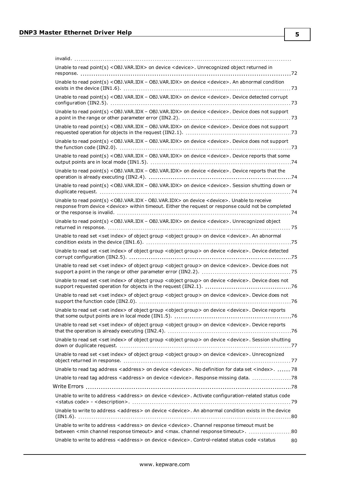| Unable to read point(s) < OBJ. VAR. IDX> on device < device>. Unrecognized object returned in                                                                                                                                   |
|---------------------------------------------------------------------------------------------------------------------------------------------------------------------------------------------------------------------------------|
| Unable to read point(s) < OBJ. VAR. IDX - OBJ. VAR. IDX> on device < device>. An abnormal condition                                                                                                                             |
| Unable to read point(s) < OBJ. VAR.IDX - OBJ. VAR.IDX> on device < device>. Device detected corrupt                                                                                                                             |
| Unable to read point(s) < OBJ. VAR.IDX - OBJ. VAR.IDX> on device < device>. Device does not support                                                                                                                             |
| Unable to read point(s) < OBJ. VAR.IDX - OBJ. VAR.IDX> on device < device>. Device does not support                                                                                                                             |
| Unable to read point(s) < OBJ. VAR.IDX - OBJ. VAR.IDX> on device < device>. Device does not support                                                                                                                             |
| Unable to read point(s) < OBJ. VAR. IDX - OBJ. VAR. IDX> on device < device>. Device reports that some                                                                                                                          |
| Unable to read point(s) < OBJ.VAR.IDX - OBJ.VAR.IDX> on device < device>. Device reports that the                                                                                                                               |
| Unable to read point(s) < OBJ. VAR. IDX - OBJ. VAR. IDX> on device < device>. Session shutting down or                                                                                                                          |
| Unable to read point(s) < OBJ. VAR. IDX - OBJ. VAR. IDX> on device < device>. Unable to receive<br>response from device <device> within timeout. Either the request or response could not be completed</device>                 |
| Unable to read point(s) < OBJ.VAR.IDX - OBJ.VAR.IDX> on device < device>. Unrecognized object                                                                                                                                   |
| Unable to read set <set index=""> of object group <object group=""> on device <device>. An abnormal</device></object></set>                                                                                                     |
| Unable to read set <set index=""> of object group <object group=""> on device <device>. Device detected</device></object></set>                                                                                                 |
| Unable to read set <set index=""> of object group <object group=""> on device <device>. Device does not</device></object></set>                                                                                                 |
| Unable to read set <set index=""> of object group <object group=""> on device <device>. Device does not</device></object></set>                                                                                                 |
| Unable to read set <set index=""> of object group <object group=""> on device <device>. Device does not</device></object></set>                                                                                                 |
| Unable to read set <set index=""> of object group <object group=""> on device <device>. Device reports<br/>.76</device></object></set>                                                                                          |
| Unable to read set <set index=""> of object group <object group=""> on device <device>. Device reports</device></object></set>                                                                                                  |
| Unable to read set <set index=""> of object group <object group=""> on device <device>. Session shutting</device></object></set>                                                                                                |
| Unable to read set <set index=""> of object group <object group=""> on device <device>. Unrecognized</device></object></set>                                                                                                    |
| Unable to read tag address <address> on device <device>. No definition for data set <index>.  78</index></device></address>                                                                                                     |
| Unable to read tag address <address> on device <device>. Response missing data.  78</device></address>                                                                                                                          |
|                                                                                                                                                                                                                                 |
| Unable to write to address <address> on device <device>. Activate configuration-related status code</device></address>                                                                                                          |
| Unable to write to address <address> on device <device>. An abnormal condition exists in the device</device></address>                                                                                                          |
| Unable to write to address <address> on device <device>. Channel response timeout must be<br/>between <min channel="" response="" timeout=""> and <max. channel="" response="" timeout="">.  80</max.></min></device></address> |
| Unable to write to address <address> on device <device>. Control-related status code <status<br>80</status<br></device></address>                                                                                               |

**5**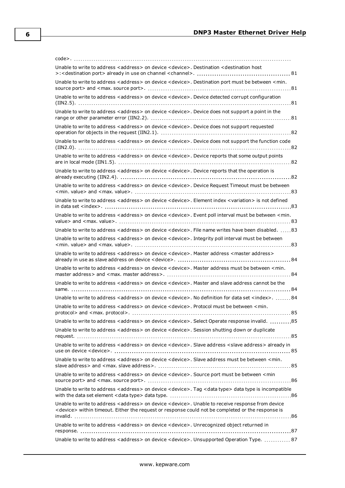| Unable to write to address < address > on device < device >. Destination < destination host                                                                                                                                       |
|-----------------------------------------------------------------------------------------------------------------------------------------------------------------------------------------------------------------------------------|
| Unable to write to address <address> on device <device>. Destination port must be between <min.< td=""></min.<></device></address>                                                                                                |
| Unable to write to address <address> on device <device>. Device detected corrupt configuration</device></address>                                                                                                                 |
| Unable to write to address <address> on device <device>. Device does not support a point in the</device></address>                                                                                                                |
| Unable to write to address <address> on device <device>. Device does not support requested</device></address>                                                                                                                     |
| Unable to write to address <address> on device <device>. Device does not support the function code</device></address>                                                                                                             |
| Unable to write to address < address > on device < device >. Device reports that some output points                                                                                                                               |
| Unable to write to address <address> on device <device>. Device reports that the operation is</device></address>                                                                                                                  |
| Unable to write to address <address> on device <device>. Device Request Timeout must be between</device></address>                                                                                                                |
| Unable to write to address <address> on device <device>. Element index <variation> is not defined</variation></device></address>                                                                                                  |
| Unable to write to address <address> on device <device>. Event poll interval must be between <min.< td=""></min.<></device></address>                                                                                             |
| Unable to write to address <address> on device <device>. File name writes have been disabled.  83</device></address>                                                                                                              |
| Unable to write to address <address> on device <device>. Integrity poll interval must be between</device></address>                                                                                                               |
|                                                                                                                                                                                                                                   |
| Unable to write to address <address> on device <device>. Master address <master address=""></master></device></address>                                                                                                           |
| Unable to write to address <address> on device <device>. Master address must be between <min.< td=""></min.<></device></address>                                                                                                  |
| Unable to write to address <address> on device <device>. Master and slave address cannot be the</device></address>                                                                                                                |
| Unable to write to address <address> on device <device>. No definition for data set <index>84</index></device></address>                                                                                                          |
| Unable to write to address <address> on device <device>. Protocol must be between <min.< td=""></min.<></device></address>                                                                                                        |
| Unable to write to address <address> on device <device>. Select Operate response invalid. 85</device></address>                                                                                                                   |
| Unable to write to address <address> on device <device>. Session shutting down or duplicate</device></address>                                                                                                                    |
| Unable to write to address <address> on device <device>. Slave address <slave address=""> already in</slave></device></address>                                                                                                   |
| Unable to write to address <address> on device <device>. Slave address must be between <min.< td=""></min.<></device></address>                                                                                                   |
| Unable to write to address <address> on device <device>. Source port must be between <min< td=""></min<></device></address>                                                                                                       |
| Unable to write to address <address> on device <device>. Tag <data type=""> data type is incompatible</data></device></address>                                                                                                   |
| Unable to write to address <address> on device <device>. Unable to receive response from device<br/><device> within timeout. Either the request or response could not be completed or the response is</device></device></address> |
| Unable to write to address <address> on device <device>. Unrecognized object returned in</device></address>                                                                                                                       |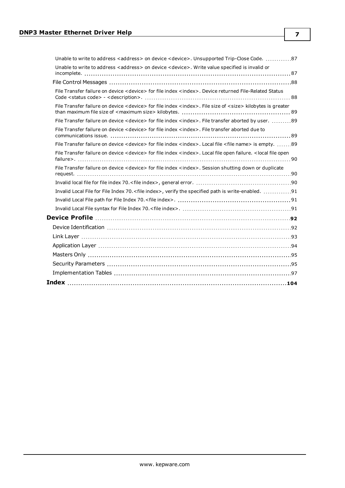| Unable to write to address <address> on device <device>. Unsupported Trip-Close Code. 87</device></address>                                       |
|---------------------------------------------------------------------------------------------------------------------------------------------------|
| Unable to write to address <address> on device <device>. Write value specified is invalid or</device></address>                                   |
|                                                                                                                                                   |
| File Transfer failure on device <device> for file index <index>. Device returned File-Related Status</index></device>                             |
| File Transfer failure on device < device> for file index < index>. File size of < size> kilobytes is greater                                      |
| File Transfer failure on device < device> for file index < index>. File transfer aborted by user. 89                                              |
| File Transfer failure on device < device> for file index < index>. File transfer aborted due to                                                   |
| File Transfer failure on device < device> for file index < index>. Local file < file name> is empty. 89                                           |
| File Transfer failure on device <device> for file index <index>. Local file open failure. <local file="" open<="" td=""></local></index></device> |
| File Transfer failure on device <device> for file index <index>. Session shutting down or duplicate</index></device>                              |
|                                                                                                                                                   |
| Invalid Local File for File Index 70. <file index="">, verify the specified path is write-enabled. 91</file>                                      |
|                                                                                                                                                   |
|                                                                                                                                                   |
|                                                                                                                                                   |
|                                                                                                                                                   |
|                                                                                                                                                   |
|                                                                                                                                                   |
|                                                                                                                                                   |
|                                                                                                                                                   |
|                                                                                                                                                   |
|                                                                                                                                                   |

**7**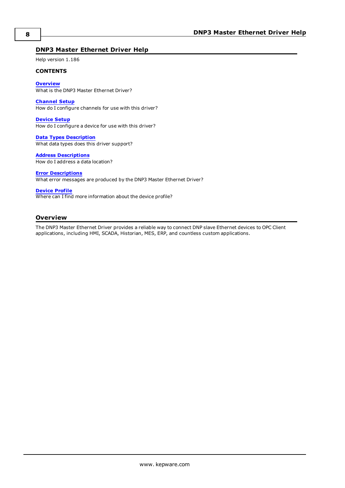## <span id="page-7-0"></span>**DNP3 Master Ethernet Driver Help**

Help version 1.186

#### **CONTENTS**

**[Overview](#page-7-1)** What is the DNP3 Master Ethernet Driver?

**[Channel](#page-8-0) Setup** How do I configure channels for use with this driver?

**[Device](#page-10-0) Setup** How do I configure a device for use with this driver?

**Data Types [Description](#page-25-0)** What data types does this driver support?

#### **Address [Descriptions](#page-26-0)**

How do I address a data location?

#### **Error [Descriptions](#page-52-0)**

What error messages are produced by the DNP3 Master Ethernet Driver?

#### **[Device](#page-91-0) Profile**

Where can I find more information about the device profile?

#### <span id="page-7-1"></span>**Overview**

The DNP3 Master Ethernet Driver provides a reliable way to connect DNP slave Ethernet devices to OPC Client applications, including HMI, SCADA, Historian, MES, ERP, and countless custom applications.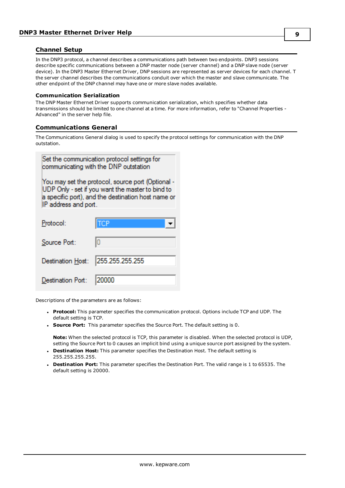## <span id="page-8-0"></span>**Channel Setup**

In the DNP3 protocol, a channel describes a communications path between two endpoints. DNP3 sessions describe specific communications between a DNP master node (server channel) and a DNP slave node (server device). In the DNP3 Master Ethernet Driver, DNP sessions are represented as server devices for each channel. T the server channel describes the communications conduit over which the master and slave communicate. The other endpoint of the DNP channel may have one or more slave nodes available.

#### **Communication Serialization**

The DNP Master Ethernet Driver supports communication serialization, which specifies whether data transmissions should be limited to one channel at a time. For more information, refer to "Channel Properties - Advanced" in the server help file.

## <span id="page-8-1"></span>**Communications General**

The Communications General dialog is used to specify the protocol settings for communication with the DNP outstation.

| Set the communication protocol settings for<br>communicating with the DNP outstation                                                                                                |                 |  |  |  |  |
|-------------------------------------------------------------------------------------------------------------------------------------------------------------------------------------|-----------------|--|--|--|--|
| You may set the protocol, source port (Optional -<br>UDP Only - set if you want the master to bind to<br>a specific port), and the destination host name or<br>IP address and port. |                 |  |  |  |  |
| Protocol:                                                                                                                                                                           | ГСР             |  |  |  |  |
| Source Port:                                                                                                                                                                        | lo              |  |  |  |  |
| Destination Host:                                                                                                                                                                   | 255.255.255.255 |  |  |  |  |
| )estination Port:                                                                                                                                                                   |                 |  |  |  |  |

Descriptions of the parameters are as follows:

- **Protocol:** This parameter specifies the communication protocol. Options include TCP and UDP. The default setting is TCP.
- **Source Port:** This parameter specifies the Source Port. The default setting is 0.

**Note:** When the selected protocol is TCP, this parameter is disabled. When the selected protocol is UDP, setting the Source Port to 0 causes an implicit bind using a unique source port assigned by the system.

- **Destination Host:** This parameter specifies the Destination Host. The default setting is 255.255.255.255.
- **Destination Port:** This parameter specifies the Destination Port. The valid range is 1 to 65535. The default setting is 20000.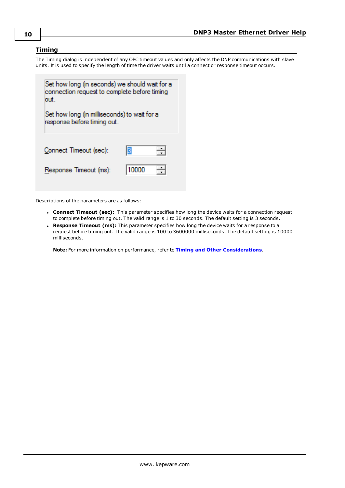## <span id="page-9-0"></span>**Timing**

The Timing dialog is independent of any OPC timeout values and only affects the DNP communications with slave units. It is used to specify the length of time the driver waits until a connect or response timeout occurs.



Descriptions of the parameters are as follows:

- **Connect Timeout (sec):** This parameter specifies how long the device waits for a connection request to complete before timing out. The valid range is 1 to 30 seconds. The default setting is 3 seconds.
- **Response Timeout (ms):** This parameter specifies how long the device waits for a response to a request before timing out. The valid range is 100 to 3600000 milliseconds. The default setting is 10000 milliseconds.

**Note:** For more information on performance, refer to **Timing and Other [Considerations](#page-23-0)**.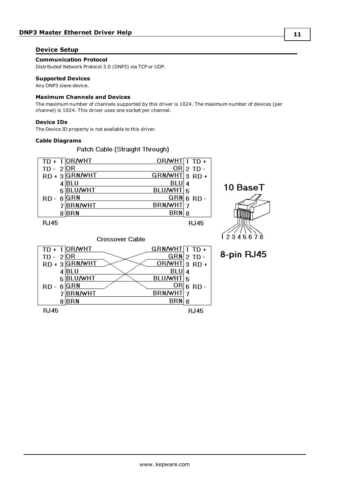## <span id="page-10-0"></span>**Device Setup**

**Communication Protocol**

Distributed Network Protocol 3.0 (DNP3) via TCP or UDP.

#### **Supported Devices**

Any DNP3 slave device.

#### **Maximum Channels and Devices**

The maximum number of channels supported by this driver is 1024. The maximum number of devices (per channel) is 1024. This driver uses one socket per channel.

#### **Device IDs**

The Device ID property is not available to this driver.

#### **Cable Diagrams**

Patch Cable (Straight Through)





10 BaseT

8-pin RJ45

#### **Crossover Cable**

|                | $TD + 1$ OR/WHT | GRN/WHT $\boxed{1}$ TD + |   |          |
|----------------|-----------------|--------------------------|---|----------|
| $TD - 2OR$     |                 | $GRN$ 2 TD -             |   |          |
|                | RD + 3 GRN/WHT  | OR/WHT 3 RD +            |   |          |
|                | BLU             | BLU                      | 4 |          |
|                | <b>BLU/WHT</b>  | BLU/WHT 5                |   |          |
| $RD -$         | <b>GRN</b>      | ORI                      |   | $6$ RD - |
|                | <b>BRN/WHT</b>  | <b>BRN/WHT</b>           |   |          |
|                | <b>BRN</b>      | <b>BRN</b>               | 8 |          |
| . . <i>.</i> . |                 |                          |   | - -      |

**RJ45** 

**RJ45**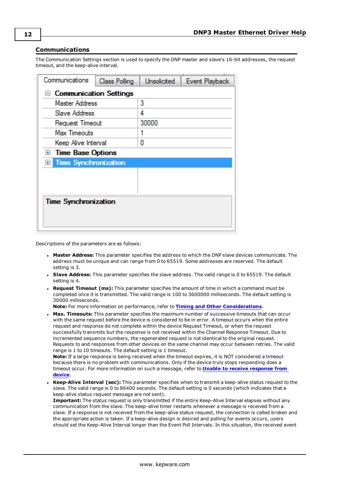## <span id="page-11-0"></span>**Communications**

The Communication Settings section is used to specify the DNP master and slave's 16-bit addresses, the request timeout, and the keep-alive interval.

| Class Polling                 | <b>Unsolicited</b> | Event Playback |  |  |  |
|-------------------------------|--------------------|----------------|--|--|--|
| $\Box$ Communication Settings |                    |                |  |  |  |
| Master Address                | 3                  |                |  |  |  |
| Slave Address                 | 4                  |                |  |  |  |
| Request Timeout               | 30000              |                |  |  |  |
|                               |                    |                |  |  |  |
| Keep Alive Interval           | 0                  |                |  |  |  |
| <b>Time Base Options</b>      |                    |                |  |  |  |
| <b>Time Synchronization</b>   |                    |                |  |  |  |
|                               |                    |                |  |  |  |
|                               |                    |                |  |  |  |
|                               |                    |                |  |  |  |
| <b>Time Synchronization</b>   |                    |                |  |  |  |
|                               |                    |                |  |  |  |
|                               |                    |                |  |  |  |
|                               |                    |                |  |  |  |

Descriptions of the parameters are as follows:

- **Master Address:** This parameter specifies the address to which the DNP slave devices communicate. The address must be unique and can range from 0 to 65519. Some addresses are reserved. The default setting is 3.
- <sup>l</sup> **Slave Address:** This parameter specifies the slave address. The valid range is 0 to 65519. The default setting is 4.
- <sup>l</sup> **Request Timeout (ms):** This parameter specifies the amount of time in which a command must be completed once it is transmitted. The valid range is 100 to 3600000 milliseconds. The default setting is 30000 milliseconds.

**Note:** For more information on performance, refer to **Timing and Other [Considerations](#page-23-0)**.

**Max. Timeouts:** This parameter specifies the maximum number of successive timeouts that can occur with the same request before the device is considered to be in error. A timeout occurs when the entire request and response do not complete within the device Request Timeout, or when the request successfully transmits but the response is not received within the Channel Response Timeout. Due to incremented sequence numbers, the regenerated request is not identical to the original request. Requests to and responses from other devices on the same channel may occur between retries. The valid range is 1 to 10 timeouts. The default setting is 1 timeout.

**Note:** If a large response is being received when the timeout expires, it is NOT considered a timeout because there is no problem with communications. Only if the device truly stops responding does a timeout occur. For more information on such a message, refer to **Unable to receive [response](#page-64-4) from [device](#page-64-4)**.

**· Keep-Alive Interval (sec):** This parameter specifies when to transmit a keep-alive status request to the slave. The valid range is 0 to 86400 seconds. The default setting is 0 seconds (which indicates that a keep-alive status request message are not sent).

**Important:** The status request is only transmitted if the entire Keep-Alive Interval elapses without any communication from the slave. The keep-alive timer restarts whenever a message is received from a slave. If a response is not received from the keep-alive status request, the connection is called broken and the appropriate action is taken. If a keep-alive design is desired and polling for events occurs, users should set the Keep-Alive Interval longer than the Event Poll Intervals. In this situation, the received event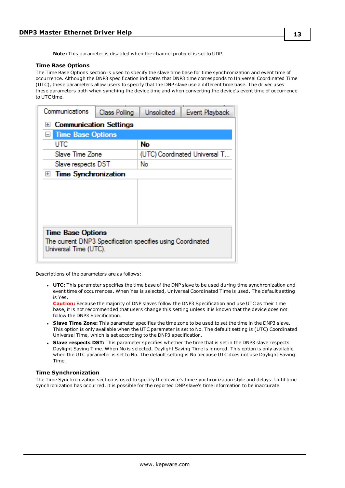**Note:** This parameter is disabled when the channel protocol is set to UDP.

#### **Time Base Options**

The Time Base Options section is used to specify the slave time base for time synchronization and event time of occurrence. Although the DNP3 specification indicates that DNP3 time corresponds to Universal Coordinated Time (UTC), these parameters allow users to specify that the DNP slave use a different time base. The driver uses these parameters both when synching the device time and when converting the device's event time of occurrence to UTC time.

|                                                            | <b>Unsolicited</b>                          | Event Playback                |  |  |
|------------------------------------------------------------|---------------------------------------------|-------------------------------|--|--|
| <b>Communication Settings</b><br>$+$                       |                                             |                               |  |  |
|                                                            |                                             |                               |  |  |
|                                                            | No                                          |                               |  |  |
|                                                            |                                             | (UTC) Coordinated Universal T |  |  |
| No<br>Slave respects DST                                   |                                             |                               |  |  |
| <b>Time Synchronization</b><br>$+$                         |                                             |                               |  |  |
|                                                            |                                             |                               |  |  |
|                                                            |                                             |                               |  |  |
|                                                            |                                             |                               |  |  |
|                                                            |                                             |                               |  |  |
|                                                            |                                             |                               |  |  |
| <b>Time Base Options</b>                                   |                                             |                               |  |  |
| The current DNP3 Specification specifies using Coordinated |                                             |                               |  |  |
| Universal Time (UTC).                                      |                                             |                               |  |  |
|                                                            | <b>Time Base Options</b><br>Slave Time Zone |                               |  |  |

Descriptions of the parameters are as follows:

**UTC:** This parameter specifies the time base of the DNP slave to be used during time synchronization and event time of occurrences. When Yes is selected, Universal Coordinated Time is used. The default setting is Yes.

**Caution:** Because the majority of DNP slaves follow the DNP3 Specification and use UTC as their time base, it is not recommended that users change this setting unless it is known that the device does not follow the DNP3 Specification.

- <sup>l</sup> **Slave Time Zone:** This parameter specifies the time zone to be used to set the time in the DNP3 slave. This option is only available when the UTC parameter is set to No. The default setting is (UTC) Coordinated Universal Time, which is set according to the DNP3 specification.
- <sup>l</sup> **Slave respects DST:** This parameter specifies whether the time that is set in the DNP3 slave respects Daylight Saving Time. When No is selected, Daylight Saving Time is ignored. This option is only available when the UTC parameter is set to No. The default setting is No because UTC does not use Daylight Saving Time.

#### **Time Synchronization**

The Time Synchronization section is used to specify the device's time synchronization style and delays. Until time synchronization has occurred, it is possible for the reported DNP slave's time information to be inaccurate.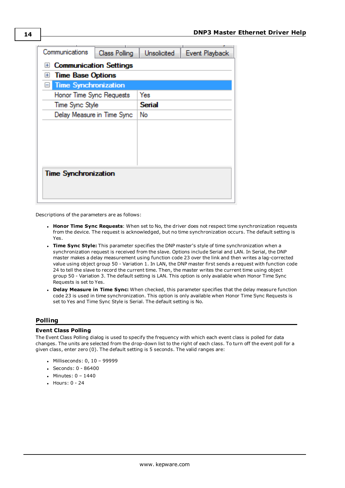| Communications                                      | Class Polling | <b>Unsolicited</b> | Event Playback |  |  |
|-----------------------------------------------------|---------------|--------------------|----------------|--|--|
| <b>Communication Settings</b><br>$\left  + \right $ |               |                    |                |  |  |
| <b>Time Base Options</b><br>田                       |               |                    |                |  |  |
| <b>Time Synchronization</b><br>$\left  - \right $   |               |                    |                |  |  |
| Honor Time Sync Requests                            |               | Yes                |                |  |  |
| Time Sync Style                                     |               | <b>Serial</b>      |                |  |  |
| Delay Measure in Time Sync                          |               | No                 |                |  |  |
|                                                     |               |                    |                |  |  |
|                                                     |               |                    |                |  |  |
|                                                     |               |                    |                |  |  |
|                                                     |               |                    |                |  |  |
|                                                     |               |                    |                |  |  |
| <b>Time Synchronization</b>                         |               |                    |                |  |  |
|                                                     |               |                    |                |  |  |
|                                                     |               |                    |                |  |  |

Descriptions of the parameters are as follows:

- <sup>l</sup> **Honor Time Sync Requests**: When set to No, the driver does not respect time synchronization requests from the device. The request is acknowledged, but no time synchronization occurs. The default setting is Yes.
- <sup>l</sup> **Time Sync Style:** This parameter specifies the DNP master's style of time synchronization when a synchronization request is received from the slave. Options include Serial and LAN. In Serial, the DNP master makes a delay measurement using function code 23 over the link and then writes a lag-corrected value using object group 50 - Variation 1. In LAN, the DNP master first sends a request with function code 24 to tell the slave to record the current time. Then, the master writes the current time using object group 50 - Variation 3. The default setting is LAN. This option is only available when Honor Time Sync Requests is set to Yes.
- <sup>l</sup> **Delay Measure in Time Sync:** When checked, this parameter specifies that the delay measure function code 23 is used in time synchronization. This option is only available when Honor Time Sync Requests is set to Yes and Time Sync Style is Serial. The default setting is No.

#### <span id="page-13-0"></span>**Polling**

#### **Event Class Polling**

The Event Class Polling dialog is used to specify the frequency with which each event class is polled for data changes. The units are selected from the drop-down list to the right of each class. To turn off the event poll for a given class, enter zero (0). The default setting is 5 seconds. The valid ranges are:

- $\bullet$  Milliseconds: 0, 10 99999
- $\cdot$  Seconds: 0 86400
- Minutes:  $0 1440$
- $\bullet$  Hours:  $0 24$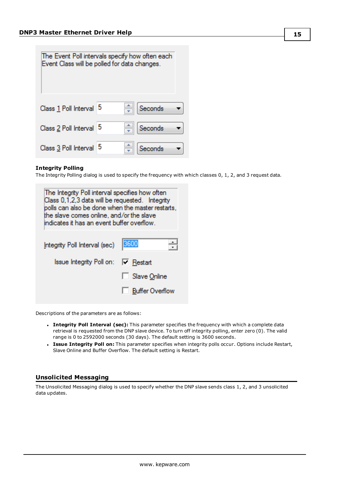| The Event Poll intervals specify how often each<br>Event Class will be polled for data changes. |  |  |         |  |  |
|-------------------------------------------------------------------------------------------------|--|--|---------|--|--|
| Class 1 Poll Interval 5                                                                         |  |  | Seconds |  |  |
| Class 2 Poll Interval 5                                                                         |  |  | Seconds |  |  |
| Class 3 Poll Interval 5                                                                         |  |  | Seconds |  |  |

#### **Integrity Polling**

The Integrity Polling dialog is used to specify the frequency with which classes 0, 1, 2, and 3 request data.

| The Integrity Poll interval specifies how often<br>Class 0,1,2,3 data will be requested. Integrity<br>polls can also be done when the master restarts,<br>the slave comes online, and/or the slave<br>indicates it has an event buffer overflow. |                        |  |
|--------------------------------------------------------------------------------------------------------------------------------------------------------------------------------------------------------------------------------------------------|------------------------|--|
| Integrity Poll Interval (sec)                                                                                                                                                                                                                    | 3600                   |  |
| Issue Integrity Poll on: V Restart                                                                                                                                                                                                               |                        |  |
|                                                                                                                                                                                                                                                  | Slave Online           |  |
|                                                                                                                                                                                                                                                  | <b>Buffer Overflow</b> |  |
|                                                                                                                                                                                                                                                  |                        |  |

Descriptions of the parameters are as follows:

- <sup>l</sup> **Integrity Poll Interval (sec):** This parameter specifies the frequency with which a complete data retrieval is requested from the DNP slave device. To turn off integrity polling, enter zero (0). The valid range is 0 to 2592000 seconds (30 days). The default setting is 3600 seconds.
- <sup>l</sup> **Issue Integrity Poll on:** This parameter specifies when integrity polls occur. Options include Restart, Slave Online and Buffer Overflow. The default setting is Restart.

#### <span id="page-14-0"></span>**Unsolicited Messaging**

The Unsolicited Messaging dialog is used to specify whether the DNP slave sends class 1, 2, and 3 unsolicited data updates.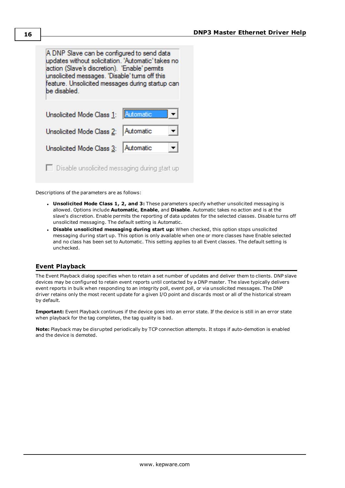A DNP Slave can be configured to send data updates without solicitation. 'Automatic' takes no action (Slave's discretion). 'Enable' permits unsolicited messages. 'Disable' tums off this feature. Unsolicited messages during startup can be disabled. Automatic Unsolicited Mode Class 1:

Unsolicited Mode Class 2: Automatic

 $\Box$  Disable unsolicited messaging during start up

**Automatic** 

Descriptions of the parameters are as follows:

Unsolicited Mode Class 3:

<sup>l</sup> **Unsolicited Mode Class 1, 2, and 3:** These parameters specify whether unsolicited messaging is allowed. Options include **Automatic**, **Enable**, and **Disable**. Automatic takes no action and is at the slave's discretion. Enable permits the reporting of data updates for the selected classes. Disable turns off unsolicited messaging. The default setting is Automatic.

 $\mathbf{r}$ 

 $\overline{\phantom{a}}$ 

<sup>l</sup> **Disable unsolicited messaging during start up:** When checked, this option stops unsolicited messaging during start up. This option is only available when one or more classes have Enable selected and no class has been set to Automatic. This setting applies to all Event classes. The default setting is unchecked.

## <span id="page-15-0"></span>**Event Playback**

The Event Playback dialog specifies when to retain a set number of updates and deliver them to clients. DNP slave devices may be configured to retain event reports until contacted by a DNP master. The slave typically delivers event reports in bulk when responding to an integrity poll, event poll, or via unsolicited messages. The DNP driver retains only the most recent update for a given I/O point and discards most or all of the historical stream by default.

**Important:** Event Playback continues if the device goes into an error state. If the device is still in an error state when playback for the tag completes, the tag quality is bad.

**Note:** Playback may be disrupted periodically by TCP connection attempts. It stops if auto-demotion is enabled and the device is demoted.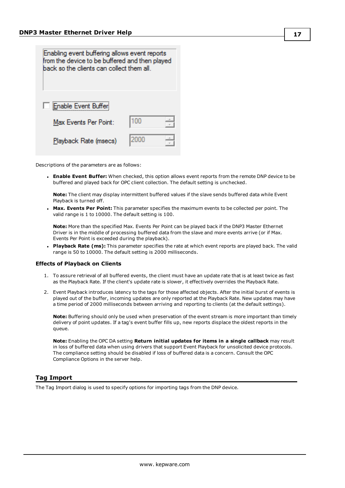| Enabling event buffering allows event reports<br>from the device to be buffered and then played<br>back so the clients can collect them all. |      |  |  |
|----------------------------------------------------------------------------------------------------------------------------------------------|------|--|--|
| Enable Event Buffer                                                                                                                          |      |  |  |
| Max Events Per Point:                                                                                                                        | 100  |  |  |
| Playback Rate (msecs)                                                                                                                        | 2000 |  |  |

Descriptions of the parameters are as follows:

<sup>l</sup> **Enable Event Buffer:** When checked, this option allows event reports from the remote DNP device to be buffered and played back for OPC client collection. The default setting is unchecked.

**Note:** The client may display intermittent buffered values if the slave sends buffered data while Event Playback is turned off.

<sup>l</sup> **Max. Events Per Point:** This parameter specifies the maximum events to be collected per point. The valid range is 1 to 10000. The default setting is 100.

**Note:** More than the specified Max. Events Per Point can be played back if the DNP3 Master Ethernet Driver is in the middle of processing buffered data from the slave and more events arrive (or if Max. Events Per Point is exceeded during the playback).

<sup>l</sup> **Playback Rate (ms):** This parameter specifies the rate at which event reports are played back. The valid range is 50 to 10000. The default setting is 2000 milliseconds.

#### **Effects of Playback on Clients**

- 1. To assure retrieval of all buffered events, the client must have an update rate that is at least twice as fast as the Playback Rate. If the client's update rate is slower, it effectively overrides the Playback Rate.
- 2. Event Playback introduces latency to the tags for those affected objects. After the initial burst of events is played out of the buffer, incoming updates are only reported at the Playback Rate. New updates may have a time period of 2000 milliseconds between arriving and reporting to clients (at the default settings).

**Note:** Buffering should only be used when preservation of the event stream is more important than timely delivery of point updates. If a tag's event buffer fills up, new reports displace the oldest reports in the queue.

**Note:** Enabling the OPC DA setting **Return initial updates for items in a single callback** may result in loss of buffered data when using drivers that support Event Playback for unsolicited device protocols. The compliance setting should be disabled if loss of buffered data is a concern. Consult the OPC Compliance Options in the server help.

## <span id="page-16-0"></span>**Tag Import**

The Tag Import dialog is used to specify options for importing tags from the DNP device.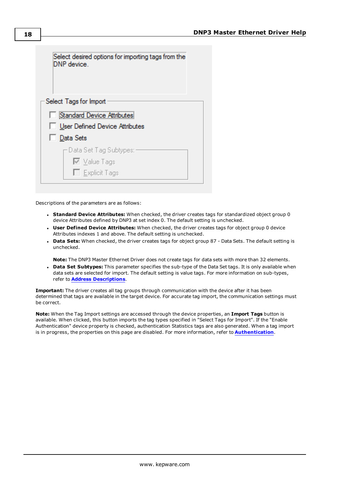

Descriptions of the parameters are as follows:

- <sup>l</sup> **Standard Device Attributes:** When checked, the driver creates tags for standardized object group 0 device Attributes defined by DNP3 at set index 0. The default setting is unchecked.
- <sup>l</sup> **User Defined Device Attributes:** When checked, the driver creates tags for object group 0 device Attributes indexes 1 and above. The default setting is unchecked.
- <sup>l</sup> **Data Sets:** When checked, the driver creates tags for object group 87 Data Sets. The default setting is unchecked.

**Note:** The DNP3 Master Ethernet Driver does not create tags for data sets with more than 32 elements.

**Data Set Subtypes:** This parameter specifies the sub-type of the Data Set tags. It is only available when data sets are selected for import. The default setting is value tags. For more information on sub-types, refer to **Address [Descriptions](#page-26-0)**.

**Important:** The driver creates all tag groups through communication with the device after it has been determined that tags are available in the target device. For accurate tag import, the communication settings must be correct.

**Note:** When the Tag Import settings are accessed through the device properties, an **Import Tags** button is available. When clicked, this button imports the tag types specified in "Select Tags for Import". If the "Enable Authentication" device property is checked, authentication Statistics tags are also generated. When a tag import is in progress, the properties on this page are disabled. For more information, refer to **[Authentication](#page-18-0)**.

**18**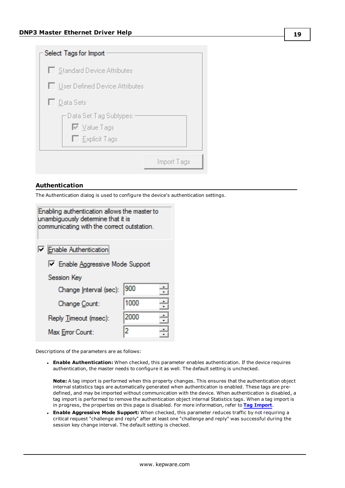| Select Tags for Import                                  |             |
|---------------------------------------------------------|-------------|
| □ Standard Device Attributes                            |             |
| □ User Defined Device Attributes                        |             |
| □ Data Sets                                             |             |
| Data Set Tag Subtypes:<br>M Value Tags<br>Explicit Tags |             |
|                                                         | Import Tags |

## <span id="page-18-0"></span>**Authentication**

The Authentication dialog is used to configure the device's authentication settings.

| Enabling authentication allows the master to<br>unambiguously determine that it is<br>communicating with the correct outstation. |                   |  |  |
|----------------------------------------------------------------------------------------------------------------------------------|-------------------|--|--|
| <b>Enable Authentication</b><br>F Enable Aggressive Mode Support                                                                 |                   |  |  |
| Session Key<br>900<br>Change Interval (sec):                                                                                     |                   |  |  |
| Change Count:<br>Reply Timeout (msec):<br>Max Error Count:                                                                       | 1000<br>2000<br>2 |  |  |
|                                                                                                                                  |                   |  |  |

Descriptions of the parameters are as follows:

<sup>l</sup> **Enable Authentication:** When checked, this parameter enables authentication. If the device requires authentication, the master needs to configure it as well. The default setting is unchecked.

**Note:** A tag import is performed when this property changes. This ensures that the authentication object internal statistics tags are automatically generated when authentication is enabled. These tags are predefined, and may be imported without communication with the device. When authentication is disabled, a tag import is performed to remove the authentication object internal Statistics tags. When a tag import is in progress, the properties on this page is disabled. For more information, refer to **Tag [Import](#page-16-0)**.

<sup>l</sup> **Enable Aggressive Mode Support:** When checked, this parameter reduces traffic by not requiring a critical request "challenge and reply" after at least one "challenge and reply" was successful during the session key change interval. The default setting is checked.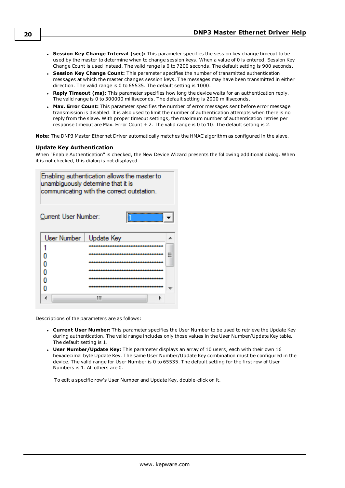- <sup>l</sup> **Session Key Change Interval (sec):** This parameter specifies the session key change timeout to be used by the master to determine when to change session keys. When a value of 0 is entered, Session Key Change Count is used instead. The valid range is 0 to 7200 seconds. The default setting is 900 seconds.
- <sup>l</sup> **Session Key Change Count:** This parameter specifies the number of transmitted authentication messages at which the master changes session keys. The messages may have been transmitted in either direction. The valid range is 0 to 65535. The default setting is 1000.
- **Reply Timeout (ms):** This parameter specifies how long the device waits for an authentication reply. The valid range is 0 to 300000 milliseconds. The default setting is 2000 milliseconds.
- **Max. Error Count:** This parameter specifies the number of error messages sent before error message transmission is disabled. It is also used to limit the number of authentication attempts when there is no reply from the slave. With proper timeout settings, the maximum number of authentication retries per response timeout are Max. Error Count + 2. The valid range is 0 to 10. The default setting is 2.

**Note:** The DNP3 Master Ethernet Driver automatically matches the HMAC algorithm as configured in the slave.

#### **Update Key Authentication**

When "Enable Authentication" is checked, the New Device Wizard presents the following additional dialog. When it is not checked, this dialog is not displayed.



Descriptions of the parameters are as follows:

- <sup>l</sup> **Current User Number:** This parameter specifies the User Number to be used to retrieve the Update Key during authentication. The valid range includes only those values in the User Number/Update Key table. The default setting is 1.
- **User Number/Update Key:** This parameter displays an array of 10 users, each with their own 16 hexadecimal byte Update Key. The same User Number/Update Key combination must be configured in the device. The valid range for User Number is 0 to 65535. The default setting for the first row of User Numbers is 1. All others are 0.

To edit a specific row's User Number and Update Key, double-click on it.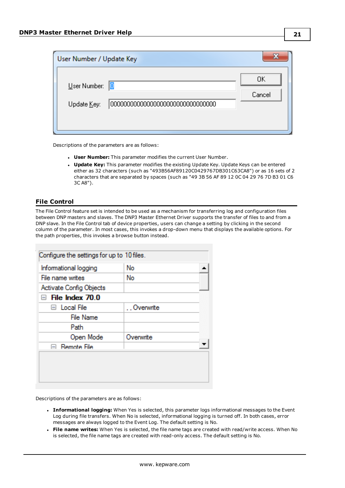| User Number / Update Key          |              |
|-----------------------------------|--------------|
| User Number:<br>10<br>Update Key: | OΚ<br>Cancel |

Descriptions of the parameters are as follows:

- **User Number:** This parameter modifies the current User Number.
- **· Update Key:** This parameter modifies the existing Update Key. Update Keys can be entered either as 32 characters (such as "493B56AF89120C0429767DB301C63CA8") or as 16 sets of 2 characters that are separated by spaces (such as "49 3B 56 AF 89 12 0C 04 29 76 7D B3 01 C6 3C A8").

## <span id="page-20-0"></span>**File Control**

The File Control feature set is intended to be used as a mechanism for transferring log and configuration files between DNP masters and slaves. The DNP3 Master Ethernet Driver supports the transfer of files to and from a DNP slave. In the File Control tab of device properties, users can change a setting by clicking in the second column of the parameter. In most cases, this invokes a drop-down menu that displays the available options. For the path properties, this invokes a browse button instead.

| Informational logging            | No        |  |
|----------------------------------|-----------|--|
| File name writes                 | No        |  |
| Activate Config Objects          |           |  |
| File Index 70.0<br>$-\mathbf{I}$ |           |  |
| $\boxminus$ Local File           | Overwrite |  |
| <b>File Name</b>                 |           |  |
| Path                             |           |  |
| Open Mode                        | Overwrite |  |
| $\boxminus$ Remote File          |           |  |

Descriptions of the parameters are as follows:

- **Informational logging:** When Yes is selected, this parameter logs informational messages to the Event Log during file transfers. When No is selected, informational logging is turned off. In both cases, error messages are always logged to the Event Log. The default setting is No.
- <sup>l</sup> **File name writes:** When Yes is selected, the file name tags are created with read/write access. When No is selected, the file name tags are created with read-only access. The default setting is No.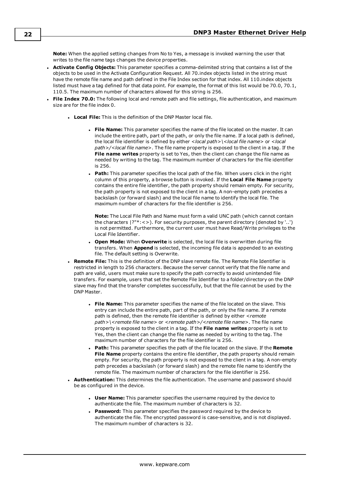**Note:** When the applied setting changes from No to Yes, a message is invoked warning the user that writes to the file name tags changes the device properties.

- <sup>l</sup> **Activate Config Objects:** This parameter specifies a comma-delimited string that contains a list of the objects to be used in the Activate Configuration Request. All 70.index objects listed in the string must have the remote file name and path defined in the File Index section for that index. All 110.index objects listed must have a tag defined for that data point. For example, the format of this list would be 70.0, 70.1, 110.5. The maximum number of characters allowed for this string is 256.
- <sup>l</sup> **File Index 70.0:** The following local and remote path and file settings, file authentication, and maximum size are for the file index 0.
	- **Local File:** This is the definition of the DNP Master local file.
		- **File Name:** This parameter specifies the name of the file located on the master. It can include the entire path, part of the path, or only the file name. If a local path is defined, the local file identifier is defined by either *<local path>\<local file name>* or *<local path>/<local file name>*. The file name property is exposed to the client in a tag. If the **File name writes** property is set to Yes, then the client can change the file name as needed by writing to the tag. The maximum number of characters for the file identifier is 256.
		- **Path:** This parameter specifies the local path of the file. When users click in the right column of this property, a browse button is invoked. If the **Local File Name** property contains the entire file identifier, the path property should remain empty. For security, the path property is not exposed to the client in a tag. A non-empty path precedes a backslash (or forward slash) and the local file name to identify the local file. The maximum number of characters for the file identifier is 256.

**Note:** The Local File Path and Name must form a valid UNC path (which cannot contain the characters |?"\*:<>). For security purposes, the parent directory (denoted by '..') is not permitted. Furthermore, the current user must have Read/Write privileges to the Local File Identifier.

- <sup>l</sup> **Open Mode:** When **Overwrite** is selected, the local file is overwritten during file transfers. When **Append** is selected, the incoming file data is appended to an existing file. The default setting is Overwrite.
- <sup>l</sup> **Remote File:** This is the definition of the DNP slave remote file. The Remote File Identifier is restricted in length to 256 characters. Because the server cannot verify that the file name and path are valid, users must make sure to specify the path correctly to avoid unintended file transfers. For example, users that set the Remote File Identifier to a folder/directory on the DNP slave may find that the transfer completes successfully, but that the file cannot be used by the DNP Master.
	- <sup>l</sup> **File Name:** This parameter specifies the name of the file located on the slave. This entry can include the entire path, part of the path, or only the file name. If a remote path is defined, then the remote file identifier is defined by either *<remote path>\<remote file name>* or *<remote path>/<remote file name>*. The file name property is exposed to the client in a tag. If the **File name writes** property is set to Yes, then the client can change the file name as needed by writing to the tag. The maximum number of characters for the file identifier is 256.
	- <sup>l</sup> **Path:** This parameter specifies the path of the file located on the slave. If the **Remote File Name** property contains the entire file identifier, the path property should remain empty. For security, the path property is not exposed to the client in a tag. A non-empty path precedes a backslash (or forward slash) and the remote file name to identify the remote file. The maximum number of characters for the file identifier is 256.
- **Authentication:** This determines the file authentication. The username and password should be as configured in the device.
	- **User Name:** This parameter specifies the username required by the device to authenticate the file. The maximum number of characters is 32.
	- **Password:** This parameter specifies the password required by the device to authenticate the file. The encrypted password is case-sensitive, and is not displayed. The maximum number of characters is 32.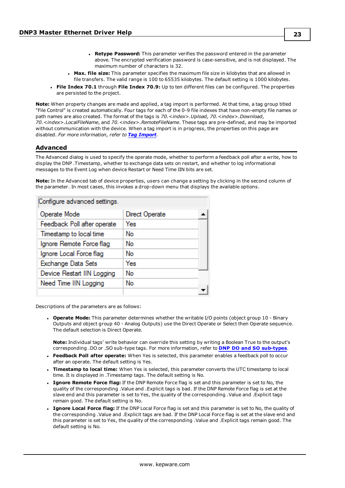- <sup>l</sup> **Retype Password:** This parameter verifies the password entered in the parameter above. The encrypted verification password is case-sensitive, and is not displayed. The maximum number of characters is 32.
- **Max. file size:** This parameter specifies the maximum file size in kilobytes that are allowed in file transfers. The valid range is 100 to 65535 kilobytes. The default setting is 1000 kilobytes.
- <sup>l</sup> **File Index 70.1** through **File Index 70.9:** Up to ten different files can be configured. The properties are persisted to the project.

**Note:** When property changes are made and applied, a tag import is performed. At that time, a tag group titled "File Control" is created automatically. Four tags for each of the 0-9 file indexes that have non-empty file names or path names are also created. The format of the tags is *70.<index>.Upload, 70.<index>.Download, 70.<index>.LocalFileName*, and *70.<index>.RemoteFileName*. These tags are pre-defined, and may be imported without communication with the device. When a tag import is in progress, the properties on this page are disabled. *For more information, refer to Tag [Import](#page-16-0).*

#### <span id="page-22-0"></span>**Advanced**

The Advanced dialog is used to specify the operate mode, whether to perform a feedback poll after a write, how to display the DNP .Timestamp, whether to exchange data sets on restart, and whether to log informational messages to the Event Log when device Restart or Need Time IIN bits are set.

**Note:** In the Advanced tab of device properties, users can change a setting by clicking in the second column of the parameter. In most cases, this invokes a drop-down menu that displays the available options.

| Configure advanced settings. |                |
|------------------------------|----------------|
| Operate Mode                 | Direct Operate |
| Feedback Poll after operate  | Yes            |
| Timestamp to local time      | No             |
| Ignore Remote Force flag     | No             |
| Ignore Local Force flag      | No             |
| Exchange Data Sets           | Yes            |
| Device Restart IIN Logging   | No             |
| Need Time IIN Logging        | No             |
|                              |                |

<span id="page-22-1"></span>Descriptions of the parameters are as follows:

<sup>l</sup> **Operate Mode:** This parameter determines whether the writable I/O points (object group 10 - Binary Outputs and object group 40 - Analog Outputs) use the Direct Operate or Select then Operate sequence. The default selection is Direct Operate.

**Note:** Individual tags' write behavior can override this setting by writing a Boolean True to the output's corresponding .DO or .SO sub-type tags. For more information, refer to **DNP DO and SO [sub-types](#page-27-0)**.

- <sup>l</sup> **Feedback Poll after operate:** When Yes is selected, this parameter enables a feedback poll to occur after an operate. The default setting is Yes.
- <sup>l</sup> **Timestamp to local time:** When Yes is selected, this parameter converts the UTC timestamp to local time. It is displayed in .Timestamp tags. The default setting is No.
- <sup>l</sup> **Ignore Remote Force flag:** If the DNP Remote Force flag is set and this parameter is set to No, the quality of the corresponding .Value and .Explicit tags is bad. If the DNP Remote Force flag is set at the slave end and this parameter is set to Yes, the quality of the corresponding .Value and .Explicit tags remain good. The default setting is No.
- <sup>l</sup> **Ignore Local Force flag:** If the DNP Local Force flag is set and this parameter is set to No, the quality of the corresponding .Value and .Explicit tags are bad. If the DNP Local Force flag is set at the slave end and this parameter is set to Yes, the quality of the corresponding .Value and .Explicit tags remain good. The default setting is No.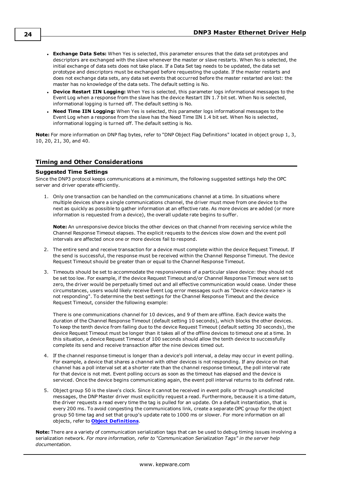- **Exchange Data Sets:** When Yes is selected, this parameter ensures that the data set prototypes and descriptors are exchanged with the slave whenever the master or slave restarts. When No is selected, the initial exchange of data sets does not take place. If a Data Set tag needs to be updated, the data set prototype and descriptors must be exchanged before requesting the update. If the master restarts and does not exchange data sets, any data set events that occurred before the master restarted are lost: the master has no knowledge of the data sets. The default setting is No.
- <sup>l</sup> **Device Restart IIN Logging:** When Yes is selected, this parameter logs informational messages to the Event Log when a response from the slave has the device Restart IIN 1.7 bit set. When No is selected, informational logging is turned off. The default setting is No.
- <sup>l</sup> **Need Time IIN Logging:** When Yes is selected, this parameter logs informational messages to the Event Log when a response from the slave has the Need Time IIN 1.4 bit set. When No is selected, informational logging is turned off. The default setting is No.

**Note:** For more information on DNP flag bytes, refer to "DNP Object Flag Definitions" located in object group 1, 3, 10, 20, 21, 30, and 40.

## <span id="page-23-0"></span>**Timing and Other Considerations**

#### **Suggested Time Settings**

Since the DNP3 protocol keeps communications at a minimum, the following suggested settings help the OPC server and driver operate efficiently.

1. Only one transaction can be handled on the communications channel at a time. In situations where multiple devices share a single communications channel, the driver must move from one device to the next as quickly as possible to gather information at an effective rate. As more devices are added (or more information is requested from a device), the overall update rate begins to suffer.

**Note:** An unresponsive device blocks the other devices on that channel from receiving service while the Channel Response Timeout elapses. The explicit requests to the devices slow down and the event poll intervals are affected once one or more devices fail to respond.

- 2. The entire send and receive transaction for a device must complete within the device Request Timeout. If the send is successful, the response must be received within the Channel Response Timeout. The device Request Timeout should be greater than or equal to the Channel Response Timeout.
- 3. Timeouts should be set to accommodate the responsiveness of a particular slave device: they should not be set too low. For example, if the device Request Timeout and/or Channel Response Timeout were set to zero, the driver would be perpetually timed out and all effective communication would cease. Under these circumstances, users would likely receive Event Log error messages such as "Device <device name> is not responding". To determine the best settings for the Channel Response Timeout and the device Request Timeout, consider the following example:

There is one communications channel for 10 devices, and 9 of them are offline. Each device waits the duration of the Channel Response Timeout (default setting 10 seconds), which blocks the other devices. To keep the tenth device from failing due to the device Request Timeout (default setting 30 seconds), the device Request Timeout must be longer than it takes all of the offline devices to timeout one at a time. In this situation, a device Request Timeout of 100 seconds should allow the tenth device to successfully complete its send and receive transaction after the nine devices timed out.

- 4. If the channel response timeout is longer than a device's poll interval, a delay may occur in event polling. For example, a device that shares a channel with other devices is not responding. If any device on that channel has a poll interval set at a shorter rate than the channel response timeout, the poll interval rate for that device is not met. Event polling occurs as soon as the timeout has elapsed and the device is serviced. Once the device begins communicating again, the event poll interval returns to its defined rate.
- 5. Object group 50 is the slave's clock. Since it cannot be received in event polls or through unsolicited messages, the DNP Master driver must explicitly request a read. Furthermore, because it is a time datum, the driver requests a read every time the tag is pulled for an update. On a default instantiation, that is every 200 ms. To avoid congesting the communications link, create a separate OPC group for the object group 50 time tag and set that group's update rate to 1000 ms or slower. For more information on all objects, refer to **Object [Definitions](#page-50-0)**.

**Note:** There are a variety of communication serialization tags that can be used to debug timing issues involving a serialization network. *For more information, refer to "Communication Serialization Tags" in the server help documentation.*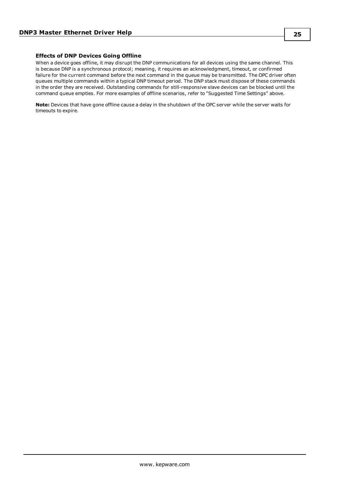#### **Effects of DNP Devices Going Offline**

When a device goes offline, it may disrupt the DNP communications for all devices using the same channel. This is because DNP is a synchronous protocol; meaning, it requires an acknowledgment, timeout, or confirmed failure for the current command before the next command in the queue may be transmitted. The OPC driver often queues multiple commands within a typical DNP timeout period. The DNP stack must dispose of these commands in the order they are received. Outstanding commands for still-responsive slave devices can be blocked until the command queue empties. For more examples of offline scenarios, refer to "Suggested Time Settings" above.

**Note:** Devices that have gone offline cause a delay in the shutdown of the OPC server while the server waits for timeouts to expire.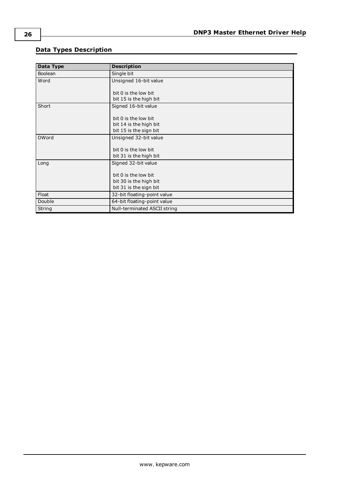# <span id="page-25-0"></span>**Data Types Description**

| Data Type      | <b>Description</b>           |
|----------------|------------------------------|
| <b>Boolean</b> | Single bit                   |
| Word           | Unsigned 16-bit value        |
|                |                              |
|                | bit 0 is the low bit         |
|                | bit 15 is the high bit       |
| Short          | Signed 16-bit value          |
|                |                              |
|                | $bit$ 0 is the low bit       |
|                | bit 14 is the high bit       |
|                | bit 15 is the sign bit       |
| <b>DWord</b>   | Unsigned 32-bit value        |
|                |                              |
|                | bit 0 is the low bit         |
|                | bit 31 is the high bit       |
| Long           | Signed 32-bit value          |
|                |                              |
|                | bit 0 is the low bit         |
|                | bit 30 is the high bit       |
|                | bit 31 is the sign bit       |
| Float          | 32-bit floating-point value  |
| Double         | 64-bit floating-point value  |
| String         | Null-terminated ASCII string |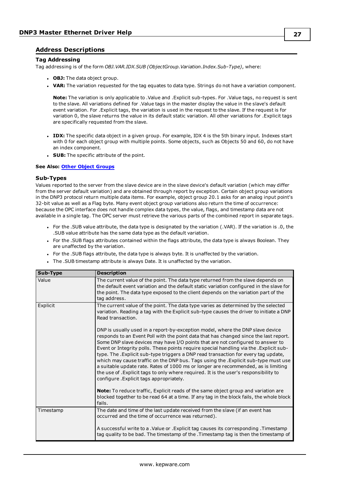## <span id="page-26-0"></span>**Address Descriptions**

#### **Tag Addressing**

Tag addressing is of the form *OBJ.VAR.IDX.SUB (ObjectGroup.Variation.Index.Sub-Type)*, where:

- **.** OBJ: The data object group.
- **· VAR:** The variation requested for the tag equates to data type. Strings do not have a variation component.

**Note:** The variation is only applicable to .Value and .Explicit sub-types. For .Value tags, no request is sent to the slave. All variations defined for .Value tags in the master display the value in the slave's default event variation. For .Explicit tags, the variation is used in the request to the slave. If the request is for variation 0, the slave returns the value in its default static variation. All other variations for .Explicit tags are specifically requested from the slave.

- <sup>l</sup> **IDX:** The specific data object in a given group. For example, IDX 4 is the 5th binary input. Indexes start with 0 for each object group with multiple points. Some objects, such as Objects 50 and 60, do not have an index component.
- **.** SUB: The specific attribute of the point.

#### **See Also: Other Object [Groups](#page-50-0)**

#### **Sub-Types**

Values reported to the server from the slave device are in the slave device's default variation (which may differ from the server default variation) and are obtained through report by exception. Certain object group variations in the DNP3 protocol return multiple data items. For example, object group 20.1 asks for an analog input point's 32-bit value as well as a Flag byte. Many event object group variations also return the time of occurrence: because the OPC interface does not handle complex data types, the value, flags, and timestamp data are not available in a single tag. The OPC server must retrieve the various parts of the combined report in separate tags.

- <sup>l</sup> For the .SUB value attribute, the data type is designated by the variation (.VAR). If the variation is .0, the .SUB value attribute has the same data type as the default variation.
- <sup>l</sup> For the .SUB flags attributes contained within the flags attribute, the data type is always Boolean. They are unaffected by the variation.
- For the .SUB flags attribute, the data type is always byte. It is unaffected by the variation.
- . The .SUB timestamp attribute is always Date. It is unaffected by the variation.

| Sub-Type  | <b>Description</b>                                                                                                                                                                                                                                                                                                                                                                                                                                                                                                                                                                                                                                                                                                                                           |
|-----------|--------------------------------------------------------------------------------------------------------------------------------------------------------------------------------------------------------------------------------------------------------------------------------------------------------------------------------------------------------------------------------------------------------------------------------------------------------------------------------------------------------------------------------------------------------------------------------------------------------------------------------------------------------------------------------------------------------------------------------------------------------------|
| Value     | The current value of the point. The data type returned from the slave depends on<br>the default event variation and the default static variation configured in the slave for<br>the point. The data type exposed to the client depends on the variation part of the<br>tag address.                                                                                                                                                                                                                                                                                                                                                                                                                                                                          |
| Explicit  | The current value of the point. The data type varies as determined by the selected<br>variation. Reading a tag with the Explicit sub-type causes the driver to initiate a DNP<br>Read transaction.                                                                                                                                                                                                                                                                                                                                                                                                                                                                                                                                                           |
|           | DNP is usually used in a report-by-exception model, where the DNP slave device<br>responds to an Event Poll with the point data that has changed since the last report.<br>Some DNP slave devices may have I/O points that are not configured to answer to<br>Event or Integrity polls. These points require special handling via the . Explicit sub-<br>type. The . Explicit sub-type triggers a DNP read transaction for every tag update,<br>which may cause traffic on the DNP bus. Tags using the .Explicit sub-type must use<br>a suitable update rate. Rates of 1000 ms or longer are recommended, as is limiting<br>the use of . Explicit tags to only where required. It is the user's responsibility to<br>configure. Explicit tags appropriately. |
|           | <b>Note:</b> To reduce traffic, Explicit reads of the same object group and variation are<br>blocked together to be read 64 at a time. If any tag in the block fails, the whole block<br>fails.                                                                                                                                                                                                                                                                                                                                                                                                                                                                                                                                                              |
| Timestamp | The date and time of the last update received from the slave (if an event has<br>occurred and the time of occurrence was returned).                                                                                                                                                                                                                                                                                                                                                                                                                                                                                                                                                                                                                          |
|           | A successful write to a .Value or .Explicit tag causes its corresponding .Timestamp<br>tag quality to be bad. The timestamp of the .Timestamp tag is then the timestamp of                                                                                                                                                                                                                                                                                                                                                                                                                                                                                                                                                                                   |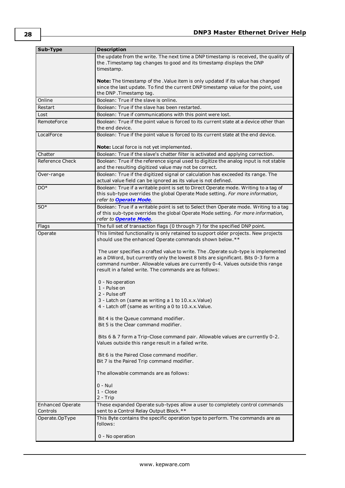<span id="page-27-0"></span>

| Sub-Type         | <b>Description</b>                                                                                                                                                                                                                                                                                                                                                                                                                                                                                                                                                                                                                                                                                                                                                                                                                                                                                                                                                                                     |  |  |
|------------------|--------------------------------------------------------------------------------------------------------------------------------------------------------------------------------------------------------------------------------------------------------------------------------------------------------------------------------------------------------------------------------------------------------------------------------------------------------------------------------------------------------------------------------------------------------------------------------------------------------------------------------------------------------------------------------------------------------------------------------------------------------------------------------------------------------------------------------------------------------------------------------------------------------------------------------------------------------------------------------------------------------|--|--|
|                  | the update from the write. The next time a DNP timestamp is received, the quality of<br>the .Timestamp tag changes to good and its timestamp displays the DNP<br>timestamp.                                                                                                                                                                                                                                                                                                                                                                                                                                                                                                                                                                                                                                                                                                                                                                                                                            |  |  |
|                  | Note: The timestamp of the . Value item is only updated if its value has changed<br>since the last update. To find the current DNP timestamp value for the point, use<br>the DNP. Timestamp tag.                                                                                                                                                                                                                                                                                                                                                                                                                                                                                                                                                                                                                                                                                                                                                                                                       |  |  |
| Online           | Boolean: True if the slave is online.                                                                                                                                                                                                                                                                                                                                                                                                                                                                                                                                                                                                                                                                                                                                                                                                                                                                                                                                                                  |  |  |
| Restart          | Boolean: True if the slave has been restarted.                                                                                                                                                                                                                                                                                                                                                                                                                                                                                                                                                                                                                                                                                                                                                                                                                                                                                                                                                         |  |  |
| Lost             | Boolean: True if communications with this point were lost.                                                                                                                                                                                                                                                                                                                                                                                                                                                                                                                                                                                                                                                                                                                                                                                                                                                                                                                                             |  |  |
| RemoteForce      | Boolean: True if the point value is forced to its current state at a device other than<br>the end device.                                                                                                                                                                                                                                                                                                                                                                                                                                                                                                                                                                                                                                                                                                                                                                                                                                                                                              |  |  |
| LocalForce       | Boolean: True if the point value is forced to its current state at the end device.                                                                                                                                                                                                                                                                                                                                                                                                                                                                                                                                                                                                                                                                                                                                                                                                                                                                                                                     |  |  |
| Chatter          | Note: Local force is not yet implemented.<br>Boolean: True if the slave's chatter filter is activated and applying correction.                                                                                                                                                                                                                                                                                                                                                                                                                                                                                                                                                                                                                                                                                                                                                                                                                                                                         |  |  |
| Reference Check  | Boolean: True if the reference signal used to digitize the analog input is not stable                                                                                                                                                                                                                                                                                                                                                                                                                                                                                                                                                                                                                                                                                                                                                                                                                                                                                                                  |  |  |
|                  | and the resulting digitized value may not be correct.                                                                                                                                                                                                                                                                                                                                                                                                                                                                                                                                                                                                                                                                                                                                                                                                                                                                                                                                                  |  |  |
| Over-range       | Boolean: True if the digitized signal or calculation has exceeded its range. The                                                                                                                                                                                                                                                                                                                                                                                                                                                                                                                                                                                                                                                                                                                                                                                                                                                                                                                       |  |  |
|                  | actual value field can be ignored as its value is not defined.                                                                                                                                                                                                                                                                                                                                                                                                                                                                                                                                                                                                                                                                                                                                                                                                                                                                                                                                         |  |  |
| $DO*$            | Boolean: True if a writable point is set to Direct Operate mode. Writing to a tag of<br>this sub-type overrides the global Operate Mode setting. For more information,<br>refer to Operate Mode.                                                                                                                                                                                                                                                                                                                                                                                                                                                                                                                                                                                                                                                                                                                                                                                                       |  |  |
| $SO^*$           | Boolean: True if a writable point is set to Select then Operate mode. Writing to a tag<br>of this sub-type overrides the global Operate Mode setting. For more information,<br>refer to Operate Mode.                                                                                                                                                                                                                                                                                                                                                                                                                                                                                                                                                                                                                                                                                                                                                                                                  |  |  |
| Flags            | The full set of transaction flags (0 through 7) for the specified DNP point.                                                                                                                                                                                                                                                                                                                                                                                                                                                                                                                                                                                                                                                                                                                                                                                                                                                                                                                           |  |  |
| Operate          | This limited functionality is only retained to support older projects. New projects<br>should use the enhanced Operate commands shown below.**<br>The user specifies a crafted value to write. The . Operate sub-type is implemented<br>as a DWord, but currently only the lowest 8 bits are significant. Bits 0-3 form a<br>command number. Allowable values are currently 0-4. Values outside this range<br>result in a failed write. The commands are as follows:<br>0 - No operation<br>1 - Pulse on<br>2 - Pulse off<br>3 - Latch on (same as writing a 1 to 10.x.x.Value)<br>4 - Latch off (same as writing a 0 to 10.x.x.Value.<br>Bit 4 is the Queue command modifier.<br>Bit 5 is the Clear command modifier.<br>Bits 6 & 7 form a Trip-Close command pair. Allowable values are currently 0-2.<br>Values outside this range result in a failed write.<br>Bit 6 is the Paired Close command modifier.<br>Bit 7 is the Paired Trip command modifier.<br>The allowable commands are as follows: |  |  |
|                  | 0 - Nul<br>$1 - Close$<br>2 - Trip                                                                                                                                                                                                                                                                                                                                                                                                                                                                                                                                                                                                                                                                                                                                                                                                                                                                                                                                                                     |  |  |
| Enhanced Operate | These expanded Operate sub-types allow a user to completely control commands                                                                                                                                                                                                                                                                                                                                                                                                                                                                                                                                                                                                                                                                                                                                                                                                                                                                                                                           |  |  |
| Controls         | sent to a Control Relay Output Block.**                                                                                                                                                                                                                                                                                                                                                                                                                                                                                                                                                                                                                                                                                                                                                                                                                                                                                                                                                                |  |  |
| Operate.OpType   | This Byte contains the specific operation type to perform. The commands are as<br>follows:                                                                                                                                                                                                                                                                                                                                                                                                                                                                                                                                                                                                                                                                                                                                                                                                                                                                                                             |  |  |
|                  | 0 - No operation                                                                                                                                                                                                                                                                                                                                                                                                                                                                                                                                                                                                                                                                                                                                                                                                                                                                                                                                                                                       |  |  |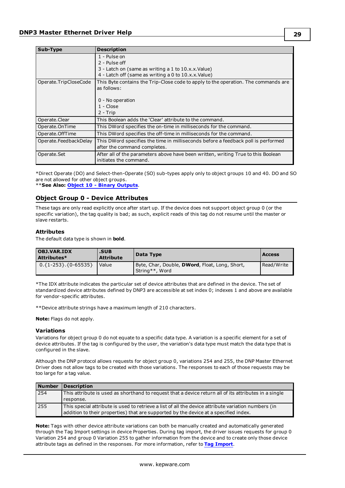| Sub-Type              | <b>Description</b>                                                                 |
|-----------------------|------------------------------------------------------------------------------------|
|                       | 1 - Pulse on                                                                       |
|                       | 2 - Pulse off                                                                      |
|                       | 3 - Latch on (same as writing a 1 to 10.x.x. Value)                                |
|                       | 4 - Latch off (same as writing a 0 to 10.x.x.Value)                                |
| Operate.TripCloseCode | This Byte contains the Trip-Close code to apply to the operation. The commands are |
|                       | as follows:                                                                        |
|                       |                                                                                    |
|                       | 0 - No operation                                                                   |
|                       | $1 - Close$                                                                        |
|                       | 2 - Trip                                                                           |
| Operate.Clear         | This Boolean adds the 'Clear' attribute to the command.                            |
| Operate.OnTime        | This DWord specifies the on-time in milliseconds for the command.                  |
| Operate.OffTime       | This DWord specifies the off-time in milliseconds for the command.                 |
| Operate.FeedbackDelay | This DWord specifies the time in milliseconds before a feedback poll is performed  |
|                       | after the command completes.                                                       |
| Operate.Set           | After all of the parameters above have been written, writing True to this Boolean  |
|                       | initiates the command.                                                             |

\*Direct Operate (DO) and Select-then-Operate (SO) sub-types apply only to object groups 10 and 40. DO and SO are not allowed for other object groups.

<span id="page-28-0"></span>\*\***See Also: Object 10 - Binary [Outputs](#page-32-0)**.

#### **Object Group 0 - Device Attributes**

These tags are only read explicitly once after start up. If the device does not support object group 0 (or the specific variation), the tag quality is bad; as such, explicit reads of this tag do not resume until the master or slave restarts.

#### **Attributes**

The default data type is shown in **bold**.

| OBJ.VAR.IDX<br>Attributes* | .SUB<br><b>Attribute</b> | Data Type                                                                | <b>Access</b> |
|----------------------------|--------------------------|--------------------------------------------------------------------------|---------------|
| $0.\{1-253\}.\{0-65535\}$  | Value                    | Byte, Char, Double, <b>DWord</b> , Float, Long, Short,<br>String**, Word | Read/Write    |

\*The IDX attribute indicates the particular set of device attributes that are defined in the device. The set of standardized device attributes defined by DNP3 are accessible at set index 0; indexes 1 and above are available for vendor-specific attributes.

\*\*Device attribute strings have a maximum length of 210 characters.

**Note:** Flags do not apply.

#### **Variations**

Variations for object group 0 do not equate to a specific data type. A variation is a specific element for a set of device attributes. If the tag is configured by the user, the variation's data type must match the data type that is configured in the slave.

Although the DNP protocol allows requests for object group 0, variations 254 and 255, the DNP Master Ethernet Driver does not allow tags to be created with those variations. The responses to each of those requests may be too large for a tag value.

| <b>Number</b> | <b>Description</b>                                                                                                                                                                          |
|---------------|---------------------------------------------------------------------------------------------------------------------------------------------------------------------------------------------|
| 254           | This attribute is used as shorthand to request that a device return all of its attributes in a single                                                                                       |
|               | response.                                                                                                                                                                                   |
| 255           | This special attribute is used to retrieve a list of all the device attribute variation numbers (in<br>addition to their properties) that are supported by the device at a specified index. |

**Note:** Tags with other device attribute variations can both be manually created and automatically generated through the Tag Import settings in device Properties. During tag import, the driver issues requests for group 0 Variation 254 and group 0 Variation 255 to gather information from the device and to create only those device attribute tags as defined in the responses. For more information, refer to **Tag [Import](#page-16-0)**.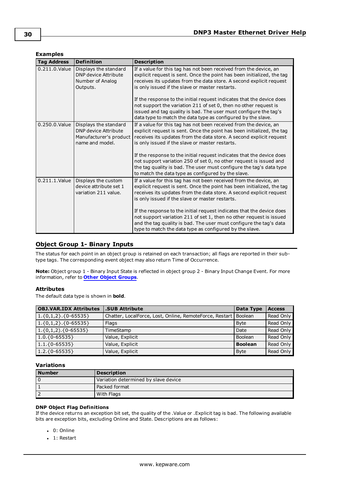## **Examples**

| <b>Tag Address</b> | <b>Definition</b>                                                                                 | <b>Description</b>                                                                                                                                                                                                                                                                                                                                                                                                                                                                                                                                     |
|--------------------|---------------------------------------------------------------------------------------------------|--------------------------------------------------------------------------------------------------------------------------------------------------------------------------------------------------------------------------------------------------------------------------------------------------------------------------------------------------------------------------------------------------------------------------------------------------------------------------------------------------------------------------------------------------------|
| $0.211.0$ . Value  | Displays the standard<br>DNP device Attribute<br>Number of Analog<br>Outputs.                     | If a value for this tag has not been received from the device, an<br>explicit request is sent. Once the point has been initialized, the tag<br>receives its updates from the data store. A second explicit request<br>is only issued if the slave or master restarts.<br>If the response to the initial request indicates that the device does<br>not support the variation 211 of set 0, then no other request is<br>issued and tag quality is bad. The user must configure the tag's<br>data type to match the data type as configured by the slave. |
| 0.250.0. Value     | Displays the standard<br><b>DNP</b> device Attribute<br>Manufacturer's product<br>name and model. | If a value for this tag has not been received from the device, an<br>explicit request is sent. Once the point has been initialized, the tag<br>receives its updates from the data store. A second explicit request<br>is only issued if the slave or master restarts.<br>If the response to the initial request indicates that the device does<br>not support variation 250 of set 0, no other request is issued and<br>the tag quality is bad. The user must configure the tag's data type<br>to match the data type as configured by the slave.      |
| 0.211.1. Value     | Displays the custom<br>device attribute set 1<br>variation 211 value.                             | If a value for this tag has not been received from the device, an<br>explicit request is sent. Once the point has been initialized, the tag<br>receives its updates from the data store. A second explicit request<br>is only issued if the slave or master restarts.<br>If the response to the initial request indicates that the device does<br>not support variation 211 of set 1, then no other request is issued<br>and the tag quality is bad. The user must configure the tag's data<br>type to match the data type as configured by the slave. |

## <span id="page-29-0"></span>**Object Group 1- Binary Inputs**

The status for each point in an object group is retained on each transaction; all flags are reported in their subtype tags. The corresponding event object may also return Time of Occurrence.

**Note:** Object group 1 - Binary Input State is reflected in object group 2 - Binary Input Change Event. For more information, refer to **Other Object [Groups](#page-50-0)**.

#### **Attributes**

The default data type is shown in **bold**.

| <b>OBJ.VAR.IDX Attributes</b>         | .SUB Attribute                                          | Data Type      | <b>Access</b> |
|---------------------------------------|---------------------------------------------------------|----------------|---------------|
| $\vert 1.\{0,1,2\}.\{0-65535\} \vert$ | Chatter, LocalForce, Lost, Online, RemoteForce, Restart | Boolean        | Read Only     |
| $\vert 1.\{0,1,2\}.\{0-65535\} \vert$ | Flags                                                   | <b>Byte</b>    | Read Only     |
| $1.\{0,1,2\}.\{0-65535\}$             | TimeStamp                                               | Date           | Read Only     |
| $1.0.\{0-65535\}$                     | Value, Explicit                                         | Boolean        | Read Only     |
| $1.1.\{0-65535\}$                     | Value, Explicit                                         | <b>Boolean</b> | Read Only     |
| $1.2.\{0-65535\}$                     | Value, Explicit                                         | <b>Byte</b>    | Read Only     |

## **Variations**

| <b>Number</b> | <b>Description</b>                   |  |
|---------------|--------------------------------------|--|
|               | Variation determined by slave device |  |
|               | Packed format                        |  |
|               | With Flags                           |  |

#### **DNP Object Flag Definitions**

If the device returns an exception bit set, the quality of the .Value or .Explicit tag is bad. The following available bits are exception bits, excluding Online and State. Descriptions are as follows:

- $. 0:$  Online
- $-1:$  Restart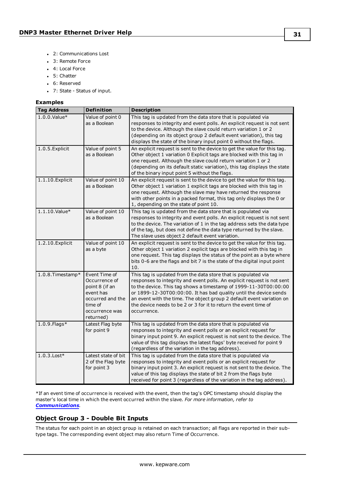- 2: Communications Lost
- 3: Remote Force
- 4: Local Force
- $-5:$  Chatter
- 6: Reserved
- <sup>l</sup> 7: State Status of input.

#### **Examples**

| <b>Tag Address</b>  | <b>Definition</b>                                                                                                           | <b>Description</b>                                                                                                                                                                                                                                                                                                                                                                                                                            |
|---------------------|-----------------------------------------------------------------------------------------------------------------------------|-----------------------------------------------------------------------------------------------------------------------------------------------------------------------------------------------------------------------------------------------------------------------------------------------------------------------------------------------------------------------------------------------------------------------------------------------|
| $1.0.0$ . Value $*$ | Value of point 0<br>as a Boolean                                                                                            | This tag is updated from the data store that is populated via<br>responses to integrity and event polls. An explicit request is not sent<br>to the device. Although the slave could return variation 1 or 2<br>(depending on its object group 2 default event variation), this tag<br>displays the state of the binary input point 0 without the flags.                                                                                       |
| 1.0.5. Explicit     | Value of point 5<br>as a Boolean                                                                                            | An explicit request is sent to the device to get the value for this tag.<br>Other object 1 variation 0 Explicit tags are blocked with this tag in<br>one request. Although the slave could return variation 1 or 2<br>(depending on its default static variation), this tag displays the state<br>of the binary input point 5 without the flags.                                                                                              |
| 1.1.10. Explicit    | Value of point 10<br>as a Boolean                                                                                           | An explicit request is sent to the device to get the value for this tag.<br>Other object 1 variation 1 explicit tags are blocked with this tag in<br>one request. Although the slave may have returned the response<br>with other points in a packed format, this tag only displays the 0 or<br>1, depending on the state of point 10.                                                                                                        |
| 1.1.10.Value*       | Value of point 10<br>as a Boolean                                                                                           | This tag is updated from the data store that is populated via<br>responses to integrity and event polls. An explicit request is not sent<br>to the device. The variation of 1 in the tag address sets the data type<br>of the tag, but does not define the data type returned by the slave.<br>The slave uses object 2 default event variation.                                                                                               |
| 1.2.10. Explicit    | Value of point 10<br>as a byte                                                                                              | An explicit request is sent to the device to get the value for this tag.<br>Other object 1 variation 2 explicit tags are blocked with this tag in<br>one request. This tag displays the status of the point as a byte where<br>bits 0-6 are the flags and bit 7 is the state of the digital input point<br>10.                                                                                                                                |
| 1.0.8. Timestamp*   | Event Time of<br>Occurrence of<br>point 8 (if an<br>event has<br>occurred and the<br>time of<br>occurrence was<br>returned) | This tag is updated from the data store that is populated via<br>responses to integrity and event polls. An explicit request is not sent<br>to the device. This tag shows a timestamp of 1999-11-30T00:00:00<br>or 1899-12-30T00:00:00. It has bad quality until the device sends<br>an event with the time. The object group 2 default event variation on<br>the device needs to be 2 or 3 for it to return the event time of<br>occurrence. |
| $1.0.9$ . Flags*    | Latest Flag byte<br>for point 9                                                                                             | This tag is updated from the data store that is populated via<br>responses to integrity and event polls or an explicit request for<br>binary input point 9. An explicit request is not sent to the device. The<br>value of this tag displays the latest flags' byte received for point 9<br>(regardless of the variation in the tag address).                                                                                                 |
| $1.0.3$ . Lost*     | Latest state of bit<br>2 of the Flag byte<br>for point 3                                                                    | This tag is updated from the data store that is populated via<br>responses to integrity and event polls or an explicit request for<br>binary input point 3. An explicit request is not sent to the device. The<br>value of this tag displays the state of bit 2 from the flags byte<br>received for point 3 (regardless of the variation in the tag address).                                                                                 |

\*If an event time of occurrence is received with the event, then the tag's OPC timestamp should display the master's local time in which the event occurred within the slave. *For more information, refer to [Communications](#page-11-0).*

## <span id="page-30-0"></span>**Object Group 3 - Double Bit Inputs**

The status for each point in an object group is retained on each transaction; all flags are reported in their subtype tags. The corresponding event object may also return Time of Occurrence.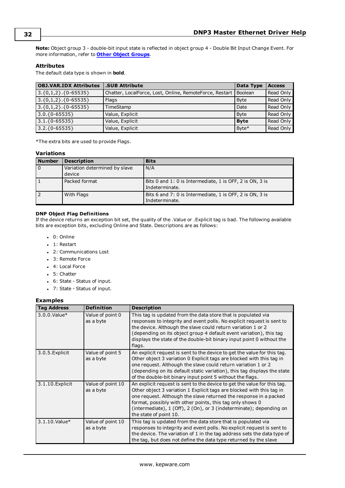**Note:** Object group 3 - double-bit input state is reflected in object group 4 - Double Bit Input Change Event. For more information, refer to **Other Object [Groups](#page-50-0)**.

## **Attributes**

The default data type is shown in **bold**.

| <b>OBJ.VAR.IDX Attributes</b> | .SUB Attribute                                          | Data Type      | <b>Access</b> |
|-------------------------------|---------------------------------------------------------|----------------|---------------|
| $(3.\{0,1,2\}.\{0-65535\})$   | Chatter, LocalForce, Lost, Online, RemoteForce, Restart | <b>Boolean</b> | Read Only     |
| $(3.\{0,1,2\}.\{0-65535\})$   | Flags                                                   | <b>Byte</b>    | Read Only     |
| $3.\{0,1,2\}.\{0-65535\}$     | TimeStamp                                               | Date           | Read Only     |
| $3.0.$ {0-65535}              | Value, Explicit                                         | <b>B</b> vte   | Read Only     |
| $3.1.\{0-65535\}$             | Value, Explicit                                         | <b>Byte</b>    | Read Only     |
| $3.2.$ {0-65535}              | Value, Explicit                                         | Byte*          | Read Only     |

\*The extra bits are used to provide Flags.

## **Variations**

| <b>Number</b> | <b>Description</b>            | <b>Bits</b>                                              |
|---------------|-------------------------------|----------------------------------------------------------|
| $\Omega$      | Variation determined by slave | N/A                                                      |
|               | device                        |                                                          |
|               | Packed format                 | Bits 0 and 1: 0 is Intermediate, 1 is OFF, 2 is ON, 3 is |
|               |                               | Indeterminate.                                           |
|               | With Flags                    | Bits 6 and 7: 0 is Intermediate, 1 is OFF, 2 is ON, 3 is |
|               |                               | Indeterminate.                                           |

#### **DNP Object Flag Definitions**

If the device returns an exception bit set, the quality of the .Value or .Explicit tag is bad. The following available bits are exception bits, excluding Online and State. Descriptions are as follows:

- $. 0:$  Online
- 1: Restart
- 2: Communications Lost
- 3: Remote Force
- 4: Local Force
- 5: Chatter
- <sup>l</sup> 6: State Status of input.
- <sup>l</sup> 7: State Status of input.

#### **Examples**

| <b>Tag Address</b>  | <b>Definition</b>              | <b>Description</b>                                                                                                                                                                                                                                                                                                                                                                   |
|---------------------|--------------------------------|--------------------------------------------------------------------------------------------------------------------------------------------------------------------------------------------------------------------------------------------------------------------------------------------------------------------------------------------------------------------------------------|
| $3.0.0$ . Value $*$ | Value of point 0<br>as a byte  | This tag is updated from the data store that is populated via<br>responses to integrity and event polls. No explicit request is sent to<br>the device. Although the slave could return variation 1 or 2<br>(depending on its object group 4 default event variation), this tag<br>displays the state of the double-bit binary input point 0 without the<br>flags.                    |
| 3.0.5. Explicit     | Value of point 5<br>as a byte  | An explicit request is sent to the device to get the value for this tag.<br>Other object 3 variation 0 Explicit tags are blocked with this tag in<br>one request. Although the slave could return variation 1 or 2<br>(depending on its default static variation), this tag displays the state<br>of the double-bit binary input point 5 without the flags.                          |
| 3.1.10. Explicit    | Value of point 10<br>as a byte | An explicit request is sent to the device to get the value for this tag.<br>Other object 3 variation 1 Explicit tags are blocked with this tag in<br>one request. Although the slave returned the response in a packed<br>format, possibly with other points, this tag only shows 0<br>(intermediate), 1 (Off), 2 (On), or 3 (indeterminate); depending on<br>the state of point 10. |
| 3.1.10.Value*       | Value of point 10<br>as a byte | This tag is updated from the data store that is populated via<br>responses to integrity and event polls. No explicit request is sent to<br>the device. The variation of 1 in the tag address sets the data type of<br>the tag, but does not define the data type returned by the slave                                                                                               |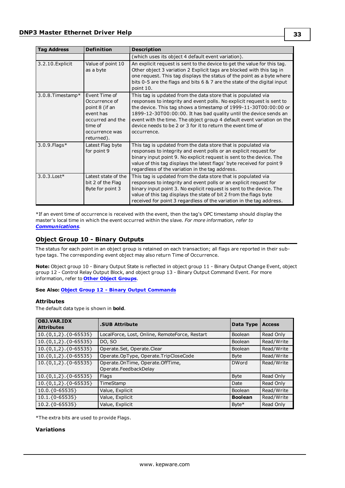| <b>Tag Address</b> | <b>Definition</b>                                                                                                            | <b>Description</b>                                                                                                                                                                                                                                                                                                                                                                                                                        |
|--------------------|------------------------------------------------------------------------------------------------------------------------------|-------------------------------------------------------------------------------------------------------------------------------------------------------------------------------------------------------------------------------------------------------------------------------------------------------------------------------------------------------------------------------------------------------------------------------------------|
|                    |                                                                                                                              | (which uses its object 4 default event variation).                                                                                                                                                                                                                                                                                                                                                                                        |
| 3.2.10. Explicit   | Value of point 10<br>as a byte                                                                                               | An explicit request is sent to the device to get the value for this tag.<br>Other object 3 variation 2 Explicit tags are blocked with this tag in<br>one request. This tag displays the status of the point as a byte where<br>bits 0-5 are the flags and bits 6 & 7 are the state of the digital input<br>point 10.                                                                                                                      |
| 3.0.8. Timestamp*  | Event Time of<br>Occurrence of<br>point 8 (if an<br>event has<br>occurred and the<br>time of<br>occurrence was<br>returned). | This tag is updated from the data store that is populated via<br>responses to integrity and event polls. No explicit request is sent to<br>the device. This tag shows a timestamp of 1999-11-30T00:00:00 or<br>1899-12-30T00:00:00. It has bad quality until the device sends an<br>event with the time. The object group 4 default event variation on the<br>device needs to be 2 or 3 for it to return the event time of<br>occurrence. |
| 3.0.9. Flags*      | Latest Flag byte<br>for point 9                                                                                              | This tag is updated from the data store that is populated via<br>responses to integrity and event polls or an explicit request for<br>binary input point 9. No explicit request is sent to the device. The<br>value of this tag displays the latest flags' byte received for point 9<br>regardless of the variation in the tag address.                                                                                                   |
| $3.0.3$ . Lost $*$ | Latest state of the<br>bit 2 of the Flag<br>Byte for point 3                                                                 | This tag is updated from the data store that is populated via<br>responses to integrity and event polls or an explicit request for<br>binary input point 3. No explicit request is sent to the device. The<br>value of this tag displays the state of bit 2 from the flags byte<br>received for point 3 regardless of the variation in the tag address.                                                                                   |

\*If an event time of occurrence is received with the event, then the tag's OPC timestamp should display the master's local time in which the event occurred within the slave. *For more information, refer to [Communications](#page-11-0).*

## <span id="page-32-0"></span>**Object Group 10 - Binary Outputs**

The status for each point in an object group is retained on each transaction; all flags are reported in their subtype tags. The corresponding event object may also return Time of Occurrence.

**Note:** Object group 10 - Binary Output State is reflected in object group 11 - Binary Output Change Event, object group 12 - Control Relay Output Block, and object group 13 - Binary Output Command Event. For more information, refer to **Other Object [Groups](#page-50-0)**.

#### **See Also: Object Group 12 - Binary Output [Commands](#page-34-0)**

## **Attributes**

The default data type is shown in **bold**.

| <b>OBJ.VAR.IDX</b><br><b>Attributes</b> | <b>.SUB Attribute</b>                                     | Data Type      | <b>Access</b> |
|-----------------------------------------|-----------------------------------------------------------|----------------|---------------|
| $10.\{0,1,2\}.\{0-65535\}$              | LocalForce, Lost, Online, RemoteForce, Restart            | <b>Boolean</b> | Read Only     |
| $10.\{0,1,2\}.\{0-65535\}$              | DO, SO                                                    | <b>Boolean</b> | Read/Write    |
| $10.\{0,1,2\}.\{0-65535\}$              | Operate.Set, Operate.Clear                                | Boolean        | Read/Write    |
| $10.\{0,1,2\}.\{0-65535\}$              | Operate.OpType, Operate.TripCloseCode                     | <b>Byte</b>    | Read/Write    |
| $10.\{0,1,2\}.\{0-65535\}$              | Operate.OnTime, Operate.OffTime,<br>Operate.FeedbackDelay | <b>DWord</b>   | Read/Write    |
| $10.\{0,1,2\}.\{0-65535\}$              | Flags                                                     | <b>Byte</b>    | Read Only     |
| $10.\{0,1,2\}.\{0-65535\}$              | TimeStamp                                                 | Date           | Read Only     |
| $10.0.\{0-65535\}$                      | Value, Explicit                                           | Boolean        | Read/Write    |
| $10.1.\{0-65535\}$                      | Value, Explicit                                           | <b>Boolean</b> | Read/Write    |
| $10.2.\{0-65535\}$                      | Value, Explicit                                           | Byte*          | Read Only     |

\*The extra bits are used to provide Flags.

#### **Variations**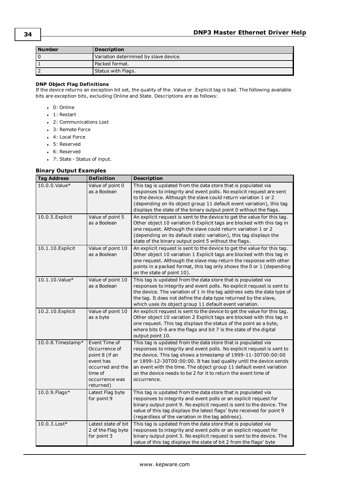| <b>Number</b> | <b>Description</b>                    |
|---------------|---------------------------------------|
| 0             | Variation determined by slave device. |
|               | l Packed format.                      |
| ∍             | Status with Flags.                    |

#### **DNP Object Flag Definitions**

If the device returns an exception bit set, the quality of the .Value or .Explicit tag is bad. The following available bits are exception bits, excluding Online and State. Descriptions are as follows:

- $. 0:$  Online
- $\bullet$  1: Restart
- 2: Communications Lost
- 3: Remote Force
- 4: Local Force
- 5: Reserved
- 6: Reserved
- <sup>l</sup> 7: State Status of input.

#### **Binary Output Examples**

| <b>Tag Address</b> | <b>Definition</b>                                                                                                           | <b>Description</b>                                                                                                                                                                                                                                                                                                                                                                                                                    |
|--------------------|-----------------------------------------------------------------------------------------------------------------------------|---------------------------------------------------------------------------------------------------------------------------------------------------------------------------------------------------------------------------------------------------------------------------------------------------------------------------------------------------------------------------------------------------------------------------------------|
| 10.0.0.Value*      | Value of point 0<br>as a Boolean                                                                                            | This tag is updated from the data store that is populated via<br>responses to integrity and event polls. No explicit request are sent<br>to the device. Although the slave could return variation 1 or 2<br>(depending on its object group 11 default event variation), this tag<br>displays the state of the binary output point 0 without the flags.                                                                                |
| 10.0.5. Explicit   | Value of point 5<br>as a Boolean                                                                                            | An explicit request is sent to the device to get the value for this tag.<br>Other object 10 variation 0 Explicit tags are blocked with this tag in<br>one request. Although the slave could return variation 1 or 2<br>(depending on its default static variation), this tag displays the<br>state of the binary output point 5 without the flags.                                                                                    |
| 10.1.10. Explicit  | Value of point 10<br>as a Boolean                                                                                           | An explicit request is sent to the device to get the value for this tag.<br>Other object 10 variation 1 Explicit tags are blocked with this tag in<br>one request. Although the slave may return the response with other<br>points in a packed format, this tag only shows the 0 or 1 (depending<br>on the state of point 10).                                                                                                        |
| 10.1.10.Value*     | Value of point 10<br>as a Boolean                                                                                           | This tag is updated from the data store that is populated via<br>responses to integrity and event polls. No explicit request is sent to<br>the device. The variation of 1 in the tag address sets the data type of<br>the tag. It does not define the data type returned by the slave,<br>which uses its object group 11 default event variation.                                                                                     |
| 10.2.10. Explicit  | Value of point 10<br>as a byte                                                                                              | An explicit request is sent to the device to get the value for this tag.<br>Other object 10 variation 2 Explicit tags are blocked with this tag in<br>one request. This tag displays the status of the point as a byte,<br>where bits 0-6 are the flags and bit 7 is the state of the digital<br>output point 10.                                                                                                                     |
| 10.0.8. Timestamp* | Event Time of<br>Occurrence of<br>point 8 (if an<br>event has<br>occurred and the<br>time of<br>occurrence was<br>returned) | This tag is updated from the data store that is populated via<br>responses to integrity and event polls. No explicit request is sent to<br>the device. This tag shows a timestamp of 1999-11-30T00:00:00<br>or 1899-12-30T00:00:00. It has bad quality until the device sends<br>an event with the time. The object group 11 default event variation<br>on the device needs to be 2 for it to return the event time of<br>occurrence. |
| 10.0.9. Flags*     | Latest Flag byte<br>for point 9                                                                                             | This tag is updated from the data store that is populated via<br>responses to integrity and event polls or an explicit request for<br>binary output point 9. No explicit request is sent to the device. The<br>value of this tag displays the latest flags' byte received for point 9<br>(regardless of the variation in the tag address).                                                                                            |
| $10.0.3$ . Lost*   | Latest state of bit<br>2 of the Flag byte<br>for point 3                                                                    | This tag is updated from the data store that is populated via<br>responses to integrity and event polls or an explicit request for<br>binary output point 3. No explicit request is sent to the device. The<br>value of this tag displays the state of bit 2 from the flags' byte                                                                                                                                                     |

**34**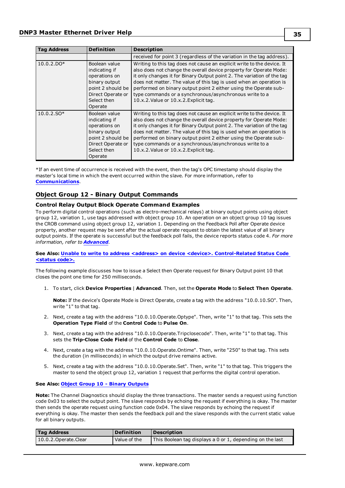| <b>Tag Address</b> | <b>Definition</b>                                                                                                                    | <b>Description</b>                                                                                                                                                                                                                                                                                                                                                                                                                                                    |
|--------------------|--------------------------------------------------------------------------------------------------------------------------------------|-----------------------------------------------------------------------------------------------------------------------------------------------------------------------------------------------------------------------------------------------------------------------------------------------------------------------------------------------------------------------------------------------------------------------------------------------------------------------|
|                    |                                                                                                                                      | received for point 3 (regardless of the variation in the tag address).                                                                                                                                                                                                                                                                                                                                                                                                |
| $10.0.2.$ DO*      | Boolean value<br>indicating if<br>operations on<br>binary output<br>point 2 should be<br>Direct Operate or<br>Select then<br>Operate | Writing to this tag does not cause an explicit write to the device. It<br>also does not change the overall device property for Operate Mode:<br>it only changes it for Binary Output point 2. The variation of the tag<br>does not matter. The value of this tag is used when an operation is<br>performed on binary output point 2 either using the Operate sub-<br>type commands or a synchronous/asynchronous write to a<br>10.x.2. Value or 10.x.2. Explicit tag. |
| $10.0.2$ .SO*      | Boolean value<br>indicating if<br>operations on<br>binary output<br>point 2 should be<br>Direct Operate or<br>Select then<br>Operate | Writing to this tag does not cause an explicit write to the device. It<br>also does not change the overall device property for Operate Mode:<br>it only changes it for Binary Output point 2. The variation of the tag<br>does not matter. The value of this tag is used when an operation is<br>performed on binary output point 2 either using the Operate sub-<br>type commands or a synchronous/asynchronous write to a<br>10.x.2. Value or 10.x.2. Explicit tag. |

\*If an event time of occurrence is received with the event, then the tag's OPC timestamp should display the master's local time in which the event occurred within the slave. For more information, refer to **[Communications](#page-11-0)**.

## <span id="page-34-0"></span>**Object Group 12 - Binary Output Commands**

#### **Control Relay Output Block Operate Command Examples**

To perform digital control operations (such as electro-mechanical relays) at binary output points using object group 12, variation 1, use tags addressed with object group 10. An operation on an object group 10 tag issues the CROB command using object group 12, variation 1. Depending on the Feedback Poll after Operate device property, another request may be sent after the actual operate request to obtain the latest value of all binary output points. If the operate is successful but the feedback poll fails, the device reports status code 4. *For more information, refer to [Advanced](#page-22-0)*.

**See Also: Unable to write to address <address> on device <device>. [Control-Related](#page-79-2) Status Code [<status](#page-79-2) code>.**

The following example discusses how to issue a Select then Operate request for Binary Output point 10 that closes the point one time for 250 milliseconds.

1. To start, click **Device Properties** | **Advanced**. Then, set the **Operate Mode** to **Select Then Operate**.

**Note:** If the device's Operate Mode is Direct Operate, create a tag with the address "10.0.10.SO". Then, write "1" to that tag.

- 2. Next, create a tag with the address "10.0.10.Operate.Optype". Then, write "1" to that tag. This sets the **Operation Type Field** of the **Control Code** to **Pulse On**.
- 3. Next, create a tag with the address "10.0.10.Operate.Tripclosecode". Then, write "1" to that tag. This sets the **Trip-Close Code Field** of the **Control Code** to **Close**.
- 4. Next, create a tag with the address "10.0.10.Operate.Ontime". Then, write "250" to that tag. This sets the duration (in milliseconds) in which the output drive remains active.
- 5. Next, create a tag with the address "10.0.10.Operate.Set". Then, write "1" to that tag. This triggers the master to send the object group 12, variation 1 request that performs the digital control operation.

#### **See Also: Object Group 10 - Binary [Outputs](#page-32-0)**

**Note:** The Channel Diagnostics should display the three transactions. The master sends a request using function code 0x03 to select the output point. The slave responds by echoing the request if everything is okay. The master then sends the operate request using function code 0x04. The slave responds by echoing the request if everything is okay. The master then sends the feedback poll and the slave responds with the current static value for all binary outputs.

| <b>Tag Address</b>     | <b>Definition</b> | <b>Description</b>                                        |
|------------------------|-------------------|-----------------------------------------------------------|
| 10.0.2. Operate. Clear | Value of the      | This Boolean tag displays a 0 or 1, depending on the last |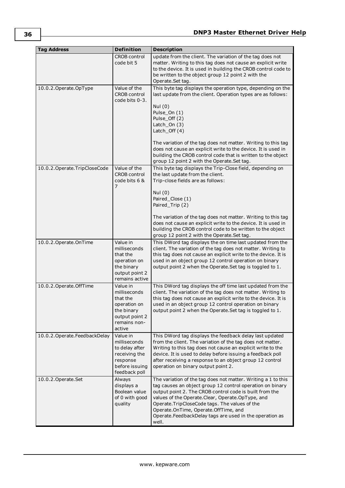| <b>Tag Address</b>              | <b>Definition</b>                                                                                              | <b>Description</b>                                                                                                                                                                                                                                                                                                                                                                                                                                            |
|---------------------------------|----------------------------------------------------------------------------------------------------------------|---------------------------------------------------------------------------------------------------------------------------------------------------------------------------------------------------------------------------------------------------------------------------------------------------------------------------------------------------------------------------------------------------------------------------------------------------------------|
|                                 | <b>CROB control</b><br>code bit 5                                                                              | update from the client. The variation of the tag does not<br>matter. Writing to this tag does not cause an explicit write<br>to the device. It is used in building the CROB control code to<br>be written to the object group 12 point 2 with the<br>Operate.Set tag.                                                                                                                                                                                         |
| 10.0.2. Operate. OpType         | Value of the<br><b>CROB</b> control<br>code bits 0-3.                                                          | This byte tag displays the operation type, depending on the<br>last update from the client. Operation types are as follows:<br>Nul $(0)$<br>Pulse_On (1)<br>Pulse_Off (2)<br>Latch_On $(3)$<br>Latch_Off (4)<br>The variation of the tag does not matter. Writing to this tag<br>does not cause an explicit write to the device. It is used in<br>building the CROB control code that is written to the object<br>group 12 point 2 with the Operate. Set tag. |
| 10.0.2. Operate. TripCloseCode  | Value of the<br><b>CROB control</b><br>code bits 6 &<br>7                                                      | This byte tag displays the Trip-Close field, depending on<br>the last update from the client.<br>Trip-close fields are as follows:<br>Nul $(0)$<br>Paired_Close (1)<br>Paired_Trip (2)<br>The variation of the tag does not matter. Writing to this tag<br>does not cause an explicit write to the device. It is used in<br>building the CROB control code to be written to the object<br>group 12 point 2 with the Operate. Set tag.                         |
| 10.0.2.Operate.OnTime           | Value in<br>milliseconds<br>that the<br>operation on<br>the binary<br>output point 2<br>remains active         | This DWord tag displays the on time last updated from the<br>client. The variation of the tag does not matter. Writing to<br>this tag does not cause an explicit write to the device. It is<br>used in an object group 12 control operation on binary<br>output point 2 when the Operate. Set tag is toggled to 1.                                                                                                                                            |
| 10.0.2. Operate. OffTime        | Value in<br>milliseconds<br>that the<br>operation on<br>the binary<br>output point 2<br>remains non-<br>active | This DWord tag displays the off time last updated from the<br>client. The variation of the tag does not matter. Writing to<br>this tag does not cause an explicit write to the device. It is<br>used in an object group 12 control operation on binary<br>output point 2 when the Operate. Set tag is toggled to 1.                                                                                                                                           |
| 10.0.2. Operate. Feedback Delay | Value in<br>milliseconds<br>to delay after<br>receiving the<br>response<br>before issuing<br>feedback poll     | This DWord tag displays the feedback delay last updated<br>from the client. The variation of the tag does not matter.<br>Writing to this tag does not cause an explicit write to the<br>device. It is used to delay before issuing a feedback poll<br>after receiving a response to an object group 12 control<br>operation on binary output point 2.                                                                                                         |
| 10.0.2.Operate.Set              | Always<br>displays a<br>Boolean value<br>of 0 with good<br>quality                                             | The variation of the tag does not matter. Writing a 1 to this<br>tag causes an object group 12 control operation on binary<br>output point 2. The CROB control code is built from the<br>values of the Operate. Clear, Operate. OpType, and<br>Operate. TripCloseCode tags. The values of the<br>Operate.OnTime, Operate.OffTime, and<br>Operate.FeedbackDelay tags are used in the operation as<br>well.                                                     |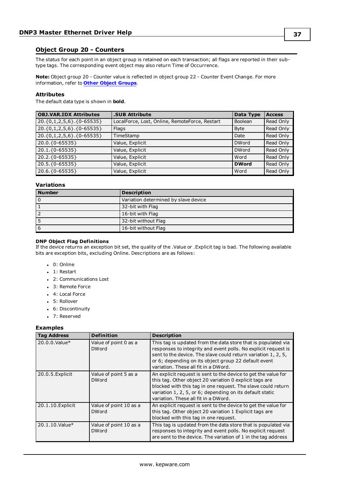### **Object Group 20 - Counters**

The status for each point in an object group is retained on each transaction; all flags are reported in their subtype tags. The corresponding event object may also return Time of Occurrence.

**Note:** Object group 20 - Counter value is reflected in object group 22 - Counter Event Change. For more information, refer to **Other Object [Groups](#page-50-0)**.

#### **Attributes**

The default data type is shown in **bold**.

| <b>OBJ.VAR.IDX Attributes</b>    | <b>.SUB Attribute</b>                          | Data Type    | <b>Access</b> |
|----------------------------------|------------------------------------------------|--------------|---------------|
| $\{20.\{0,1,2,5,6\}.\{0-65535\}$ | LocalForce, Lost, Online, RemoteForce, Restart | Boolean      | Read Only     |
| $20.\{0,1,2,5,6\}.\{0-65535\}$   | <b>Flags</b>                                   | <b>Byte</b>  | Read Only     |
| $\vert$ 20.{0,1,2,5,6}.{0-65535} | TimeStamp                                      | Date         | Read Only     |
| 20.0.{0-65535}                   | Value, Explicit                                | <b>DWord</b> | Read Only     |
| 20.1.{0-65535}                   | Value, Explicit                                | <b>DWord</b> | Read Only     |
| 20.2.{0-65535}                   | Value, Explicit                                | Word         | Read Only     |
| 20.5.{0-65535}                   | Value, Explicit                                | <b>DWord</b> | Read Only     |
| 20.6.{0-65535}                   | Value, Explicit                                | Word         | Read Only     |

### **Variations**

| <b>Number</b> | <b>Description</b>                   |  |
|---------------|--------------------------------------|--|
| 0             | Variation determined by slave device |  |
|               | 32-bit with Flag                     |  |
|               | 16-bit with Flag                     |  |
|               | 32-bit without Flag                  |  |
| $\mathbf b$   | 16-bit without Flag                  |  |

#### **DNP Object Flag Definitions**

If the device returns an exception bit set, the quality of the .Value or .Explicit tag is bad. The following available bits are exception bits, excluding Online. Descriptions are as follows:

- $\bullet$  0: Online
- $\bullet$  1: Restart
- 2: Communications Lost
- 3: Remote Force
- 4: Local Force
- 5: Rollover
- 6: Discontinuity
- 7: Reserved

#### **Examples**

| <b>Tag Address</b> | <b>Definition</b>                      | <b>Description</b>                                                                                                                                                                                                                                                                               |
|--------------------|----------------------------------------|--------------------------------------------------------------------------------------------------------------------------------------------------------------------------------------------------------------------------------------------------------------------------------------------------|
| 20.0.0. Value*     | Value of point 0 as a<br><b>DWord</b>  | This tag is updated from the data store that is populated via<br>responses to integrity and event polls. No explicit request is<br>sent to the device. The slave could return variation 1, 2, 5,<br>or 6; depending on its object group 22 default event<br>variation. These all fit in a DWord. |
| 20.0.5. Explicit   | Value of point 5 as a<br><b>DWord</b>  | An explicit request is sent to the device to get the value for<br>this tag. Other object 20 variation 0 explicit tags are<br>blocked with this tag in one request. The slave could return<br>variation 1, 2, 5, or 6; depending on its default static<br>variation. These all fit in a DWord.    |
| 20.1.10. Explicit  | Value of point 10 as a<br><b>DWord</b> | An explicit request is sent to the device to get the value for<br>this tag. Other object 20 variation 1 Explicit tags are<br>blocked with this tag in one request.                                                                                                                               |
| 20.1.10.Value*     | Value of point 10 as a<br><b>DWord</b> | This tag is updated from the data store that is populated via<br>responses to integrity and event polls. No explicit request<br>are sent to the device. The variation of 1 in the tag address                                                                                                    |

**37**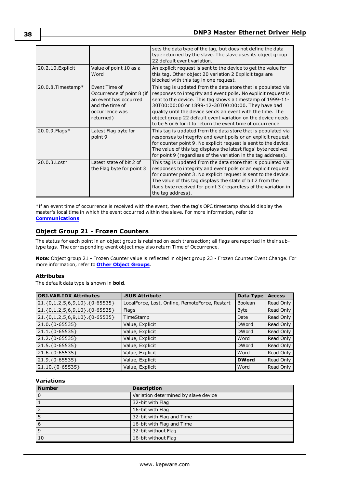|                    |                                                                                                                       | sets the data type of the tag, but does not define the data<br>type returned by the slave. The slave uses its object group<br>22 default event variation.                                                                                                                                                                                                                                                                                      |
|--------------------|-----------------------------------------------------------------------------------------------------------------------|------------------------------------------------------------------------------------------------------------------------------------------------------------------------------------------------------------------------------------------------------------------------------------------------------------------------------------------------------------------------------------------------------------------------------------------------|
| 20.2.10. Explicit  | Value of point 10 as a<br>Word                                                                                        | An explicit request is sent to the device to get the value for<br>this tag. Other object 20 variation 2 Explicit tags are<br>blocked with this tag in one request.                                                                                                                                                                                                                                                                             |
| 20.0.8. Timestamp* | Event Time of<br>Occurrence of point 8 (if<br>an event has occurred<br>and the time of<br>occurrence was<br>returned) | This tag is updated from the data store that is populated via<br>responses to integrity and event polls. No explicit request is<br>sent to the device. This tag shows a timestamp of 1999-11-<br>30T00:00:00 or 1899-12-30T00:00:00. They have bad<br>quality until the device sends an event with the time. The<br>object group 22 default event variation on the device needs<br>to be 5 or 6 for it to return the event time of occurrence. |
| 20.0.9. Flags*     | Latest Flag byte for<br>point 9                                                                                       | This tag is updated from the data store that is populated via<br>responses to integrity and event polls or an explicit request<br>for counter point 9. No explicit request is sent to the device.<br>The value of this tag displays the latest flags' byte received<br>for point 9 (regardless of the variation in the tag address).                                                                                                           |
| 20.0.3. Lost*      | Latest state of bit 2 of<br>the Flag byte for point 3                                                                 | This tag is updated from the data store that is populated via<br>responses to integrity and event polls or an explicit request<br>for counter point 3. No explicit request is sent to the device.<br>The value of this tag displays the state of bit 2 from the<br>flags byte received for point 3 (regardless of the variation in<br>the tag address).                                                                                        |

\*If an event time of occurrence is received with the event, then the tag's OPC timestamp should display the master's local time in which the event occurred within the slave. For more information, refer to **[Communications](#page-11-0)**.

### **Object Group 21 - Frozen Counters**

The status for each point in an object group is retained on each transaction; all flags are reported in their subtype tags. The corresponding event object may also return Time of Occurrence.

**Note:** Object group 21 - Frozen Counter value is reflected in object group 23 - Frozen Counter Event Change. For more information, refer to **Other Object [Groups](#page-50-0)**.

#### **Attributes**

The default data type is shown in **bold**.

| <b>OBJ.VAR.IDX Attributes</b> | <b>.SUB Attribute</b>                          | Data Type    | <b>Access</b> |
|-------------------------------|------------------------------------------------|--------------|---------------|
| 21.{0,1,2,5,6,9,10}.{0-65535} | LocalForce, Lost, Online, RemoteForce, Restart | Boolean      | Read Only     |
| 21.{0,1,2,5,6,9,10}.{0-65535} | Flags                                          | <b>Byte</b>  | Read Only     |
| 21.{0,1,2,5,6,9,10}.{0-65535} | TimeStamp                                      | Date         | Read Only     |
| 21.0.{0-65535}                | Value, Explicit                                | <b>DWord</b> | Read Only     |
| 21.1.{0-65535}                | Value, Explicit                                | <b>DWord</b> | Read Only     |
| 21.2.{0-65535}                | Value, Explicit                                | Word         | Read Only     |
| 21.5.{0-65535}                | Value, Explicit                                | <b>DWord</b> | Read Only     |
| 21.6. {0-65535}               | Value, Explicit                                | Word         | Read Only     |
| 21.9. { 0-65535 }             | Value, Explicit                                | <b>DWord</b> | Read Only     |
| 21.10.{0-65535}               | Value, Explicit                                | Word         | Read Only     |

#### **Variations**

| <b>Number</b> | <b>Description</b>                   |  |
|---------------|--------------------------------------|--|
|               | Variation determined by slave device |  |
|               | 32-bit with Flag                     |  |
|               | 16-bit with Flag                     |  |
|               | 32-bit with Flag and Time            |  |
| 6             | 16-bit with Flag and Time            |  |
| 9             | 32-bit without Flag                  |  |
| 10            | 16-bit without Flag                  |  |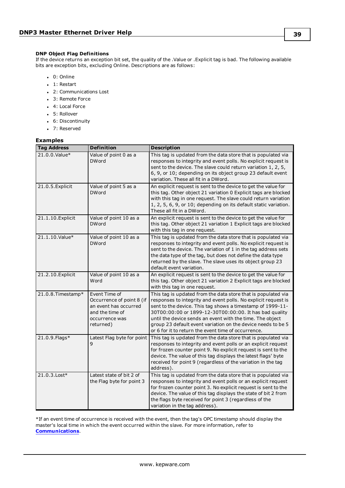#### **DNP Object Flag Definitions**

If the device returns an exception bit set, the quality of the .Value or .Explicit tag is bad. The following available bits are exception bits, excluding Online. Descriptions are as follows:

- $. 0:$  Online
- $\bullet$  1: Restart
- 2: Communications Lost
- 3: Remote Force
- 4: Local Force
- 5: Rollover
- 6: Discontinuity
- 7: Reserved

### **Examples**

| <b>Tag Address</b> | <b>Definition</b>                                                                                                     | <b>Description</b>                                                                                                                                                                                                                                                                                                                                                                                                                          |
|--------------------|-----------------------------------------------------------------------------------------------------------------------|---------------------------------------------------------------------------------------------------------------------------------------------------------------------------------------------------------------------------------------------------------------------------------------------------------------------------------------------------------------------------------------------------------------------------------------------|
| 21.0.0. Value*     | Value of point 0 as a<br><b>DWord</b>                                                                                 | This tag is updated from the data store that is populated via<br>responses to integrity and event polls. No explicit request is<br>sent to the device. The slave could return variation 1, 2, 5,<br>6, 9, or 10; depending on its object group 23 default event<br>variation. These all fit in a DWord.                                                                                                                                     |
| 21.0.5. Explicit   | Value of point 5 as a<br><b>DWord</b>                                                                                 | An explicit request is sent to the device to get the value for<br>this tag. Other object 21 variation 0 Explicit tags are blocked<br>with this tag in one request. The slave could return variation<br>1, 2, 5, 6, 9, or 10; depending on its default static variation.<br>These all fit in a DWord.                                                                                                                                        |
| 21.1.10. Explicit  | Value of point 10 as a<br><b>DWord</b>                                                                                | An explicit request is sent to the device to get the value for<br>this tag. Other object 21 variation 1 Explicit tags are blocked<br>with this tag in one request.                                                                                                                                                                                                                                                                          |
| 21.1.10.Value*     | Value of point 10 as a<br><b>DWord</b>                                                                                | This tag is updated from the data store that is populated via<br>responses to integrity and event polls. No explicit request is<br>sent to the device. The variation of 1 in the tag address sets<br>the data type of the tag, but does not define the data type<br>returned by the slave. The slave uses its object group 23<br>default event variation.                                                                                   |
| 21.2.10. Explicit  | Value of point 10 as a<br>Word                                                                                        | An explicit request is sent to the device to get the value for<br>this tag. Other object 21 variation 2 Explicit tags are blocked<br>with this tag in one request.                                                                                                                                                                                                                                                                          |
| 21.0.8. Timestamp* | Event Time of<br>Occurrence of point 8 (if<br>an event has occurred<br>and the time of<br>occurrence was<br>returned) | This tag is updated from the data store that is populated via<br>responses to integrity and event polls. No explicit request is<br>sent to the device. This tag shows a timestamp of 1999-11-<br>30T00:00:00 or 1899-12-30T00:00:00. It has bad quality<br>until the device sends an event with the time. The object<br>group 23 default event variation on the device needs to be 5<br>or 6 for it to return the event time of occurrence. |
| 21.0.9. Flags*     | Latest Flag byte for point<br>9                                                                                       | This tag is updated from the data store that is populated via<br>responses to integrity and event polls or an explicit request<br>for frozen counter point 9. No explicit request is sent to the<br>device. The value of this tag displays the latest flags' byte<br>received for point 9 (regardless of the variation in the tag<br>address).                                                                                              |
| 21.0.3. Lost*      | Latest state of bit 2 of<br>the Flag byte for point 3                                                                 | This tag is updated from the data store that is populated via<br>responses to integrity and event polls or an explicit request<br>for frozen counter point 3. No explicit request is sent to the<br>device. The value of this tag displays the state of bit 2 from<br>the flags byte received for point 3 (regardless of the<br>variation in the tag address).                                                                              |

\*If an event time of occurrence is received with the event, then the tag's OPC timestamp should display the master's local time in which the event occurred within the slave. For more information, refer to **[Communications](#page-11-0)**.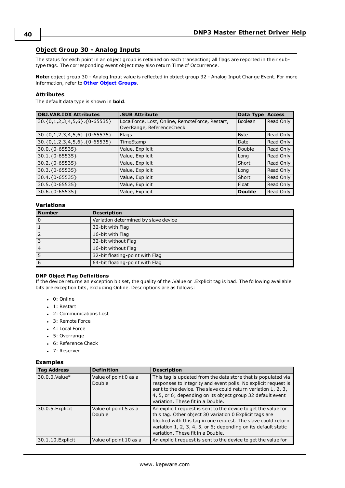### **Object Group 30 - Analog Inputs**

The status for each point in an object group is retained on each transaction; all flags are reported in their subtype tags. The corresponding event object may also return Time of Occurrence.

**Note:** object group 30 - Analog Input value is reflected in object group 32 - Analog Input Change Event. For more information, refer to **Other Object [Groups](#page-50-0)**.

#### **Attributes**

The default data type is shown in **bold**.

| <b>OBJ.VAR.IDX Attributes</b> | <b>.SUB Attribute</b>                                                        | Data Type      | <b>Access</b> |
|-------------------------------|------------------------------------------------------------------------------|----------------|---------------|
| 30.{0,1,2,3,4,5,6}.{0-65535}  | LocalForce, Lost, Online, RemoteForce, Restart,<br>OverRange, ReferenceCheck | <b>Boolean</b> | Read Only     |
| 30.{0,1,2,3,4,5,6}.{0-65535}  | Flags                                                                        | <b>Byte</b>    | Read Only     |
| 30.{0,1,2,3,4,5,6}.{0-65535}  | TimeStamp                                                                    | Date           | Read Only     |
| 30.0.{0-65535}                | Value, Explicit                                                              | Double         | Read Only     |
| $30.1.\{0-65535\}$            | Value, Explicit                                                              | Long           | Read Only     |
| 30.2.{0-65535}                | Value, Explicit                                                              | Short          | Read Only     |
| 30.3.{0-65535}                | Value, Explicit                                                              | Long           | Read Only     |
| 30.4.{0-65535}                | Value, Explicit                                                              | Short          | Read Only     |
| 30.5.{0-65535}                | Value, Explicit                                                              | Float          | Read Only     |
| $30.6.\{0-65535\}$            | Value, Explicit                                                              | <b>Double</b>  | Read Only     |

#### **Variations**

| <b>Number</b> | <b>Description</b>                   |
|---------------|--------------------------------------|
| l O           | Variation determined by slave device |
|               | 32-bit with Flag                     |
|               | 16-bit with Flag                     |
|               | 32-bit without Flag                  |
| 4             | 16-bit without Flag                  |
|               | 32-bit floating-point with Flag      |
| 6             | 64-bit floating-point with Flag      |

#### **DNP Object Flag Definitions**

If the device returns an exception bit set, the quality of the .Value or .Explicit tag is bad. The following available bits are exception bits, excluding Online. Descriptions are as follows:

- $\bullet$  0: Online
- $\bullet$  1: Restart
- 2: Communications Lost
- 3: Remote Force
- 4: Local Force
- 5: Overrange
- 6: Reference Check
- 7: Reserved

#### **Examples**

| <b>Tag Address</b> | <b>Definition</b>               | <b>Description</b>                                                                                                                                                                                                                                                                                  |
|--------------------|---------------------------------|-----------------------------------------------------------------------------------------------------------------------------------------------------------------------------------------------------------------------------------------------------------------------------------------------------|
| 30.0.0. Value*     | Value of point 0 as a<br>Double | This tag is updated from the data store that is populated via<br>responses to integrity and event polls. No explicit request is<br>sent to the device. The slave could return variation 1, 2, 3,<br>4, 5, or 6; depending on its object group 32 default event<br>variation. These fit in a Double. |
| 30.0.5. Explicit   | Value of point 5 as a<br>Double | An explicit request is sent to the device to get the value for<br>this tag. Other object 30 variation 0 Explicit tags are<br>blocked with this tag in one request. The slave could return<br>variation 1, 2, 3, 4, 5, or 6; depending on its default static<br>variation. These fit in a Double.    |
| 30.1.10. Explicit  | Value of point 10 as a          | An explicit request is sent to the device to get the value for                                                                                                                                                                                                                                      |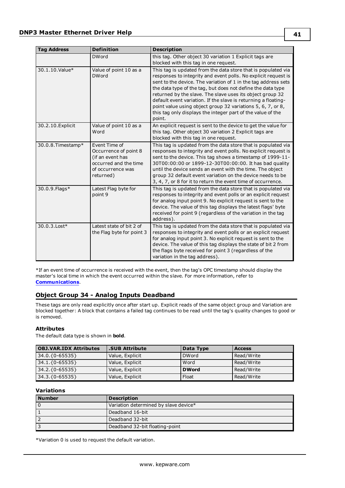| <b>Tag Address</b> | <b>Definition</b>                                                                                                     | <b>Description</b>                                                                                                                                                                                                                                                                                                                                                                                                                                                                                                                      |
|--------------------|-----------------------------------------------------------------------------------------------------------------------|-----------------------------------------------------------------------------------------------------------------------------------------------------------------------------------------------------------------------------------------------------------------------------------------------------------------------------------------------------------------------------------------------------------------------------------------------------------------------------------------------------------------------------------------|
|                    | <b>DWord</b>                                                                                                          | this tag. Other object 30 variation 1 Explicit tags are<br>blocked with this tag in one request.                                                                                                                                                                                                                                                                                                                                                                                                                                        |
| 30.1.10. Value*    | Value of point 10 as a<br><b>DWord</b>                                                                                | This tag is updated from the data store that is populated via<br>responses to integrity and event polls. No explicit request is<br>sent to the device. The variation of 1 in the tag address sets<br>the data type of the tag, but does not define the data type<br>returned by the slave. The slave uses its object group 32<br>default event variation. If the slave is returning a floating-<br>point value using object group 32 variations 5, 6, 7, or 8,<br>this tag only displays the integer part of the value of the<br>point. |
| 30.2.10. Explicit  | Value of point 10 as a<br>Word                                                                                        | An explicit request is sent to the device to get the value for<br>this tag. Other object 30 variation 2 Explicit tags are<br>blocked with this tag in one request.                                                                                                                                                                                                                                                                                                                                                                      |
| 30.0.8. Timestamp* | Event Time of<br>Occurrence of point 8<br>(if an event has<br>occurred and the time<br>of occurrence was<br>returned) | This tag is updated from the data store that is populated via<br>responses to integrity and event polls. No explicit request is<br>sent to the device. This tag shows a timestamp of 1999-11-<br>30T00:00:00 or 1899-12-30T00:00:00. It has bad quality<br>until the device sends an event with the time. The object<br>group 32 default event variation on the device needs to be<br>3, 4, 7, or 8 for it to return the event time of occurrence.                                                                                      |
| 30.0.9. Flags*     | Latest Flag byte for<br>point 9                                                                                       | This tag is updated from the data store that is populated via<br>responses to integrity and event polls or an explicit request<br>for analog input point 9. No explicit request is sent to the<br>device. The value of this tag displays the latest flags' byte<br>received for point 9 (regardless of the variation in the tag<br>address).                                                                                                                                                                                            |
| 30.0.3. Lost*      | Latest state of bit 2 of<br>the Flag byte for point 3                                                                 | This tag is updated from the data store that is populated via<br>responses to integrity and event polls or an explicit request<br>for analog input point 3. No explicit request is sent to the<br>device. The value of this tag displays the state of bit 2 from<br>the flags byte received for point 3 (regardless of the<br>variation in the tag address).                                                                                                                                                                            |

\*If an event time of occurrence is received with the event, then the tag's OPC timestamp should display the master's local time in which the event occurred within the slave. For more information, refer to **[Communications](#page-11-0)**.

### **Object Group 34 - Analog Inputs Deadband**

These tags are only read explicitly once after start up. Explicit reads of the same object group and Variation are blocked together: A block that contains a failed tag continues to be read until the tag's quality changes to good or is removed.

#### **Attributes**

The default data type is shown in **bold**.

| <b>OBJ.VAR.IDX Attributes</b> | <b>.SUB Attribute</b> | Data Type    | <b>Access</b> |
|-------------------------------|-----------------------|--------------|---------------|
| $34.0.\{0-65535\}$            | Value, Explicit       | <b>DWord</b> | Read/Write    |
| $34.1.\{0-65535\}$            | Value, Explicit       | Word         | Read/Write    |
| $34.2.\{0-65535\}$            | Value, Explicit       | <b>DWord</b> | Read/Write    |
| $34.3.\{0-65535\}$            | Value, Explicit       | Float        | Read/Write    |

#### **Variations**

| Number | <b>Description</b>                    |  |
|--------|---------------------------------------|--|
|        | Variation determined by slave device* |  |
|        | Deadband 16-bit                       |  |
|        | Deadband 32-bit                       |  |
|        | Deadband 32-bit floating-point        |  |

\*Variation 0 is used to request the default variation.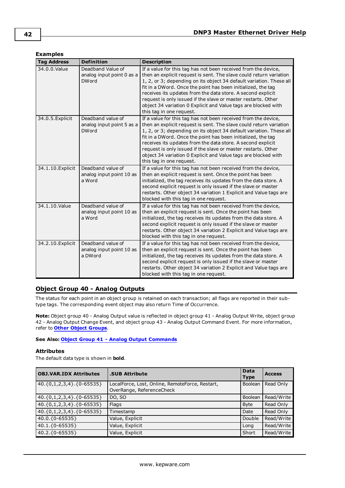### **Examples**

| <b>Tag Address</b> | <b>Definition</b>                                              | <b>Description</b>                                                                                                                                                                                                                                                                                                                                                                                                                                                                                        |
|--------------------|----------------------------------------------------------------|-----------------------------------------------------------------------------------------------------------------------------------------------------------------------------------------------------------------------------------------------------------------------------------------------------------------------------------------------------------------------------------------------------------------------------------------------------------------------------------------------------------|
| 34.0.0. Value      | Deadband Value of<br>analog input point 0 as a<br><b>DWord</b> | If a value for this tag has not been received from the device,<br>then an explicit request is sent. The slave could return variation<br>1, 2, or 3; depending on its object 34 default variation. These all<br>fit in a DWord. Once the point has been initialized, the tag<br>receives its updates from the data store. A second explicit<br>request is only issued if the slave or master restarts. Other<br>object 34 variation 0 Explicit and Value tags are blocked with<br>this tag in one request. |
| 34.0.5. Explicit   | Deadband value of<br>analog input point 5 as a<br><b>DWord</b> | If a value for this tag has not been received from the device,<br>then an explicit request is sent. The slave could return variation<br>1, 2, or 3; depending on its object 34 default variation. These all<br>fit in a DWord. Once the point has been initialized, the tag<br>receives its updates from the data store. A second explicit<br>request is only issued if the slave or master restarts. Other<br>object 34 variation 0 Explicit and Value tags are blocked with<br>this tag in one request. |
| 34.1.10. Explicit  | Deadband value of<br>analog input point 10 as<br>a Word        | If a value for this tag has not been received from the device,<br>then an explicit request is sent. Once the point has been<br>initialized, the tag receives its updates from the data store. A<br>second explicit request is only issued if the slave or master<br>restarts. Other object 34 variation 1 Explicit and Value tags are<br>blocked with this tag in one request.                                                                                                                            |
| 34.1.10.Value      | Deadband value of<br>analog input point 10 as<br>a Word        | If a value for this tag has not been received from the device,<br>then an explicit request is sent. Once the point has been<br>initialized, the tag receives its updates from the data store. A<br>second explicit request is only issued if the slave or master<br>restarts. Other object 34 variation 2 Explicit and Value tags are<br>blocked with this tag in one request.                                                                                                                            |
| 34.2.10. Explicit  | Deadband value of<br>analog input point 10 as<br>a DWord       | If a value for this tag has not been received from the device,<br>then an explicit request is sent. Once the point has been<br>initialized, the tag receives its updates from the data store. A<br>second explicit request is only issued if the slave or master<br>restarts. Other object 34 variation 2 Explicit and Value tags are<br>blocked with this tag in one request.                                                                                                                            |

## <span id="page-41-0"></span>**Object Group 40 - Analog Outputs**

The status for each point in an object group is retained on each transaction; all flags are reported in their subtype tags. The corresponding event object may also return Time of Occurrence.

**Note:** Object group 40 - Analog Output value is reflected in object group 41 - Analog Output Write, object group 42 - Analog Output Change Event, and object group 43 - Analog Output Command Event. For more information, refer to **Other Object [Groups](#page-50-0)**.

**See Also: Object Group 41 - Analog Output [Commands](#page-43-0)**

#### **Attributes**

The default data type is shown in **bold**.

| <b>OBJ.VAR.IDX Attributes</b>    | <b>.SUB Attribute</b>                                                        | <b>Data</b><br><b>Type</b> | <b>Access</b> |
|----------------------------------|------------------------------------------------------------------------------|----------------------------|---------------|
| ${40.\{0,1,2,3,4\}.\{0-65535\}}$ | LocalForce, Lost, Online, RemoteForce, Restart,<br>OverRange, ReferenceCheck | Boolean                    | Read Only     |
| $\vert$ 40.{0,1,2,3,4}.{0-65535} | DO, SO                                                                       | Boolean                    | Read/Write    |
| $\vert$ 40.{0,1,2,3,4}.{0-65535} | Flags                                                                        | <b>Byte</b>                | Read Only     |
| $\vert$ 40.{0,1,2,3,4}.{0-65535} | Timestamp                                                                    | Date                       | Read Only     |
| 40.0.{0-65535}                   | Value, Explicit                                                              | Double                     | Read/Write    |
| $ 40.1.\{0-65535\}$              | Value, Explicit                                                              | Long                       | Read/Write    |
| $40.2.\{0-65535\}$               | Value, Explicit                                                              | Short                      | Read/Write    |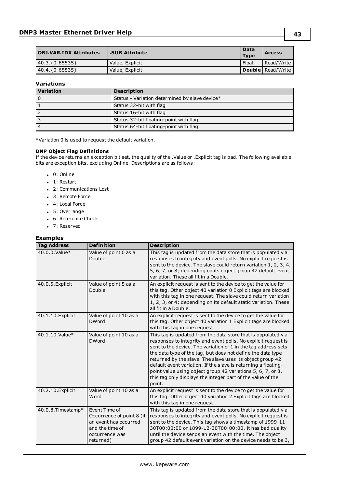| <b>OBJ.VAR.IDX Attributes</b> | <b>SUB Attribute.</b> | Data<br><b>Type</b> | <b>Access</b>            |
|-------------------------------|-----------------------|---------------------|--------------------------|
| $ 40.3.\{0-65535\}$           | Value, Explicit       | Float               | Read/Write               |
| 40.4.{0-65535}                | Value, Explicit       |                     | <b>Double Read/Write</b> |

### **Variations**

| <b>Variation</b> | <b>Description</b>                             |
|------------------|------------------------------------------------|
|                  | Status - Variation determined by slave device* |
|                  | Status 32-bit with flag                        |
|                  | Status 16-bit with flag                        |
|                  | Status 32-bit floating-point with flag         |
|                  | Status 64-bit floating-point with flag         |

\*Variation 0 is used to request the default variation.

#### **DNP Object Flag Definitions**

If the device returns an exception bit set, the quality of the .Value or .Explicit tag is bad. The following available bits are exception bits, excluding Online. Descriptions are as follows:

- $\cdot$  0: Online
- $\bullet$  1: Restart
- 2: Communications Lost
- 3: Remote Force
- 4: Local Force
- 5: Overrange
- 6: Reference Check
- 7: Reserved

#### **Examples**

| <b>Tag Address</b> | <b>Definition</b>                                                                                                     | <b>Description</b>                                                                                                                                                                                                                                                                                                                                                                                                                                                                                                                      |
|--------------------|-----------------------------------------------------------------------------------------------------------------------|-----------------------------------------------------------------------------------------------------------------------------------------------------------------------------------------------------------------------------------------------------------------------------------------------------------------------------------------------------------------------------------------------------------------------------------------------------------------------------------------------------------------------------------------|
| 40.0.0.Value*      | Value of point 0 as a<br>Double                                                                                       | This tag is updated from the data store that is populated via<br>responses to integrity and event polls. No explicit request is<br>sent to the device. The slave could return variation 1, 2, 3, 4,<br>5, 6, 7, or 8; depending on its object group 42 default event<br>variation. These all fit in a Double.                                                                                                                                                                                                                           |
| 40.0.5. Explicit   | Value of point 5 as a<br>Double                                                                                       | An explicit request is sent to the device to get the value for<br>this tag. Other object 40 variation 0 Explicit tags are blocked<br>with this tag in one request. The slave could return variation<br>1, 2, 3, or 4; depending on its default static variation. These<br>all fit in a Double.                                                                                                                                                                                                                                          |
| 40.1.10. Explicit  | Value of point 10 as a<br><b>DWord</b>                                                                                | An explicit request is sent to the device to get the value for<br>this tag. Other object 40 variation 1 Explicit tags are blocked<br>with this tag in one request.                                                                                                                                                                                                                                                                                                                                                                      |
| 40.1.10.Value*     | Value of point 10 as a<br><b>DWord</b>                                                                                | This tag is updated from the data store that is populated via<br>responses to integrity and event polls. No explicit request is<br>sent to the device. The variation of 1 in the tag address sets<br>the data type of the tag, but does not define the data type<br>returned by the slave. The slave uses its object group 42<br>default event variation. If the slave is returning a floating-<br>point value using object group 42 variations 5, 6, 7, or 8,<br>this tag only displays the integer part of the value of the<br>point. |
| 40.2.10. Explicit  | Value of point 10 as a<br>Word                                                                                        | An explicit request is sent to the device to get the value for<br>this tag. Other object 40 variation 2 Explicit tags are blocked<br>with this tag in one request.                                                                                                                                                                                                                                                                                                                                                                      |
| 40.0.8. Timestamp* | Event Time of<br>Occurrence of point 8 (if<br>an event has occurred<br>and the time of<br>occurrence was<br>returned) | This tag is updated from the data store that is populated via<br>responses to integrity and event polls. No explicit request is<br>sent to the device. This tag shows a timestamp of 1999-11-<br>30T00:00:00 or 1899-12-30T00:00:00. It has bad quality<br>until the device sends an event with the time. The object<br>group 42 default event variation on the device needs to be 3,                                                                                                                                                   |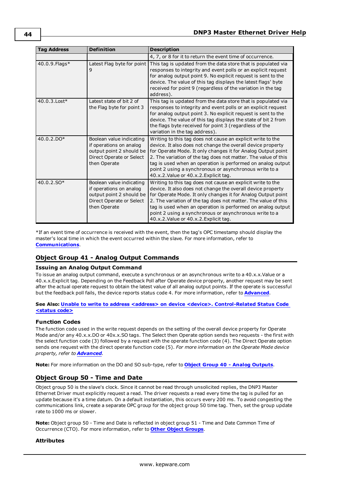| <b>Tag Address</b> | <b>Definition</b>                                                                                                           | <b>Description</b>                                                                                                                                                                                                                                                                                                                                                                                                              |
|--------------------|-----------------------------------------------------------------------------------------------------------------------------|---------------------------------------------------------------------------------------------------------------------------------------------------------------------------------------------------------------------------------------------------------------------------------------------------------------------------------------------------------------------------------------------------------------------------------|
|                    |                                                                                                                             | 4, 7, or 8 for it to return the event time of occurrence.                                                                                                                                                                                                                                                                                                                                                                       |
| 40.0.9. Flags*     | Latest Flag byte for point<br>9                                                                                             | This tag is updated from the data store that is populated via<br>responses to integrity and event polls or an explicit request<br>for analog output point 9. No explicit request is sent to the<br>device. The value of this tag displays the latest flags' byte<br>received for point 9 (regardless of the variation in the tag<br>address).                                                                                   |
| 40.0.3. Lost*      | Latest state of bit 2 of<br>the Flag byte for point 3                                                                       | This tag is updated from the data store that is populated via<br>responses to integrity and event polls or an explicit request<br>for analog output point 3. No explicit request is sent to the<br>device. The value of this tag displays the state of bit 2 from<br>the flags byte received for point 3 (regardless of the<br>variation in the tag address).                                                                   |
| 40.0.2.DO*         | Boolean value indicating<br>if operations on analog<br>output point 2 should be<br>Direct Operate or Select<br>then Operate | Writing to this tag does not cause an explicit write to the<br>device. It also does not change the overall device property<br>for Operate Mode. It only changes it for Analog Output point<br>2. The variation of the tag does not matter. The value of this<br>tag is used when an operation is performed on analog output<br>point 2 using a synchronous or asynchronous write to a<br>40.x.2. Value or 40.x.2. Explicit tag. |
| 40.0.2.SO*         | Boolean value indicating<br>if operations on analog<br>output point 2 should be<br>Direct Operate or Select<br>then Operate | Writing to this tag does not cause an explicit write to the<br>device. It also does not change the overall device property<br>for Operate Mode. It only changes it for Analog Output point<br>2. The variation of the tag does not matter. The value of this<br>tag is used when an operation is performed on analog output<br>point 2 using a synchronous or asynchronous write to a<br>40.x.2. Value or 40.x.2. Explicit tag. |

\*If an event time of occurrence is received with the event, then the tag's OPC timestamp should display the master's local time in which the event occurred within the slave. For more information, refer to **[Communications](#page-11-0)**.

### <span id="page-43-0"></span>**Object Group 41 - Analog Output Commands**

#### **Issuing an Analog Output Command**

To issue an analog output command, execute a synchronous or an asynchronous write to a 40.x.x.Value or a 40.x.x.Explicit tag. Depending on the Feedback Poll after Operate device property, another request may be sent after the actual operate request to obtain the latest value of all analog output points. If the operate is successful but the feedback poll fails, the device reports status code 4. For more information, refer to **[Advanced](#page-22-0)**.

#### **See Also: Unable to write to address <address> on device <device>. [Control-Related](#page-79-0) Status Code [<status](#page-79-0) code>**

### **Function Codes**

The function code used in the write request depends on the setting of the overall device property for Operate Mode and/or any 40.x.x.DO or 40x.x.SO tags. The Select then Operate option sends two requests - the first with the select function code (3) followed by a request with the operate function code (4). The Direct Operate option sends one request with the direct operate function code (5). *For more information on the Operate Mode device property, refer to [Advanced](#page-22-0).*

**Note:** For more information on the DO and SO sub-type, refer to **Object Group 40 - Analog [Outputs](#page-41-0)**.

### **Object Group 50 - Time and Date**

Object group 50 is the slave's clock. Since it cannot be read through unsolicited replies, the DNP3 Master Ethernet Driver must explicitly request a read. The driver requests a read every time the tag is pulled for an update because it's a time datum. On a default instantiation, this occurs every 200 ms. To avoid congesting the communications link, create a separate OPC group for the object group 50 time tag. Then, set the group update rate to 1000 ms or slower.

**Note:** Object group 50 - Time and Date is reflected in object group 51 - Time and Date Common Time of Occurrence (CTO). For more information, refer to **Other Object [Groups](#page-50-0)**.

### **Attributes**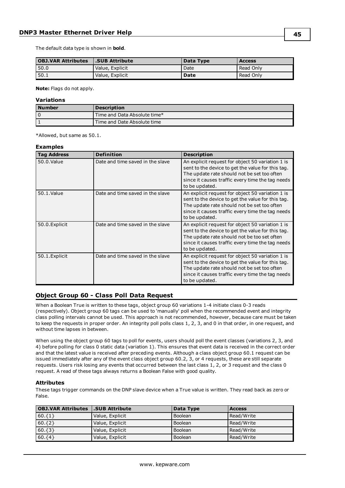The default data type is shown in **bold**.

| <b>OBJ.VAR Attributes</b> | <b>SUB Attribute</b> | Data Type | <b>Access</b> |
|---------------------------|----------------------|-----------|---------------|
| 50.0                      | Value, Explicit      | Date      | Read Only     |
| 50.1                      | Value, Explicit      | Date      | Read Only     |

**Note:** Flags do not apply.

#### **Variations**

| l Number | <b>Description</b>           |
|----------|------------------------------|
| 0        | Time and Data Absolute time* |
|          | Time and Date Absolute time  |

\*Allowed, but same as 50.1.

#### **Examples**

| <b>Tag Address</b> | <b>Definition</b>                | <b>Description</b>                                                                                                                                                                                                         |
|--------------------|----------------------------------|----------------------------------------------------------------------------------------------------------------------------------------------------------------------------------------------------------------------------|
| 50.0. Value        | Date and time saved in the slave | An explicit request for object 50 variation 1 is<br>sent to the device to get the value for this tag.<br>The update rate should not be set too often<br>since it causes traffic every time the tag needs<br>to be updated. |
| 50.1.Value         | Date and time saved in the slave | An explicit request for object 50 variation 1 is<br>sent to the device to get the value for this tag.<br>The update rate should not be set too often<br>since it causes traffic every time the tag needs<br>to be updated. |
| 50.0. Explicit     | Date and time saved in the slave | An explicit request for object 50 variation 1 is<br>sent to the device to get the value for this tag.<br>The update rate should not be too set often<br>since it causes traffic every time the tag needs<br>to be updated. |
| 50.1. Explicit     | Date and time saved in the slave | An explicit request for object 50 variation 1 is<br>sent to the device to get the value for this tag.<br>The update rate should not be set too often<br>since it causes traffic every time the tag needs<br>to be updated. |

### **Object Group 60 - Class Poll Data Request**

When a Boolean True is written to these tags, object group 60 variations 1-4 initiate class 0-3 reads (respectively). Object group 60 tags can be used to 'manually' poll when the recommended event and integrity class polling intervals cannot be used. This approach is not recommended, however, because care must be taken to keep the requests in proper order. An integrity poll polls class 1, 2, 3, and 0 in that order, in one request, and without time lapses in between.

When using the object group 60 tags to poll for events, users should poll the event classes (variations 2, 3, and 4) before polling for class 0 static data (variation 1). This ensures that event data is received in the correct order and that the latest value is received after preceding events. Although a class object group 60.1 request can be issued immediately after any of the event class object group 60.2, 3, or 4 requests, these are still separate requests. Users risk losing any events that occurred between the last class 1, 2, or 3 request and the class 0 request. A read of these tags always returns a Boolean False with good quality.

#### **Attributes**

These tags trigger commands on the DNP slave device when a True value is written. They read back as zero or False.

| <b>OBJ.VAR Attributes</b> | SUB Attribute.  | Data Type      | <b>Access</b> |
|---------------------------|-----------------|----------------|---------------|
| $60.$ {1}                 | Value, Explicit | <b>Boolean</b> | Read/Write    |
| $60.\{2\}$                | Value, Explicit | <b>Boolean</b> | Read/Write    |
| $60.\{3\}$                | Value, Explicit | <b>Boolean</b> | Read/Write    |
| $60.\{4\}$                | Value, Explicit | <b>Boolean</b> | Read/Write    |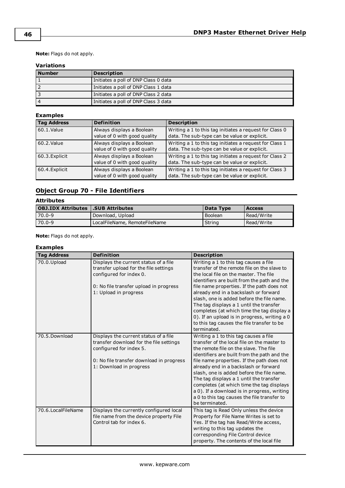**Note:** Flags do not apply.

### **Variations**

| <b>Number</b> | <b>Description</b>                   |
|---------------|--------------------------------------|
|               | Initiates a poll of DNP Class 0 data |
|               | Initiates a poll of DNP Class 1 data |
|               | Initiates a poll of DNP Class 2 data |
|               | Initiates a poll of DNP Class 3 data |

### **Examples**

| <b>Tag Address</b> | <b>Definition</b>                                         | <b>Description</b>                                                                                      |
|--------------------|-----------------------------------------------------------|---------------------------------------------------------------------------------------------------------|
| 60.1.Value         | Always displays a Boolean<br>value of 0 with good quality | Writing a 1 to this tag initiates a request for Class 0<br>data. The sub-type can be value or explicit. |
| 60.2. Value        | Always displays a Boolean<br>value of 0 with good quality | Writing a 1 to this tag initiates a request for Class 1<br>data. The sub-type can be value or explicit. |
| 60.3. Explicit     | Always displays a Boolean<br>value of 0 with good quality | Writing a 1 to this tag initiates a request for Class 2<br>data. The sub-type can be value or explicit. |
| 60.4. Explicit     | Always displays a Boolean<br>value of 0 with good quality | Writing a 1 to this tag initiates a request for Class 3<br>data. The sub-type can be value or explicit. |

### **Object Group 70 - File Identifiers**

### **Attributes**

| <b>OBJ.IDX Attributes   SUB Attributes  </b> |                               | Data Type      | Access     |  |
|----------------------------------------------|-------------------------------|----------------|------------|--|
| 70.0-9                                       | Download, Upload              | <b>Boolean</b> | Read/Write |  |
| 70.0-9                                       | LocalFileName, RemoteFileName | String         | Read/Write |  |

**Note:** Flags do not apply.

#### **Examples**

| <b>Tag Address</b>   | <b>Definition</b>                                                                                                                                                                  | <b>Description</b>                                                                                                                                                                                                                                                                                                                                                                                                                                                                                                        |
|----------------------|------------------------------------------------------------------------------------------------------------------------------------------------------------------------------------|---------------------------------------------------------------------------------------------------------------------------------------------------------------------------------------------------------------------------------------------------------------------------------------------------------------------------------------------------------------------------------------------------------------------------------------------------------------------------------------------------------------------------|
| 70.0.Upload          | Displays the current status of a file<br>transfer upload for the file settings<br>configured for index 0.<br>0: No file transfer upload in progress<br>1: Upload in progress       | Writing a 1 to this tag causes a file<br>transfer of the remote file on the slave to<br>the local file on the master. The file<br>identifiers are built from the path and the<br>file name properties. If the path does not<br>already end in a backslash or forward<br>slash, one is added before the file name.<br>The tag displays a 1 until the transfer<br>completes (at which time the tag display a<br>0). If an upload is in progress, writing a 0<br>to this tag causes the file transfer to be<br>terminated.   |
| 70.5.Download        | Displays the current status of a file<br>transfer download for the file settings<br>configured for index 5.<br>0: No file transfer download in progress<br>1: Download in progress | Writing a 1 to this tag causes a file<br>transfer of the local file on the master to<br>the remote file on the slave. The file<br>identifiers are built from the path and the<br>file name properties. If the path does not<br>already end in a backslash or forward<br>slash, one is added before the file name.<br>The tag displays a 1 until the transfer<br>completes (at which time the tag displays<br>a 0). If a download is in progress, writing<br>a 0 to this tag causes the file transfer to<br>be terminated. |
| 70.6. Local FileName | Displays the currently configured local<br>file name from the device property File<br>Control tab for index 6.                                                                     | This tag is Read Only unless the device<br>Property for File Name Writes is set to<br>Yes. If the tag has Read/Write access,<br>writing to this tag updates the<br>corresponding File Control device<br>property. The contents of the local file                                                                                                                                                                                                                                                                          |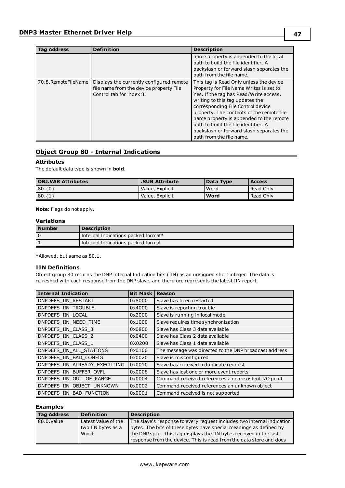| Tag Address         | <b>Definition</b>                                                                                               | <b>Description</b>                                                                                                                                                                                                                                                                                                                                                                                           |
|---------------------|-----------------------------------------------------------------------------------------------------------------|--------------------------------------------------------------------------------------------------------------------------------------------------------------------------------------------------------------------------------------------------------------------------------------------------------------------------------------------------------------------------------------------------------------|
|                     |                                                                                                                 | name property is appended to the local<br>path to build the file identifier. A<br>backslash or forward slash separates the<br>path from the file name.                                                                                                                                                                                                                                                       |
| 70.8.RemoteFileName | Displays the currently configured remote<br>file name from the device property File<br>Control tab for index 8. | This tag is Read Only unless the device<br>Property for File Name Writes is set to<br>Yes. If the tag has Read/Write access,<br>writing to this tag updates the<br>corresponding File Control device<br>property. The contents of the remote file<br>name property is appended to the remote<br>path to build the file identifier. A<br>backslash or forward slash separates the<br>path from the file name. |

### **Object Group 80 - Internal Indications**

#### **Attributes**

The default data type is shown in **bold**.

| <b>OBJ.VAR Attributes</b> | <b>.SUB Attribute</b> | Data Type | <b>Access</b> |
|---------------------------|-----------------------|-----------|---------------|
| 80.60                     | Value, Explicit       | Word      | Read Only     |
| $ 80.\{1\}$               | Value, Explicit       | Word      | Read Only     |

**Note:** Flags do not apply.

### **Variations**

| l Number | <b>Description</b>                  |
|----------|-------------------------------------|
|          | Internal Indications packed format* |
|          | Internal Indications packed format  |

\*Allowed, but same as 80.1.

### **IIN Definitions**

Object group 80 returns the DNP Internal Indication bits (IIN) as an unsigned short integer. The data is refreshed with each response from the DNP slave, and therefore represents the latest IIN report.

| <b>Internal Indication</b>    | <b>Bit Mask</b> | <b>Reason</b>                                         |
|-------------------------------|-----------------|-------------------------------------------------------|
| DNPDEFS IIN RESTART           | 0x8000          | Slave has been restarted                              |
| DNPDEFS IIN TROUBLE           | 0x4000          | Slave is reporting trouble                            |
| DNPDEFS IIN LOCAL             | 0x2000          | Slave is running in local mode                        |
| DNPDEFS IIN NEED TIME         | 0x1000          | Slave requires time synchronization                   |
| DNPDEFS IIN CLASS 3           | 0x0800          | Slave has Class 3 data available                      |
| DNPDEFS IIN CLASS 2           | 0x0400          | Slave has Class 2 data available                      |
| DNPDEFS IIN CLASS 1           | 0X0200          | Slave has Class 1 data available                      |
| DNPDEFS IIN ALL STATIONS      | 0x0100          | The message was directed to the DNP broadcast address |
| DNPDEFS IIN BAD CONFIG        | 0x0020          | Slave is misconfigured                                |
| DNPDEFS IIN ALREADY EXECUTING | 0x0010          | Slave has received a duplicate request                |
| DNPDEFS IIN BUFFER OVFL       | 0x0008          | Slave has lost one or more event reports              |
| DNPDEFS IIN OUT OF RANGE      | 0x0004          | Command received references a non-existent I/O point  |
| DNPDEFS IIN OBJECT UNKNOWN    | 0x0002          | Command received references an unknown object         |
| DNPDEFS IIN BAD FUNCTION      | 0x0001          | Command received is not supported                     |

### **Examples**

| Tag Address | <b>Definition</b>                                 | <b>Description</b>                                                                                                                                                                                                                                                                        |
|-------------|---------------------------------------------------|-------------------------------------------------------------------------------------------------------------------------------------------------------------------------------------------------------------------------------------------------------------------------------------------|
| 80.0.Value  | Latest Value of the<br>two IIN bytes as a<br>Word | The slave's response to every request includes two internal indication<br>bytes. The bits of these bytes have special meanings as defined by<br>the DNP spec. This tag displays the IIN bytes received in the last<br>response from the device. This is read from the data store and does |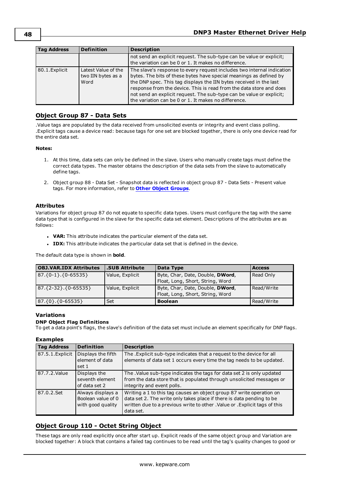| <b>Tag Address</b> | <b>Definition</b>                                 | <b>Description</b>                                                                                                                                                                                                                                                                                                                                                                                                        |
|--------------------|---------------------------------------------------|---------------------------------------------------------------------------------------------------------------------------------------------------------------------------------------------------------------------------------------------------------------------------------------------------------------------------------------------------------------------------------------------------------------------------|
|                    |                                                   | not send an explicit request. The sub-type can be value or explicit;<br>the variation can be 0 or 1. It makes no difference.                                                                                                                                                                                                                                                                                              |
| 80.1. Explicit     | Latest Value of the<br>two IIN bytes as a<br>Word | The slave's response to every request includes two internal indication<br>bytes. The bits of these bytes have special meanings as defined by<br>the DNP spec. This tag displays the IIN bytes received in the last<br>response from the device. This is read from the data store and does<br>not send an explicit request. The sub-type can be value or explicit;<br>the variation can be 0 or 1. It makes no difference. |

### **Object Group 87 - Data Sets**

.Value tags are populated by the data received from unsolicited events or integrity and event class polling. .Explicit tags cause a device read: because tags for one set are blocked together, there is only one device read for the entire data set.

#### **Notes:**

- 1. At this time, data sets can only be defined in the slave. Users who manually create tags must define the correct data types. The master obtains the description of the data sets from the slave to automatically define tags.
- 2. Object group 88 Data Set Snapshot data is reflected in object group 87 Data Sets Present value tags. For more information, refer to **Other Object [Groups](#page-50-0)**.

#### **Attributes**

Variations for object group 87 do not equate to specific data types. Users must configure the tag with the same data type that is configured in the slave for the specific data set element. Descriptions of the attributes are as follows:

- **VAR:** This attribute indicates the particular element of the data set.
- **IDX:** This attribute indicates the particular data set that is defined in the device.

The default data type is shown in **bold**.

| <b>OBJ.VAR.IDX Attributes</b> | <b>.SUB Attribute</b> | Data Type                                                                    | <b>Access</b> |
|-------------------------------|-----------------------|------------------------------------------------------------------------------|---------------|
| $87.\{0-1\}.\{0-65535\}$      | Value, Explicit       | Byte, Char, Date, Double, <b>DWord</b> ,<br>Float, Long, Short, String, Word | Read Only     |
| $87.\{2-32\}.\{0-65535\}$     | Value, Explicit       | Byte, Char, Date, Double, <b>DWord</b> ,<br>Float, Long, Short, String, Word | Read/Write    |
| $87.\{0\}.\{0-65535\}$        | Set                   | <b>Boolean</b>                                                               | Read/Write    |

#### **Variations**

#### **DNP Object Flag Definitions**

To get a data point's flags, the slave's definition of the data set must include an element specifically for DNP flags.

#### **Examples**

| <b>Tag Address</b> | <b>Definition</b>                                            | <b>Description</b>                                                                                                                                                                                                                        |
|--------------------|--------------------------------------------------------------|-------------------------------------------------------------------------------------------------------------------------------------------------------------------------------------------------------------------------------------------|
| 87.5.1. Explicit   | Displays the fifth<br>element of data<br>set 1               | The . Explicit sub-type indicates that a request to the device for all<br>elements of data set 1 occurs every time the tag needs to be updated.                                                                                           |
| 87.7.2. Value      | Displays the<br>seventh element<br>of data set 2             | The . Value sub-type indicates the tags for data set 2 is only updated<br>from the data store that is populated through unsolicited messages or<br>integrity and event polls.                                                             |
| 87.0.2.Set         | Always displays a<br>Boolean value of 0<br>with good quality | Writing a 1 to this tag causes an object group 87 write operation on<br>data set 2. The write only takes place if there is data pending to be<br>written due to a previous write to other . Value or . Explicit tags of this<br>data set. |

### **Object Group 110 - Octet String Object**

These tags are only read explicitly once after start up. Explicit reads of the same object group and Variation are blocked together: A block that contains a failed tag continues to be read until the tag's quality changes to good or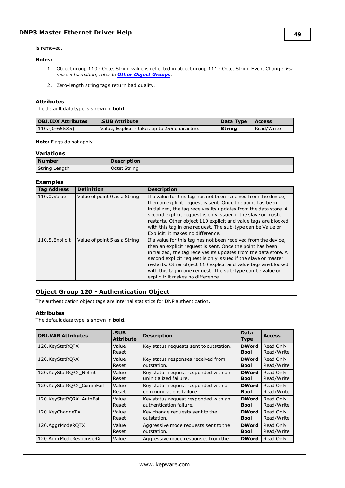is removed.

#### **Notes:**

- 1. Object group 110 Octet String value is reflected in object group 111 Octet String Event Change. *For more information, refer to Other Object [Groups](#page-50-0)*.
- 2. Zero-length string tags return bad quality.

#### **Attributes**

The default data type is shown in **bold**.

| <b>OBJ.IDX Attributes</b> | .SUB Attribute                               | Data Type Access |            |
|---------------------------|----------------------------------------------|------------------|------------|
| $ 110.\{0-65535\}$        | Value, Explicit - takes up to 255 characters | l Strina         | Read/Write |

**Note:** Flags do not apply.

### **Variations**

| <b>Number</b> | <b>Description</b> |
|---------------|--------------------|
| String Length | Octet String       |

#### **Examples**

| <b>Tag Address</b> | <b>Definition</b>            | <b>Description</b>                                                                                                                                                                                                                                                                                                                                                                                                                    |
|--------------------|------------------------------|---------------------------------------------------------------------------------------------------------------------------------------------------------------------------------------------------------------------------------------------------------------------------------------------------------------------------------------------------------------------------------------------------------------------------------------|
| 110.0.Value        | Value of point 0 as a String | If a value for this tag has not been received from the device,<br>then an explicit request is sent. Once the point has been<br>initialized, the tag receives its updates from the data store. A<br>second explicit request is only issued if the slave or master<br>restarts. Other object 110 explicit and value tags are blocked<br>with this tag in one request. The sub-type can be Value or<br>Explicit: it makes no difference. |
| 110.5. Explicit    | Value of point 5 as a String | If a value for this tag has not been received from the device,<br>then an explicit request is sent. Once the point has been<br>initialized, the tag receives its updates from the data store. A<br>second explicit request is only issued if the slave or master<br>restarts. Other object 110 explicit and value tags are blocked<br>with this tag in one request. The sub-type can be value or<br>explicit: it makes no difference. |

# **Object Group 120 - Authentication Object**

The authentication object tags are internal statistics for DNP authentication.

#### **Attributes**

The default data type is shown in **bold**.

| <b>OBJ.VAR Attributes</b> | .SUB<br><b>Attribute</b> | <b>Description</b>                      | <b>Data</b><br><b>Type</b> | <b>Access</b>           |
|---------------------------|--------------------------|-----------------------------------------|----------------------------|-------------------------|
| 120.KeyStatRQTX           | Value<br>Reset           | Key status requests sent to outstation. | <b>DWord</b><br>Bool       | Read Only<br>Read/Write |
| 120.KeyStatRQRX           | Value                    | Key status responses received from      | <b>DWord</b>               | Read Only               |
|                           | Reset                    | outstation.                             | Bool                       | Read/Write              |
| 120.KeyStatRORX NoInit    | Value                    | Key status request responded with an    | <b>DWord</b>               | Read Only               |
|                           | Reset                    | uninitialized failure.                  | <b>Bool</b>                | Read/Write              |
| 120.KeyStatRQRX_CommFail  | Value                    | Key status request responded with a     | <b>DWord</b>               | Read Only               |
|                           | Reset                    | communications failure.                 | Bool                       | Read/Write              |
| 120.KeyStatRORX AuthFail  | Value                    | Key status request responded with an    | <b>DWord</b>               | Read Only               |
|                           | Reset                    | authentication failure.                 | Bool                       | Read/Write              |
| 120.KeyChangeTX           | Value                    | Key change requests sent to the         | <b>DWord</b>               | Read Only               |
|                           | Reset                    | outstation.                             | <b>Bool</b>                | Read/Write              |
| 120.AggrModeRQTX          | Value                    | Aggressive mode requests sent to the    | <b>DWord</b>               | Read Only               |
|                           | Reset                    | outstation.                             | Bool                       | Read/Write              |
| 120.AggrModeResponseRX    | Value                    | Aggressive mode responses from the      | <b>DWord</b>               | Read Only               |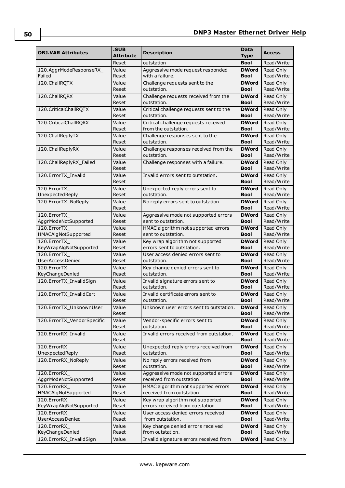| <b>OBJ.VAR Attributes</b>             | .SUB<br>Attribute | <b>Description</b>                                               | Data<br><b>Type</b>         | <b>Access</b>           |
|---------------------------------------|-------------------|------------------------------------------------------------------|-----------------------------|-------------------------|
|                                       | Reset             | outstation                                                       | <b>Bool</b>                 | Read/Write              |
| 120.AggrModeResponseRX                | Value             | Aggressive mode request responded                                | <b>DWord</b>                | Read Only               |
| Failed                                | Reset             | with a failure.                                                  | <b>Bool</b>                 | Read/Write              |
| 120.ChallRQTX                         | Value<br>Reset    | Challenge requests sent to the<br>outstation.                    | <b>DWord</b><br><b>Bool</b> | Read Only<br>Read/Write |
| 120.ChallRQRX                         | Value<br>Reset    | Challenge requests received from the<br>outstation.              | <b>DWord</b><br><b>Bool</b> | Read Only<br>Read/Write |
| 120. Critical Chall RQTX              | Value             | Critical challenge requests sent to the                          | <b>DWord</b>                | Read Only               |
|                                       | Reset             | outstation.                                                      | <b>Bool</b>                 | Read/Write              |
| 120. Critical Chall RQRX              | Value<br>Reset    | Critical challenge requests received<br>from the outstation.     | <b>DWord</b><br><b>Bool</b> | Read Only<br>Read/Write |
| 120.ChallReplyTX                      | Value             | Challenge responses sent to the                                  | <b>DWord</b>                | Read Only               |
|                                       | Reset             | outstation.                                                      | <b>Bool</b>                 | Read/Write              |
| 120. Chall ReplyRX                    | Value<br>Reset    | Challenge responses received from the<br>outstation.             | <b>DWord</b><br><b>Bool</b> | Read Only<br>Read/Write |
| 120. Chall ReplyRX Failed             | Value             | Challenge responses with a failure.                              | <b>DWord</b>                | Read Only               |
|                                       | Reset             |                                                                  | Bool                        | Read/Write              |
| 120.ErrorTX Invalid                   | Value             | Invalid errors sent to outstation.                               | <b>DWord</b>                | Read Only               |
|                                       | Reset             |                                                                  | <b>Bool</b>                 | Read/Write              |
| 120.ErrorTX<br>UnexpectedReply        | Value<br>Reset    | Unexpected reply errors sent to<br>outstation.                   | <b>DWord</b><br>Bool        | Read Only<br>Read/Write |
| 120.ErrorTX_NoReply                   | Value             | No reply errors sent to outstation.                              | <b>DWord</b>                | Read Only               |
|                                       | Reset             |                                                                  | <b>Bool</b>                 | Read/Write              |
| 120.ErrorTX                           | Value             | Aggressive mode not supported errors                             | <b>DWord</b>                | Read Only               |
| AggrModeNotSupported                  | Reset             | sent to outstation.                                              | <b>Bool</b>                 | Read/Write              |
| 120.ErrorTX                           | Value             | HMAC algorithm not supported errors                              | <b>DWord</b>                | Read Only               |
| <b>HMACAlgNotSupported</b>            | Reset             | sent to outstation.                                              | <b>Bool</b>                 | Read/Write              |
| 120.ErrorTX                           | Value<br>Reset    | Key wrap algorithm not supported<br>errors sent to outstation.   | <b>DWord</b><br><b>Bool</b> | Read Only<br>Read/Write |
| KeyWrapAlgNotSupported<br>120.ErrorTX | Value             | User access denied errors sent to                                | <b>DWord</b>                | Read Only               |
| <b>UserAccessDenied</b>               | Reset             | outstation.                                                      | <b>Bool</b>                 | Read/Write              |
| 120.ErrorTX                           | Value             | Key change denied errors sent to                                 | <b>DWord</b>                | Read Only               |
| KeyChangeDenied                       | Reset             | outstation.                                                      | <b>Bool</b>                 | Read/Write              |
| 120.ErrorTX_InvalidSign               | Value             | Invalid signature errors sent to                                 | <b>DWord</b>                | Read Only               |
|                                       | Reset             | outstation.                                                      | <b>Bool</b>                 | Read/Write              |
| 120.ErrorTX InvalidCert               | Value             | Invalid certificate errors sent to                               | <b>DWord</b>                | Read Only               |
|                                       | Reset             | outstation.                                                      | <b>Bool</b>                 | Read/Write              |
| 120. ErrorTX UnknownUser              | Value<br>Reset    | Unknown user errors sent to outstation.                          | <b>DWord</b><br><b>Bool</b> | Read Only<br>Read/Write |
| 120.ErrorTX_VendorSpecific            | Value             | Vendor-specific errors sent to                                   | <b>DWord</b>                | Read Only               |
|                                       | Reset             | outstation.                                                      | <b>Bool</b>                 | Read/Write              |
| 120.ErrorRX_Invalid                   | Value<br>Reset    | Invalid errors received from outstation.                         | <b>DWord</b><br><b>Bool</b> | Read Only<br>Read/Write |
| 120.ErrorRX                           | Value             | Unexpected reply errors received from                            | <b>DWord</b>                | Read Only               |
| UnexpectedReply                       | Reset             | outstation.                                                      | <b>Bool</b>                 | Read/Write              |
| 120.ErrorRX_NoReply                   | Value             | No reply errors received from                                    | <b>DWord</b>                | Read Only               |
|                                       | Reset             | outstation.                                                      | <b>Bool</b>                 | Read/Write              |
| 120.ErrorRX                           | Value             | Aggressive mode not supported errors                             | <b>DWord</b><br><b>Bool</b> | Read Only               |
| AggrModeNotSupported<br>120.ErrorRX   | Reset<br>Value    | received from outstation.<br>HMAC algorithm not supported errors | <b>DWord</b>                | Read/Write<br>Read Only |
| HMACAlgNotSupported                   | Reset             | received from outstation.                                        | <b>Bool</b>                 | Read/Write              |
| 120.ErrorRX                           | Value             | Key wrap algorithm not supported                                 | <b>DWord</b>                | Read Only               |
| KeyWrapAlgNotSupported                | Reset             | errors received from outstation.                                 | <b>Bool</b>                 | Read/Write              |
| 120.ErrorRX                           | Value             | User access denied errors received                               | <b>DWord</b>                | Read Only               |
| UserAccessDenied                      | Reset             | from outstation.                                                 | <b>Bool</b>                 | Read/Write              |
| 120.ErrorRX                           | Value             | Key change denied errors received                                | <b>DWord</b>                | Read Only               |
| KeyChangeDenied                       | Reset             | from outstation.                                                 | <b>Bool</b>                 | Read/Write              |
| 120.ErrorRX_InvalidSign               | Value             | Invalid signature errors received from                           | <b>DWord</b>                | Read Only               |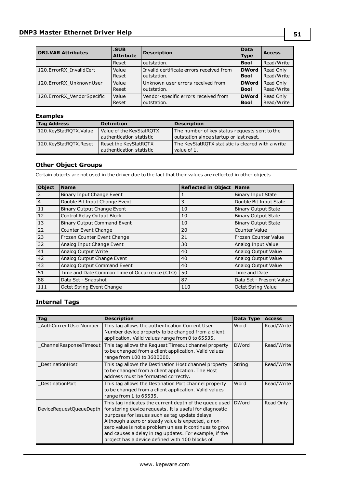| <b>OBJ.VAR Attributes</b>  | .SUB<br><b>Attribute</b> | <b>Description</b>                       | <b>Data</b><br><b>Type</b> | <b>Access</b> |
|----------------------------|--------------------------|------------------------------------------|----------------------------|---------------|
|                            | Reset                    | outstation.                              | <b>Bool</b>                | Read/Write    |
| 120.ErrorRX InvalidCert    | Value                    | Invalid certificate errors received from | <b>DWord</b>               | Read Only     |
|                            | Reset                    | outstation.                              | <b>Bool</b>                | Read/Write    |
| 120.ErrorRX UnknownUser    | Value                    | Unknown user errors received from        | <b>DWord</b>               | Read Only     |
|                            | Reset                    | outstation.                              | <b>Bool</b>                | Read/Write    |
| 120.ErrorRX VendorSpecific | Value                    | Vendor-specific errors received from     | <b>DWord</b>               | Read Only     |
|                            | Reset                    | outstation.                              | <b>Bool</b>                | Read/Write    |

### **Examples**

| <b>Tag Address</b>    | <b>Definition</b>                                    | <b>Description</b>                                                                       |
|-----------------------|------------------------------------------------------|------------------------------------------------------------------------------------------|
| 120.KeyStatROTX.Value | Value of the KeyStatROTX<br>authentication statistic | The number of key status requests sent to the<br>outstation since startup or last reset. |
| 120.KeyStatROTX.Reset | Reset the KeyStatROTX<br>authentication statistic    | The KeyStatRQTX statistic is cleared with a write<br>value of 1.                         |

### <span id="page-50-0"></span>**Other Object Groups**

Certain objects are not used in the driver due to the fact that their values are reflected in other objects.

| <b>Object</b>  | <b>Name</b>                                   | <b>Reflected in Object</b> | <b>Name</b>                |
|----------------|-----------------------------------------------|----------------------------|----------------------------|
| 2              | Binary Input Change Event                     | 1                          | <b>Binary Input State</b>  |
| $\overline{4}$ | Double Bit Input Change Event                 | 3                          | Double Bit Input State     |
| 11             | <b>Binary Output Change Event</b>             | 10                         | <b>Binary Output State</b> |
| 12             | Control Relay Output Block                    | 10                         | <b>Binary Output State</b> |
| 13             | <b>Binary Output Command Event</b>            | 10                         | <b>Binary Output State</b> |
| 22             | Counter Event Change                          | 20                         | <b>Counter Value</b>       |
| 23             | Frozen Counter Event Change                   | 21                         | Frozen Counter Value       |
| 32             | Analog Input Change Event                     | 30                         | Analog Input Value         |
| 41             | Analog Output Write                           | 40                         | Analog Output Value        |
| 42             | Analog Output Change Event                    | 40                         | Analog Output Value        |
| 43             | Analog Output Command Event                   | 40                         | Analog Output Value        |
| 51             | Time and Date Common Time of Occurrence (CTO) | 50                         | Time and Date              |
| 88             | Data Set - Snapshot                           | 87                         | Data Set - Present Value   |
| 111            | Octet String Event Change                     | 110                        | <b>Octet String Value</b>  |

### **Internal Tags**

| <b>Tag</b>              | <b>Description</b>                                                                                                                                                                                                                                                                                                                                                                                  | Data Type    | <b>Access</b> |
|-------------------------|-----------------------------------------------------------------------------------------------------------------------------------------------------------------------------------------------------------------------------------------------------------------------------------------------------------------------------------------------------------------------------------------------------|--------------|---------------|
| AuthCurrentUserNumber   | This tag allows the authentication Current User<br>Number device property to be changed from a client<br>application. Valid values range from 0 to 65535.                                                                                                                                                                                                                                           | Word         | Read/Write    |
|                         | ChannelResponseTimeout   This tag allows the Request Timeout channel property<br>to be changed from a client application. Valid values<br>range from 100 to 3600000.                                                                                                                                                                                                                                | <b>DWord</b> | Read/Write    |
| DestinationHost         | This tag allows the Destination Host channel property<br>to be changed from a client application. The Host<br>address must be formatted correctly.                                                                                                                                                                                                                                                  | String       | Read/Write    |
| <b>DestinationPort</b>  | This tag allows the Destination Port channel property<br>to be changed from a client application. Valid values<br>range from 1 to 65535.                                                                                                                                                                                                                                                            | Word         | Read/Write    |
| DeviceRequestQueueDepth | This tag indicates the current depth of the queue used<br>for storing device requests. It is useful for diagnostic<br>purposes for issues such as tag update delays.<br>Although a zero or steady value is expected, a non-<br>zero value is not a problem unless it continues to grow<br>and causes a delay in tag updates. For example, if the<br>project has a device defined with 100 blocks of | <b>DWord</b> | Read Only     |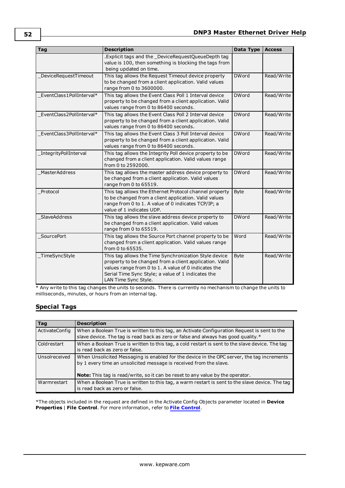| <b>Tag</b>               | <b>Description</b>                                                                                                                                                                                                                                     | Data Type    | <b>Access</b> |
|--------------------------|--------------------------------------------------------------------------------------------------------------------------------------------------------------------------------------------------------------------------------------------------------|--------------|---------------|
|                          | .Explicit tags and the _DeviceRequestQueueDepth tag<br>value is 100, then something is blocking the tags from<br>being updated on time.                                                                                                                |              |               |
| DeviceRequestTimeout     | This tag allows the Request Timeout device property<br>to be changed from a client application. Valid values<br>range from 0 to 3600000.                                                                                                               | <b>DWord</b> | Read/Write    |
| EventClass1PollInterval* | This tag allows the Event Class Poll 1 Interval device<br>property to be changed from a client application. Valid<br>values range from 0 to 86400 seconds.                                                                                             | <b>DWord</b> | Read/Write    |
| EventClass2PollInterval* | This tag allows the Event Class Poll 2 Interval device<br>property to be changed from a client application. Valid<br>values range from 0 to 86400 seconds.                                                                                             | <b>DWord</b> | Read/Write    |
| EventClass3PollInterval* | This tag allows the Event Class 3 Poll Interval device<br>property to be changed from a client application. Valid<br>values range from 0 to 86400 seconds.                                                                                             | <b>DWord</b> | Read/Write    |
| IntegrityPollInterval    | This tag allows the Integrity Poll device property to be<br>changed from a client application. Valid values range<br>from 0 to 2592000.                                                                                                                | <b>DWord</b> | Read/Write    |
| <b>MasterAddress</b>     | This tag allows the master address device property to<br>be changed from a client application. Valid values<br>range from 0 to 65519.                                                                                                                  | <b>DWord</b> | Read/Write    |
| Protocol                 | This tag allows the Ethernet Protocol channel property<br>to be changed from a client application. Valid values<br>range from 0 to 1. A value of 0 indicates TCP/IP; a<br>value of 1 indicates UDP.                                                    | <b>Byte</b>  | Read/Write    |
| SlaveAddress             | This tag allows the slave address device property to<br>be changed from a client application. Valid values<br>range from 0 to 65519.                                                                                                                   | <b>DWord</b> | Read/Write    |
| SourcePort               | This tag allows the Source Port channel property to be<br>changed from a client application. Valid values range<br>from 0 to 65535.                                                                                                                    | Word         | Read/Write    |
| TimeSyncStyle            | This tag allows the Time Synchronization Style device<br>property to be changed from a client application. Valid<br>values range from 0 to 1. A value of 0 indicates the<br>Serial Time Sync Style; a value of 1 indicates the<br>LAN Time Sync Style. | <b>Byte</b>  | Read/Write    |

\* Any write to this tag changes the units to seconds. There is currently no mechanism to change the units to milliseconds, minutes, or hours from an internal tag.

# **Special Tags**

| Tag            | <b>Description</b>                                                                                                                                                                                                                                        |
|----------------|-----------------------------------------------------------------------------------------------------------------------------------------------------------------------------------------------------------------------------------------------------------|
| ActivateConfig | When a Boolean True is written to this tag, an Activate Configuration Request is sent to the<br>slave device. The tag is read back as zero or false and always has good quality.*                                                                         |
| Coldrestart    | When a Boolean True is written to this tag, a cold restart is sent to the slave device. The tag<br>is read back as zero or false.                                                                                                                         |
| Unsolreceived  | When Unsolicited Messaging is enabled for the device in the OPC server, the tag increments<br>by 1 every time an unsolicited message is received from the slave.<br><b>Note:</b> This tag is read/write, so it can be reset to any value by the operator. |
| Warmrestart    | When a Boolean True is written to this tag, a warm restart is sent to the slave device. The tag<br>is read back as zero or false.                                                                                                                         |

\*The objects included in the request are defined in the Activate Config Objects parameter located in **Device Properties** | **File Control**. For more information, refer to **[File Control](#page-20-0)**.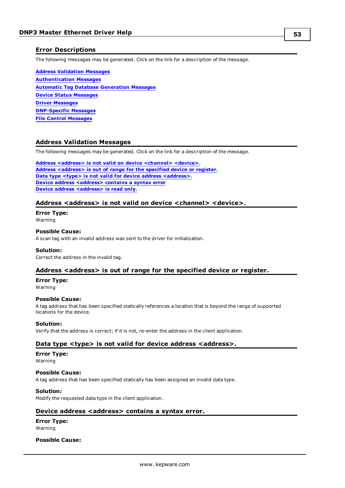### <span id="page-52-5"></span>**Error Descriptions**

The following messages may be generated. Click on the link for a description of the message.

**Address [Validation](#page-52-0) Messages [Authentication](#page-53-0) Messages Automatic Tag Database [Generation](#page-56-0) Messages Device Status [Messages](#page-57-0) Driver [Messages](#page-66-0) [DNP-Specific](#page-66-1) Messages File Control [Messages](#page-87-0)**

### <span id="page-52-0"></span>**Address Validation Messages**

The following messages may be generated. Click on the link for a description of the message.

**Address <address> is not valid on device [<channel>](#page-52-1) <device>. Address [<address>](#page-52-2) is out of range for the specified device or register. Data type <type> is not valid for device address [<address>](#page-52-3). Device address [<address>](#page-52-4)** contains a syntax error **Device address [<address>](#page-53-1) is read only.**

#### <span id="page-52-1"></span>**Address <address> is not valid on device <channel> <device>.**

**Error Type:** Warning

#### **Possible Cause:**

A scan tag with an invalid address was sent to the driver for initialization.

#### **Solution:**

<span id="page-52-2"></span>Correct the address in the invalid tag.

#### **Address <address> is out of range for the specified device or register.**

#### **Error Type:**

Warning

#### **Possible Cause:**

A tag address that has been specified statically references a location that is beyond the range of supported locations for the device.

#### **Solution:**

<span id="page-52-3"></span>Verify that the address is correct; if it is not, re-enter the address in the client application.

#### **Data type <type> is not valid for device address <address>.**

#### **Error Type:**

Warning

#### **Possible Cause:**

A tag address that has been specified statically has been assigned an invalid data type.

#### **Solution:**

<span id="page-52-4"></span>Modify the requested data type in the client application.

#### **Device address <address> contains a syntax error.**

### **Error Type:**

Warning

#### **Possible Cause:**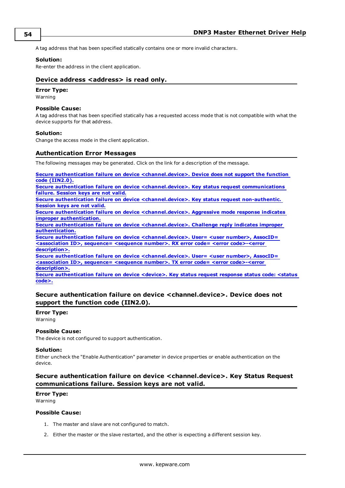A tag address that has been specified statically contains one or more invalid characters.

#### **Solution:**

<span id="page-53-1"></span>Re-enter the address in the client application.

#### **Device address <address>** is read only.

# **Error Type:**

Warning

#### **Possible Cause:**

A tag address that has been specified statically has a requested access mode that is not compatible with what the device supports for that address.

#### **Solution:**

<span id="page-53-0"></span>Change the access mode in the client application.

#### **Authentication Error Messages**

The following messages may be generated. Click on the link for a description of the message.

**Secure authentication failure on device [<channel.device>.](#page-53-2) Device does not support the function code [\(IIN2.0\).](#page-53-2)**

**Secure authentication failure on device [<channel.device>.](#page-53-3) Key status request communications failure. [Session](#page-53-3) keys are not valid.**

**Secure authentication failure on device [<channel.device>.](#page-54-0) Key status request non-authentic. [Session](#page-54-0) keys are not valid.**

**Secure authentication failure on device [<channel.device>.](#page-54-1) Aggressive mode response indicates improper [authentication.](#page-54-1)**

**Secure authentication failure on device [<channel.device>.](#page-54-2) Challenge reply indicates improper [authentication.](#page-54-2)**

**Secure authentication failure on device [<channel.device>.](#page-54-3) User= <user number>, AssocID= <association ID>, sequence= <sequence number>. RX error code= <error [code>-<error](#page-54-3) [description>.](#page-54-3)**

**Secure authentication failure on device [<channel.device>.](#page-55-0) User= <user number>, AssocID= <association ID>, sequence= <sequence number>. TX error code= <error [code>-<error](#page-55-0) [description>.](#page-55-0)**

**Secure [authentication](#page-56-1) failure on device <device>. Key status request response status code: <status [code>.](#page-56-1)**

### <span id="page-53-2"></span>**Secure authentication failure on device <channel.device>. Device does not support the function code (IIN2.0).**

#### **Error Type:**

Warning

#### **Possible Cause:**

The device is not configured to support authentication.

#### **Solution:**

Either uncheck the "Enable Authentication" parameter in device properties or enable authentication on the device.

### <span id="page-53-3"></span>**Secure authentication failure on device <channel.device>. Key Status Request communications failure. Session keys are not valid.**

#### **Error Type:**

Warning

#### **Possible Cause:**

- 1. The master and slave are not configured to match.
- 2. Either the master or the slave restarted, and the other is expecting a different session key.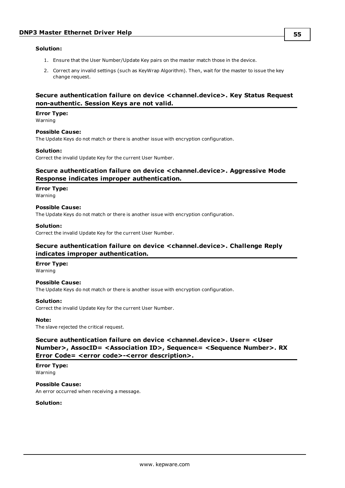#### **Solution:**

- 1. Ensure that the User Number/Update Key pairs on the master match those in the device.
- 2. Correct any invalid settings (such as KeyWrap Algorithm). Then, wait for the master to issue the key change request.

### <span id="page-54-0"></span>**Secure authentication failure on device <channel.device>. Key Status Request non-authentic. Session Keys are not valid.**

#### **Error Type:**

Warning

### **Possible Cause:**

The Update Keys do not match or there is another issue with encryption configuration.

#### **Solution:**

<span id="page-54-1"></span>Correct the invalid Update Key for the current User Number.

### **Secure authentication failure on device <channel.device>. Aggressive Mode Response indicates improper authentication.**

#### **Error Type:**

Warning

#### **Possible Cause:**

The Update Keys do not match or there is another issue with encryption configuration.

The Update Keys do not match or there is another issue with encryption configuration.

#### **Solution:**

<span id="page-54-2"></span>Correct the invalid Update Key for the current User Number.

### **Secure authentication failure on device <channel.device>. Challenge Reply indicates improper authentication.**

# **Error Type:**

**Possible Cause:**

Warning

# **Solution:**

Correct the invalid Update Key for the current User Number.

#### **Note:**

<span id="page-54-3"></span>The slave rejected the critical request.

### **Secure authentication failure on device <channel.device>. User= <User Number>, AssocID= <Association ID>, Sequence= <Sequence Number>. RX Error Code= <error code>-<error description>.**

**Error Type:** Warning

**Possible Cause:** An error occurred when receiving a message.

### **Solution:**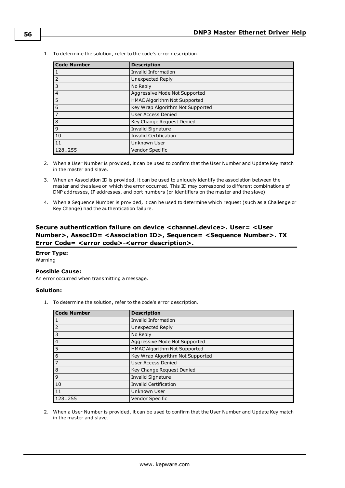1. To determine the solution, refer to the code's error description.

| <b>Code Number</b> | <b>Description</b>               |
|--------------------|----------------------------------|
| 1                  | Invalid Information              |
| $\overline{2}$     | Unexpected Reply                 |
| $\overline{3}$     | No Reply                         |
| $\overline{4}$     | Aggressive Mode Not Supported    |
| $\overline{5}$     | HMAC Algorithm Not Supported     |
| $\overline{6}$     | Key Wrap Algorithm Not Supported |
| $\overline{7}$     | User Access Denied               |
| $\overline{8}$     | Key Change Request Denied        |
| $\overline{9}$     | Invalid Signature                |
| 10                 | <b>Invalid Certification</b>     |
| 11                 | Unknown User                     |
| 128255             | Vendor Specific                  |

- 2. When a User Number is provided, it can be used to confirm that the User Number and Update Key match in the master and slave.
- 3. When an Association ID is provided, it can be used to uniquely identify the association between the master and the slave on which the error occurred. This ID may correspond to different combinations of DNP addresses, IP addresses, and port numbers (or identifiers on the master and the slave).
- 4. When a Sequence Number is provided, it can be used to determine which request (such as a Challenge or Key Change) had the authentication failure.

### <span id="page-55-0"></span>**Secure authentication failure on device <channel.device>. User= <User Number>, AssocID= <Association ID>, Sequence= <Sequence Number>. TX Error Code= <error code>-<error description>.**

## **Error Type:**

Warning

#### **Possible Cause:**

An error occurred when transmitting a message.

### **Solution:**

1. To determine the solution, refer to the code's error description.

| <b>Code Number</b> | <b>Description</b>               |
|--------------------|----------------------------------|
|                    | Invalid Information              |
| $\overline{2}$     | Unexpected Reply                 |
| $\overline{3}$     | No Reply                         |
| $\overline{4}$     | Aggressive Mode Not Supported    |
| 5                  | HMAC Algorithm Not Supported     |
| 6                  | Key Wrap Algorithm Not Supported |
| l 7                | User Access Denied               |
| 8                  | Key Change Request Denied        |
| 9                  | Invalid Signature                |
| 10                 | <b>Invalid Certification</b>     |
| 11                 | Unknown User                     |
| 128255             | <b>Vendor Specific</b>           |

2. When a User Number is provided, it can be used to confirm that the User Number and Update Key match in the master and slave.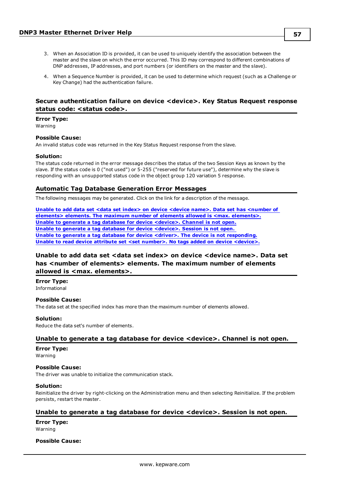- 3. When an Association ID is provided, it can be used to uniquely identify the association between the master and the slave on which the error occurred. This ID may correspond to different combinations of DNP addresses, IP addresses, and port numbers (or identifiers on the master and the slave).
- 4. When a Sequence Number is provided, it can be used to determine which request (such as a Challenge or Key Change) had the authentication failure.

### <span id="page-56-1"></span>**Secure authentication failure on device <device>. Key Status Request response status code: <status code>.**

#### **Error Type:**

Warning

#### **Possible Cause:**

An invalid status code was returned in the Key Status Request response from the slave.

#### **Solution:**

The status code returned in the error message describes the status of the two Session Keys as known by the slave. If the status code is 0 ("not used") or 5-255 ("reserved for future use"), determine why the slave is responding with an unsupported status code in the object group 120 variation 5 response.

#### <span id="page-56-0"></span>**Automatic Tag Database Generation Error Messages**

The following messages may be generated. Click on the link for a description of the message.

**Unable to add data set <data set index> on device <device name>. Data set has [<number](#page-56-2) of elements> elements. The maximum number of elements allowed is <max. [elements>.](#page-56-2) Unable to generate a tag database for device [<device>.](#page-56-3) Channel is not open. Unable to generate a tag database for device [<device>.](#page-56-4) Session is not open. Unable to generate a tag database for device <driver>. The device is not [responding.](#page-57-1) Unable to read device attribute set <set number>. No tags added on device [<device>.](#page-57-2)**

### <span id="page-56-2"></span>**Unable to add data set <data set index> on device <device name>. Data set has <number of elements> elements. The maximum number of elements allowed is <max. elements>.**

**Error Type:** Informational

#### **Possible Cause:**

The data set at the specified index has more than the maximum number of elements allowed.

#### **Solution:**

<span id="page-56-3"></span>Reduce the data set's number of elements.

#### **Unable to generate a tag database for device <device>. Channel is not open.**

#### **Error Type:**

Warning

#### **Possible Cause:**

The driver was unable to initialize the communication stack.

#### **Solution:**

Reinitialize the driver by right-clicking on the Administration menu and then selecting Reinitialize. If the problem persists, restart the master.

### <span id="page-56-4"></span>**Unable to generate a tag database for device <device>. Session is not open.**

**Error Type:** Warning

#### **Possible Cause:**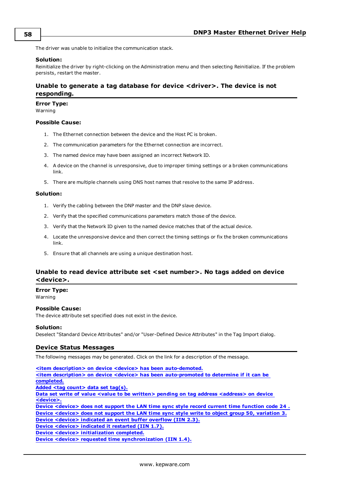The driver was unable to initialize the communication stack.

#### **Solution:**

Reinitialize the driver by right-clicking on the Administration menu and then selecting Reinitialize. If the problem persists, restart the master.

### <span id="page-57-1"></span>**Unable to generate a tag database for device <driver>. The device is not responding.**

#### **Error Type:**

Warning

### **Possible Cause:**

- 1. The Ethernet connection between the device and the Host PC is broken.
- 2. The communication parameters for the Ethernet connection are incorrect.
- 3. The named device may have been assigned an incorrect Network ID.
- 4. A device on the channel is unresponsive, due to improper timing settings or a broken communications link.
- 5. There are multiple channels using DNS host names that resolve to the same IP address.

#### **Solution:**

- 1. Verify the cabling between the DNP master and the DNP slave device.
- 2. Verify that the specified communications parameters match those of the device.
- 3. Verify that the Network ID given to the named device matches that of the actual device.
- 4. Locate the unresponsive device and then correct the timing settings or fix the broken communications link.
- 5. Ensure that all channels are using a unique destination host.

### <span id="page-57-2"></span>**Unable to read device attribute set <set number>. No tags added on device <device>.**

#### **Error Type:**

Warning

#### **Possible Cause:**

The device attribute set specified does not exist in the device.

#### **Solution:**

<span id="page-57-0"></span>Deselect "Standard Device Attributes" and/or "User-Defined Device Attributes" in the Tag Import dialog.

#### **Device Status Messages**

The following messages may be generated. Click on the link for a description of the message.

**<item description> on device <device> has been [auto-demoted.](#page-58-0) <item description> on device <device> has been [auto-promoted](#page-58-1) to determine if it can be [completed.](#page-58-1) Added <tag [count>](#page-58-2) data set tag(s). Data set write of value <value to be written> pending on tag address [<address>](#page-59-0) on device [<device>.](#page-59-0) Device [<device>](#page-59-1) does not support the LAN time sync style record current time function code 24 . Device [<device>](#page-59-2) does not support the LAN time sync style write to object group 50, variation 3. Device [<device>](#page-60-0) indicated an event buffer overflow (IIN 2.3). Device [<device>](#page-60-1) indicated it restarted (IIN 1.7). Device <device> [initialization](#page-60-2) completed. Device <device> requested time [synchronization](#page-61-0) (IIN 1.4).**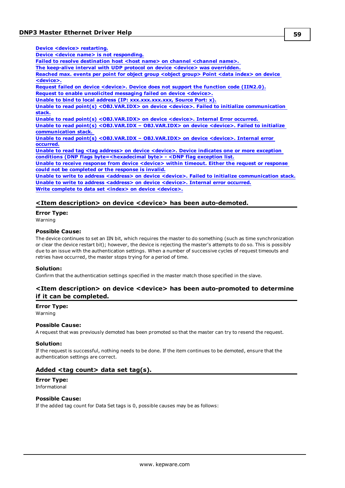| Device <device> restarting.</device>                                                                                |
|---------------------------------------------------------------------------------------------------------------------|
| Device <device name=""> is not responding.</device>                                                                 |
| Failed to resolve destination host <host name=""> on channel <channel name="">.</channel></host>                    |
| The keep-alive interval with UDP protocol on device < device> was overridden.                                       |
| Reached max. events per point for object group <object group=""> Point <data index=""> on device</data></object>    |
| <device>.</device>                                                                                                  |
| Request failed on device <device>. Device does not support the function code (IIN2.0).</device>                     |
| Request to enable unsolicited messaging failed on device <device>.</device>                                         |
| Unable to bind to local address (IP: XXX.XXX.XXX.XXX, Source Port: x).                                              |
| Unable to read point(s) <obj.var.idx> on device <device>. Failed to initialize communication</device></obj.var.idx> |
| stack.                                                                                                              |
| Unable to read point(s) <obj.var.idx> on device <device>. Internal Error occurred.</device></obj.var.idx>           |
| Unable to read point(s) < OBJ.VAR.IDX - OBJ.VAR.IDX> on device < device>. Failed to initialize                      |
| communication stack.                                                                                                |
| Unable to read point(s) < $OBJ_VAR.IDX - OBJ_VAR.IDX$ on device < device >. Internal error                          |
| occurred.                                                                                                           |
| Unable to read tag <tag address=""> on device <device>. Device indicates one or more exception</device></tag>       |
| conditions (DNP flags byte= <hexadecimal byte=""> - <dnp exception="" flag="" list.<="" td=""></dnp></hexadecimal>  |
| Unable to receive response from device <device> within timeout. Either the request or response</device>             |
| could not be completed or the response is invalid.                                                                  |
| llnable to write to address <address> on device <device> Failed to initialize communication sta</device></address>  |

**Unable to write to address <address> on device <device>. Failed to initialize [communication](#page-65-0) stack. Unable to write to address [<address>](#page-65-1) on device <device>. Internal error occurred. Write complete to data set <index> on device [<device>.](#page-65-2)**

### <span id="page-58-0"></span>**<Item description> on device <device> has been auto-demoted.**

**Error Type:** Warning

### **Possible Cause:**

The device continues to set an IIN bit, which requires the master to do something (such as time synchronization or clear the device restart bit); however, the device is rejecting the master's attempts to do so. This is possibly due to an issue with the authentication settings. When a number of successive cycles of request timeouts and retries have occurred, the master stops trying for a period of time.

#### **Solution:**

<span id="page-58-1"></span>Confirm that the authentication settings specified in the master match those specified in the slave.

### **<Item description> on device <device> has been auto-promoted to determine if it can be completed.**

### **Error Type:**

Warning

#### **Possible Cause:**

A request that was previously demoted has been promoted so that the master can try to resend the request.

#### **Solution:**

If the request is successful, nothing needs to be done. If the item continues to be demoted, ensure that the authentication settings are correct.

### <span id="page-58-2"></span>**Added <tag count> data set tag(s).**

#### **Error Type:** Informational

#### **Possible Cause:**

If the added tag count for Data Set tags is 0, possible causes may be as follows: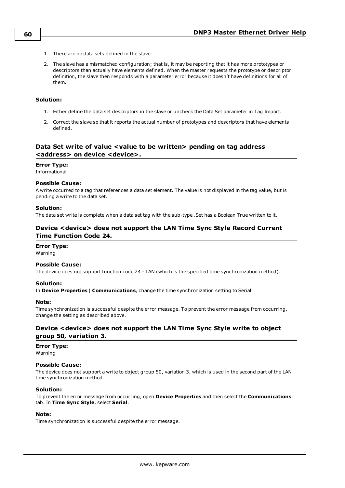- 1. There are no data sets defined in the slave.
- 2. The slave has a mismatched configuration; that is, it may be reporting that it has more prototypes or descriptors than actually have elements defined. When the master requests the prototype or descriptor definition, the slave then responds with a parameter error because it doesn't have definitions for all of them.

#### **Solution:**

- 1. Either define the data set descriptors in the slave or uncheck the Data Set parameter in Tag Import.
- 2. Correct the slave so that it reports the actual number of prototypes and descriptors that have elements defined.

### <span id="page-59-0"></span>**Data Set write of value <value to be written> pending on tag address <address> on device <device>.**

#### **Error Type:**

Informational

#### **Possible Cause:**

A write occurred to a tag that references a data set element. The value is not displayed in the tag value, but is pending a write to the data set.

#### **Solution:**

<span id="page-59-1"></span>The data set write is complete when a data set tag with the sub-type .Set has a Boolean True written to it.

### **Device <device> does not support the LAN Time Sync Style Record Current Time Function Code 24.**

#### **Error Type:**

Warning

#### **Possible Cause:**

The device does not support function code 24 - LAN (which is the specified time synchronization method).

#### **Solution:**

In **Device Properties** | **Communications**, change the time synchronization setting to Serial.

#### **Note:**

Time synchronization is successful despite the error message. To prevent the error message from occurring, change the setting as described above.

### <span id="page-59-2"></span>**Device <device> does not support the LAN Time Sync Style write to object group 50, variation 3.**

#### **Error Type:**

Warning

### **Possible Cause:**

The device does not support a write to object group 50, variation 3, which is used in the second part of the LAN time synchronization method.

#### **Solution:**

To prevent the error message from occurring, open **Device Properties** and then select the **Communications** tab. In **Time Sync Style**, select **Serial**.

#### **Note:**

Time synchronization is successful despite the error message.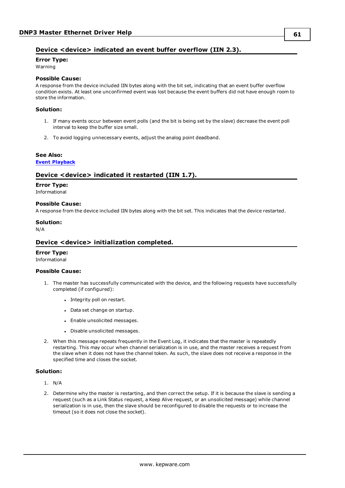### <span id="page-60-0"></span>**Device <device> indicated an event buffer overflow (IIN 2.3).**

## **Error Type:**

Warning

### **Possible Cause:**

A response from the device included IIN bytes along with the bit set, indicating that an event buffer overflow condition exists. At least one unconfirmed event was lost because the event buffers did not have enough room to store the information.

#### **Solution:**

- 1. If many events occur between event polls (and the bit is being set by the slave) decrease the event poll interval to keep the buffer size small.
- 2. To avoid logging unnecessary events, adjust the analog point deadband.

#### **See Also:**

#### <span id="page-60-1"></span>**Event [Playback](#page-15-0)**

### **Device <device> indicated it restarted (IIN 1.7).**

#### **Error Type:**

Informational

#### **Possible Cause:**

A response from the device included IIN bytes along with the bit set. This indicates that the device restarted.

# **Solution:**

<span id="page-60-2"></span>N/A

### **Device <device> initialization completed.**

#### **Error Type:**

Informational

#### **Possible Cause:**

- 1. The master has successfully communicated with the device, and the following requests have successfully completed (if configured):
	- Integrity poll on restart.
	- Data set change on startup.
	- Enable unsolicited messages.
	- Disable unsolicited messages.
- 2. When this message repeats frequently in the Event Log, it indicates that the master is repeatedly restarting. This may occur when channel serialization is in use, and the master receives a request from the slave when it does not have the channel token. As such, the slave does not receive a response in the specified time and closes the socket.

#### **Solution:**

- 1. N/A
- 2. Determine why the master is restarting, and then correct the setup. If it is because the slave is sending a request (such as a Link Status request, a Keep Alive request, or an unsolicited message) while channel serialization is in use, then the slave should be reconfigured to disable the requests or to increase the timeout (so it does not close the socket).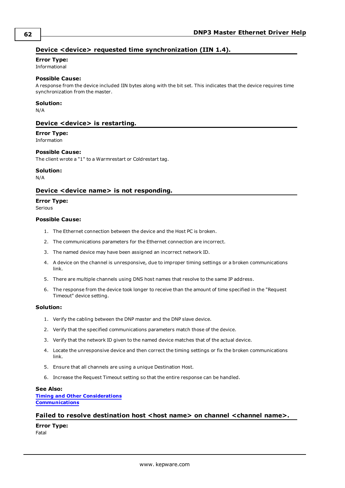### <span id="page-61-0"></span>**Device <device> requested time synchronization (IIN 1.4).**

### **Error Type:**

Informational

### **Possible Cause:**

A response from the device included IIN bytes along with the bit set. This indicates that the device requires time synchronization from the master.

#### **Solution:**

<span id="page-61-1"></span>N/A

### **Device <device> is restarting.**

#### **Error Type:** Information

#### **Possible Cause:**

The client wrote a "1" to a Warmrestart or Coldrestart tag.

#### **Solution:**

<span id="page-61-2"></span>N/A

### **Device <device name> is not responding.**

#### **Error Type:**

Serious

#### **Possible Cause:**

- 1. The Ethernet connection between the device and the Host PC is broken.
- 2. The communications parameters for the Ethernet connection are incorrect.
- 3. The named device may have been assigned an incorrect network ID.
- 4. A device on the channel is unresponsive, due to improper timing settings or a broken communications link.
- 5. There are multiple channels using DNS host names that resolve to the same IP address.
- 6. The response from the device took longer to receive than the amount of time specified in the "Request Timeout" device setting.

#### **Solution:**

- 1. Verify the cabling between the DNP master and the DNP slave device.
- 2. Verify that the specified communications parameters match those of the device.
- 3. Verify that the network ID given to the named device matches that of the actual device.
- 4. Locate the unresponsive device and then correct the timing settings or fix the broken communications link.
- 5. Ensure that all channels are using a unique Destination Host.
- 6. Increase the Request Timeout setting so that the entire response can be handled.

#### **See Also:**

**Timing and Other [Considerations](#page-23-0) [Communications](#page-11-0)**

#### <span id="page-61-3"></span>**Failed** to resolve destination host <host name> on channel <channel name>.

**Error Type:** Fatal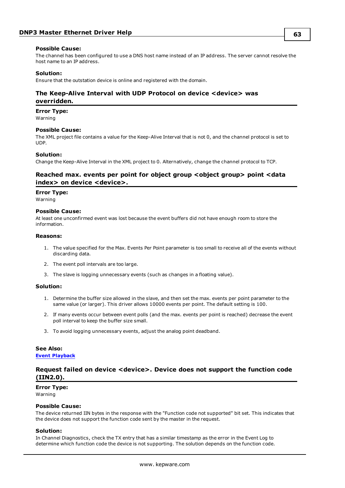#### **Possible Cause:**

The channel has been configured to use a DNS host name instead of an IP address. The server cannot resolve the host name to an IP address.

#### **Solution:**

<span id="page-62-0"></span>Ensure that the outstation device is online and registered with the domain.

### **The Keep-Alive Interval with UDP Protocol on device <device> was overridden.**

**Error Type:**

Warning

#### **Possible Cause:**

The XML project file contains a value for the Keep-Alive Interval that is not 0, and the channel protocol is set to UDP.

#### **Solution:**

<span id="page-62-1"></span>Change the Keep-Alive Interval in the XML project to 0. Alternatively, change the channel protocol to TCP.

### **Reached max. events per point for object group <object group> point <data index> on device <device>.**

#### **Error Type:**

Warning

#### **Possible Cause:**

At least one unconfirmed event was lost because the event buffers did not have enough room to store the information.

#### **Reasons:**

- 1. The value specified for the Max. Events Per Point parameter is too small to receive all of the events without discarding data.
- 2. The event poll intervals are too large.
- 3. The slave is logging unnecessary events (such as changes in a floating value).

#### **Solution:**

- 1. Determine the buffer size allowed in the slave, and then set the max. events per point parameter to the same value (or larger). This driver allows 10000 events per point. The default setting is 100.
- 2. If many events occur between event polls (and the max. events per point is reached) decrease the event poll interval to keep the buffer size small.
- 3. To avoid logging unnecessary events, adjust the analog point deadband.

#### **See Also:**

#### <span id="page-62-2"></span>**Event [Playback](#page-15-0)**

### **Request failed on device <device>. Device does not support the function code (IIN2.0).**

## **Error Type:**

Warning

### **Possible Cause:**

The device returned IIN bytes in the response with the "Function code not supported" bit set. This indicates that the device does not support the function code sent by the master in the request.

#### **Solution:**

In Channel Diagnostics, check the TX entry that has a similar timestamp as the error in the Event Log to determine which function code the device is not supporting. The solution depends on the function code.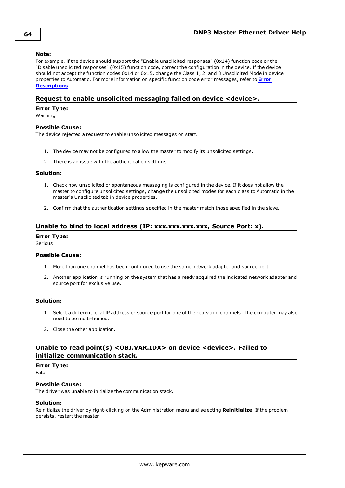#### **Note:**

For example, if the device should support the "Enable unsolicited responses" (0x14) function code or the "Disable unsolicited responses" (0x15) function code, correct the configuration in the device. If the device should not accept the function codes 0x14 or 0x15, change the Class 1, 2, and 3 Unsolicited Mode in device properties to Automatic. For more information on specific function code error messages, refer to **[Error](#page-52-5) [Descriptions](#page-52-5)**.

### <span id="page-63-0"></span>**Request to enable unsolicited messaging failed on device <device>.**

#### **Error Type:**

Warning

#### **Possible Cause:**

The device rejected a request to enable unsolicited messages on start.

- 1. The device may not be configured to allow the master to modify its unsolicited settings.
- 2. There is an issue with the authentication settings.

#### **Solution:**

- 1. Check how unsolicited or spontaneous messaging is configured in the device. If it does not allow the master to configure unsolicited settings, change the unsolicited modes for each class to Automatic in the master's Unsolicited tab in device properties.
- 2. Confirm that the authentication settings specified in the master match those specified in the slave.

### <span id="page-63-1"></span>**Unable to bind to local address (IP: xxx.xxx.xxx.xxx, Source Port: x).**

#### **Error Type:**

Serious

#### **Possible Cause:**

- 1. More than one channel has been configured to use the same network adapter and source port.
- 2. Another application is running on the system that has already acquired the indicated network adapter and source port for exclusive use.

#### **Solution:**

- 1. Select a different local IP address or source port for one of the repeating channels. The computer may also need to be multi-homed.
- 2. Close the other application.

### <span id="page-63-2"></span>**Unable to read point(s) <OBJ.VAR.IDX> on device <device>. Failed to initialize communication stack.**

**Error Type:**

Fatal

#### **Possible Cause:**

The driver was unable to initialize the communication stack.

#### **Solution:**

Reinitialize the driver by right-clicking on the Administration menu and selecting **Reinitialize**. If the problem persists, restart the master.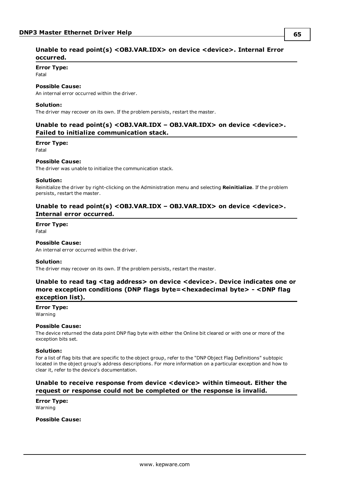### <span id="page-64-0"></span>**Unable to read point(s) <OBJ.VAR.IDX> on device <device>. Internal Error occurred.**

#### **Error Type:**

Fatal

### **Possible Cause:**

An internal error occurred within the driver.

#### **Solution:**

<span id="page-64-1"></span>The driver may recover on its own. If the problem persists, restart the master.

### **Unable to read point(s) <OBJ.VAR.IDX – OBJ.VAR.IDX> on device <device>. Failed to initialize communication stack.**

#### **Error Type:**

Fatal

#### **Possible Cause:**

The driver was unable to initialize the communication stack.

#### **Solution:**

Reinitialize the driver by right-clicking on the Administration menu and selecting **Reinitialize**. If the problem persists, restart the master.

### <span id="page-64-2"></span>**Unable to read point(s) <OBJ.VAR.IDX – OBJ.VAR.IDX> on device <device>. Internal error occurred.**

#### **Error Type:**

Fatal

### **Possible Cause:**

An internal error occurred within the driver.

#### **Solution:**

<span id="page-64-3"></span>The driver may recover on its own. If the problem persists, restart the master.

### **Unable to read tag <tag address> on device <device>. Device indicates one or more exception conditions (DNP flags byte=<hexadecimal byte> - <DNP flag exception list).**

#### **Error Type:**

Warning

#### **Possible Cause:**

The device returned the data point DNP flag byte with either the Online bit cleared or with one or more of the exception bits set.

#### **Solution:**

For a list of flag bits that are specific to the object group, refer to the "DNP Object Flag Definitions" subtopic located in the object group's address descriptions. For more information on a particular exception and how to clear it, refer to the device's documentation.

### <span id="page-64-4"></span>**Unable to receive response from device <device> within timeout. Either the request or response could not be completed or the response is invalid.**

#### **Error Type:** Warning

**Possible Cause:**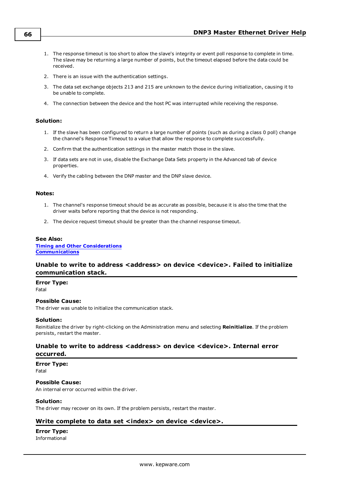- 1. The response timeout is too short to allow the slave's integrity or event poll response to complete in time. The slave may be returning a large number of points, but the timeout elapsed before the data could be received.
- 2. There is an issue with the authentication settings.
- 3. The data set exchange objects 213 and 215 are unknown to the device during initialization, causing it to be unable to complete.
- 4. The connection between the device and the host PC was interrupted while receiving the response.

#### **Solution:**

- 1. If the slave has been configured to return a large number of points (such as during a class 0 poll) change the channel's Response Timeout to a value that allow the response to complete successfully.
- 2. Confirm that the authentication settings in the master match those in the slave.
- 3. If data sets are not in use, disable the Exchange Data Sets property in the Advanced tab of device properties.
- 4. Verify the cabling between the DNP master and the DNP slave device.

#### **Notes:**

- 1. The channel's response timeout should be as accurate as possible, because it is also the time that the driver waits before reporting that the device is not responding.
- 2. The device request timeout should be greater than the channel response timeout.

#### **See Also:**

**Timing and Other [Considerations](#page-23-0) [Communications](#page-11-0)**

### <span id="page-65-0"></span>**Unable to write to address <address> on device <device>. Failed to initialize communication stack.**

**Error Type:**

Fatal

#### **Possible Cause:**

The driver was unable to initialize the communication stack.

#### **Solution:**

Reinitialize the driver by right-clicking on the Administration menu and selecting **Reinitialize**. If the problem persists, restart the master.

### <span id="page-65-1"></span>**Unable to write to address <address> on device <device>. Internal error occurred.**

#### **Error Type:**

Fatal

#### **Possible Cause:**

An internal error occurred within the driver.

#### **Solution:**

<span id="page-65-2"></span>The driver may recover on its own. If the problem persists, restart the master.

#### **Write complete to data set <index> on device <device>.**

#### **Error Type:**

Informational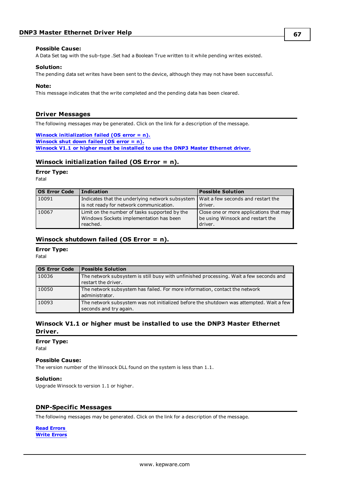#### **Possible Cause:**

A Data Set tag with the sub-type .Set had a Boolean True written to it while pending writes existed.

#### **Solution:**

The pending data set writes have been sent to the device, although they may not have been successful.

#### **Note:**

This message indicates that the write completed and the pending data has been cleared.

### <span id="page-66-0"></span>**Driver Messages**

The following messages may be generated. Click on the link for a description of the message.

### **Winsock [initialization](#page-66-2) failed (OS error = n).**

**[Winsock](#page-66-3) shut down failed (OS error = n). Winsock V1.1 or higher must be [installed](#page-66-4) to use the DNP3 Master Ethernet driver.**

### <span id="page-66-2"></span>**Winsock initialization failed (OS Error = n).**

#### **Error Type:**

Fatal

| <b>OS Error Code</b> | <b>Indication</b>                                                                    | <b>Possible Solution</b>                |
|----------------------|--------------------------------------------------------------------------------------|-----------------------------------------|
| 10091                | Indicates that the underlying network subsystem   Wait a few seconds and restart the |                                         |
|                      | is not ready for network communication.                                              | driver.                                 |
| 10067                | Limit on the number of tasks supported by the                                        | Close one or more applications that may |
|                      | Windows Sockets implementation has been                                              | be using Winsock and restart the        |
|                      | reached.                                                                             | driver.                                 |

### <span id="page-66-3"></span>**Winsock shutdown failed (OS Error = n).**

#### **Error Type:**

Fatal

| OS Error Code | <b>Possible Solution</b>                                                                                          |
|---------------|-------------------------------------------------------------------------------------------------------------------|
| 10036         | The network subsystem is still busy with unfinished processing. Wait a few seconds and<br>restart the driver.     |
| 10050         | The network subsystem has failed. For more information, contact the network<br>administrator.                     |
| 10093         | The network subsystem was not initialized before the shutdown was attempted. Wait a few<br>seconds and try again. |

### <span id="page-66-4"></span>**Winsock V1.1 or higher must be installed to use the DNP3 Master Ethernet Driver.**

**Error Type:**

Fatal

#### **Possible Cause:**

The version number of the Winsock DLL found on the system is less than 1.1.

**Solution:** Upgrade Winsock to version 1.1 or higher.

### <span id="page-66-1"></span>**DNP-Specific Messages**

The following messages may be generated. Click on the link for a description of the message.

**Read [Errors](#page-67-0) Write [Errors](#page-77-0)**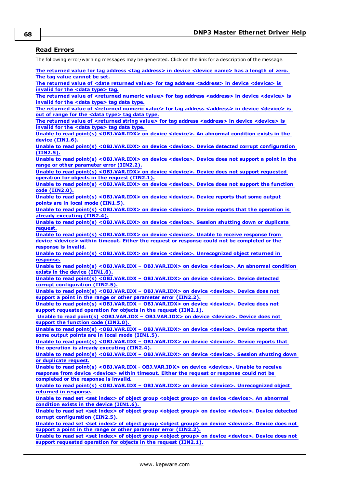### <span id="page-67-0"></span>**Read Errors**

The following error/warning messages may be generated. Click on the link for a description of the message.

**The returned value for tag address <tag [address>](#page-68-0) in device <device name> has a length of zero. The tag value [cannot](#page-68-0) be set.**

**The returned value of <date returned value> for tag address [<address>](#page-68-1) in device <device> is [invalid](#page-68-1) for the <data type> tag.**

**The returned value of <returned numeric value> for tag address [<address>](#page-68-2) in device <device> is [invalid](#page-68-2) for the <data type> tag data type.**

**The returned value of <returned numeric value> for tag address [<address>](#page-68-3) in device <device> is out of range for the <data [type>](#page-68-3) tag data type.**

**The returned value of <returned string value> for tag address [<address>](#page-69-0) in device <device> is [invalid](#page-69-0) for the <data type> tag data type.**

**Unable to read point(s) [<OBJ.VAR.IDX>](#page-69-1) on device <device>. An abnormal condition exists in the device [\(IIN1.6\).](#page-69-1)**

**Unable to read point(s) [<OBJ.VAR.IDX>](#page-69-2) on device <device>. Device detected corrupt configuration [\(IIN2.5\).](#page-69-2)**

**Unable to read point(s) [<OBJ.VAR.IDX>](#page-69-3) on device <device>. Device does not support a point in the range or other [parameter](#page-69-3) error (IIN2.2).**

**Unable to read point(s) [<OBJ.VAR.IDX>](#page-69-4) on device <device>. Device does not support requested operation for objects in the request [\(IIN2.1\).](#page-69-4)**

**Unable to read point(s) [<OBJ.VAR.IDX>](#page-70-0) on device <device>. Device does not support the function code [\(IIN2.0\).](#page-70-0)**

**Unable to read point(s) [<OBJ.VAR.IDX>](#page-70-1) on device <device>. Device reports that some output points are in local mode [\(IIN1.5\).](#page-70-1)**

**Unable to read point(s) [<OBJ.VAR.IDX>](#page-70-2) on device <device>. Device reports that the operation is already [executing](#page-70-2) (IIN2.4).**

**Unable to read point(s) [<OBJ.VAR.IDX>](#page-70-3) on device <device>. Session shutting down or duplicate [request.](#page-70-3)**

**Unable to read point(s) [<OBJ.VAR.IDX>](#page-71-0) on device <device>. Unable to receive response from device <device> within timeout. Either the request or response could not be [completed](#page-71-0) or the [response](#page-71-0) is invalid.**

**Unable to read point(s) [<OBJ.VAR.IDX>](#page-71-1) on device <device>. Unrecognized object returned in [response.](#page-71-1)**

**Unable to read point(s) <OBJ.VAR.IDX – [OBJ.VAR.IDX>](#page-72-0) on device <device>. An abnormal condition exists in the device [\(IIN1.6\).](#page-72-0)**

**Unable to read point(s) <OBJ.VAR.IDX – [OBJ.VAR.IDX>](#page-72-1) on device <device>. Device detected corrupt [configuration](#page-72-1) (IIN2.5).**

**Unable to read point(s) <OBJ.VAR.IDX – [OBJ.VAR.IDX>](#page-72-2) on device <device>. Device does not support a point in the range or other [parameter](#page-72-2) error (IIN2.2).**

**Unable to read point(s) <OBJ.VAR.IDX – [OBJ.VAR.IDX>](#page-72-3) on device <device>. Device does not support [requested](#page-72-3) operation for objects in the request (IIN2.1).**

**Unable to read point(s) <OBJ.VAR.IDX – [OBJ.VAR.IDX>](#page-72-4) on device <device>. Device does not support the function code [\(IIN2.0\).](#page-72-4)**

**Unable to read point(s) <OBJ.VAR.IDX – [OBJ.VAR.IDX>](#page-73-0) on device <device>. Device reports that some output points are in local mode [\(IIN1.5\).](#page-73-0)**

**Unable to read point(s) <OBJ.VAR.IDX – [OBJ.VAR.IDX>](#page-73-1) on device <device>. Device reports that the operation is already [executing](#page-73-1) (IIN2.4).**

**Unable to read point(s) <OBJ.VAR.IDX – [OBJ.VAR.IDX>](#page-73-2) on device <device>. Session shutting down or [duplicate](#page-73-2) request.**

**Unable to read point(s) <OBJ.VAR.IDX - [OBJ.VAR.IDX>](#page-71-0) on device <device>. Unable to receive response from device [<device>](#page-71-0) within timeout. Either the request or response could not be [completed](#page-71-0) or the response is invalid.**

**Unable to read point(s) <OBJ.VAR.IDX – [OBJ.VAR.IDX>](#page-74-0) on device <device>. Unrecognized object returned in [response.](#page-74-0)**

**Unable to read set <set index> of object group <object group> on device [<device>.](#page-74-1) An abnormal condition exists in the device [\(IIN1.6\).](#page-74-1)**

**Unable to read set <set index> of object group <object group> on device [<device>.](#page-74-2) Device detected corrupt [configuration](#page-74-2) (IIN2.5).**

**Unable to read set <set index> of object group <object group> on device [<device>.](#page-74-3) Device does not support a point in the range or other [parameter](#page-74-3) error (IIN2.2).**

**Unable to read set <set index> of object group <object group> on device [<device>.](#page-75-0) Device does not support [requested](#page-75-0) operation for objects in the request (IIN2.1).**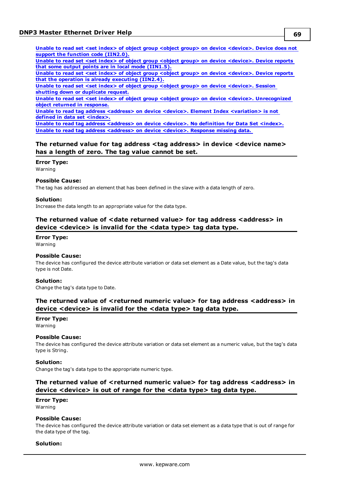**Unable to read set <set index> of object group <object group> on device [<device>.](#page-75-1) Device does not support the function code [\(IIN2.0\).](#page-75-1)**

**Unable to read set <set index> of object group <object group> on device [<device>.](#page-75-2) Device reports that some output points are in local mode [\(IIN1.5\).](#page-75-2)**

**Unable to read set <set index> of object group <object group> on device [<device>.](#page-75-3) Device reports that the operation is already [executing](#page-75-3) (IIN2.4).**

**Unable to read set <set index> of object group <object group> on device [<device>.](#page-76-0) Session shutting down or [duplicate](#page-76-0) request.**

**Unable to read set <set index> of object group <object group> on device <device>. [Unrecognized](#page-76-1) object returned in [response.](#page-76-1)**

**Unable to read tag address <address> on device <device>. Element Index [<variation>](#page-76-2) is not defined in data set [<index>.](#page-76-2)**

**Unable to read tag address [<address>](#page-77-1) on device <device>. No definition for Data Set <index>. Unable to read tag address [<address>](#page-77-2) on device <device>. Response missing data.**

### <span id="page-68-0"></span>**The returned value for tag address <tag address> in device <device name> has a length of zero. The tag value cannot be set.**

#### **Error Type:**

Warning

# **Possible Cause:**

The tag has addressed an element that has been defined in the slave with a data length of zero.

#### **Solution:**

<span id="page-68-1"></span>Increase the data length to an appropriate value for the data type.

### **The returned value of <date returned value> for tag address <address> in device <device> is invalid for the <data type> tag data type.**

### **Error Type:**

Warning

#### **Possible Cause:**

The device has configured the device attribute variation or data set element as a Date value, but the tag's data type is not Date.

#### **Solution:**

<span id="page-68-2"></span>Change the tag's data type to Date.

### **The returned value of <returned numeric value> for tag address <address> in device <device> is invalid for the <data type> tag data type.**

### **Error Type:**

Warning

#### **Possible Cause:**

The device has configured the device attribute variation or data set element as a numeric value, but the tag's data type is String.

#### **Solution:**

<span id="page-68-3"></span>Change the tag's data type to the appropriate numeric type.

### **The returned value of <returned numeric value> for tag address <address> in device <device> is out of range for the <data type> tag data type.**

# **Error Type:**

Warning

### **Possible Cause:**

The device has configured the device attribute variation or data set element as a data type that is out of range for the data type of the tag.

#### **Solution:**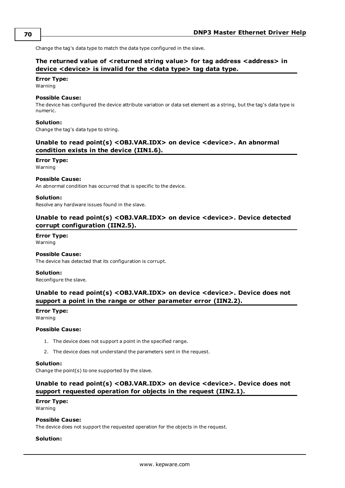### <span id="page-69-0"></span>**The returned value of <returned string value> for tag address <address> in device <device> is invalid for the <data type> tag data type.**

# **Error Type:**

Warning

### **Possible Cause:**

The device has configured the device attribute variation or data set element as a string, but the tag's data type is numeric.

### **Solution:**

<span id="page-69-1"></span>Change the tag's data type to string.

### **Unable to read point(s) <OBJ.VAR.IDX> on device <device>. An abnormal condition exists in the device (IIN1.6).**

### **Error Type:**

Warning

### **Possible Cause:**

An abnormal condition has occurred that is specific to the device.

#### **Solution:**

<span id="page-69-2"></span>Resolve any hardware issues found in the slave.

### **Unable to read point(s) <OBJ.VAR.IDX> on device <device>. Device detected corrupt configuration (IIN2.5).**

# **Error Type:**

Warning

### **Possible Cause:**

The device has detected that its configuration is corrupt.

#### **Solution:**

<span id="page-69-3"></span>Reconfigure the slave.

### **Unable to read point(s) <OBJ.VAR.IDX> on device <device>. Device does not support a point in the range or other parameter error (IIN2.2).**

### **Error Type:**

Warning

#### **Possible Cause:**

- 1. The device does not support a point in the specified range.
- 2. The device does not understand the parameters sent in the request.

#### **Solution:**

<span id="page-69-4"></span>Change the point(s) to one supported by the slave.

### **Unable to read point(s) <OBJ.VAR.IDX> on device <device>. Device does not support requested operation for objects in the request (IIN2.1).**

### **Error Type:**

Warning

#### **Possible Cause:**

The device does not support the requested operation for the objects in the request.

### **Solution:**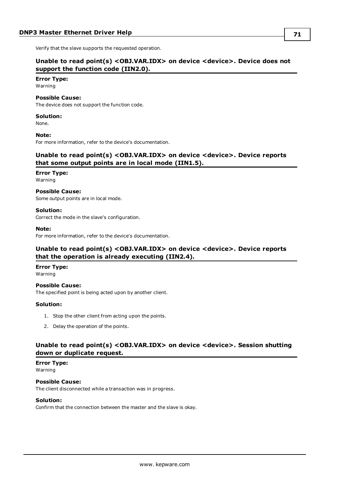<span id="page-70-0"></span>Verify that the slave supports the requested operation.

### **Unable to read point(s) <OBJ.VAR.IDX> on device <device>. Device does not support the function code (IIN2.0).**

### **Error Type:**

Warning

#### **Possible Cause:**

The device does not support the function code.

#### **Solution:**

None.

#### **Note:**

<span id="page-70-1"></span>For more information, refer to the device's documentation.

### **Unable to read point(s) <OBJ.VAR.IDX> on device <device>. Device reports that some output points are in local mode (IIN1.5).**

### **Error Type:**

Warning

#### **Possible Cause:**

Some output points are in local mode.

### **Solution:**

Correct the mode in the slave's configuration.

#### **Note:**

<span id="page-70-2"></span>For more information, refer to the device's documentation.

### **Unable to read point(s) <OBJ.VAR.IDX> on device <device>. Device reports that the operation is already executing (IIN2.4).**

#### **Error Type:**

Warning

#### **Possible Cause:** The specified point is being acted upon by another client.

#### **Solution:**

- 1. Stop the other client from acting upon the points.
- 2. Delay the operation of the points.

### <span id="page-70-3"></span>**Unable to read point(s) <OBJ.VAR.IDX> on device <device>. Session shutting down or duplicate request.**

#### **Error Type:**

Warning

#### **Possible Cause:**

The client disconnected while a transaction was in progress.

#### **Solution:**

Confirm that the connection between the master and the slave is okay.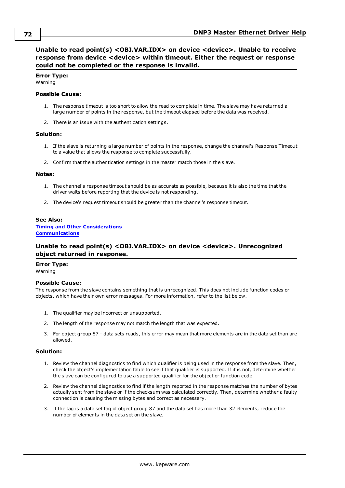<span id="page-71-0"></span>**Unable to read point(s) <OBJ.VAR.IDX> on device <device>. Unable to receive response from device <device> within timeout. Either the request or response could not be completed or the response is invalid.**

#### **Error Type:**

Warning

#### **Possible Cause:**

- 1. The response timeout is too short to allow the read to complete in time. The slave may have returned a large number of points in the response, but the timeout elapsed before the data was received.
- 2. There is an issue with the authentication settings.

#### **Solution:**

- 1. If the slave is returning a large number of points in the response, change the channel's Response Timeout to a value that allows the response to complete successfully.
- 2. Confirm that the authentication settings in the master match those in the slave.

#### **Notes:**

- 1. The channel's response timeout should be as accurate as possible, because it is also the time that the driver waits before reporting that the device is not responding.
- 2. The device's request timeout should be greater than the channel's response timeout.

#### **See Also:**

**Timing and Other [Considerations](#page-23-0) [Communications](#page-11-0)**

### <span id="page-71-1"></span>**Unable to read point(s) <OBJ.VAR.IDX> on device <device>. Unrecognized object returned in response.**

# **Error Type:**

Warning

#### **Possible Cause:**

The response from the slave contains something that is unrecognized. This does not include function codes or objects, which have their own error messages. For more information, refer to the list below.

- 1. The qualifier may be incorrect or unsupported.
- 2. The length of the response may not match the length that was expected.
- 3. For object group 87 data sets reads, this error may mean that more elements are in the data set than are allowed.

#### **Solution:**

- 1. Review the channel diagnostics to find which qualifier is being used in the response from the slave. Then, check the object's implementation table to see if that qualifier is supported. If it is not, determine whether the slave can be configured to use a supported qualifier for the object or function code.
- 2. Review the channel diagnostics to find if the length reported in the response matches the number of bytes actually sent from the slave or if the checksum was calculated correctly. Then, determine whether a faulty connection is causing the missing bytes and correct as necessary.
- 3. If the tag is a data set tag of object group 87 and the data set has more than 32 elements, reduce the number of elements in the data set on the slave.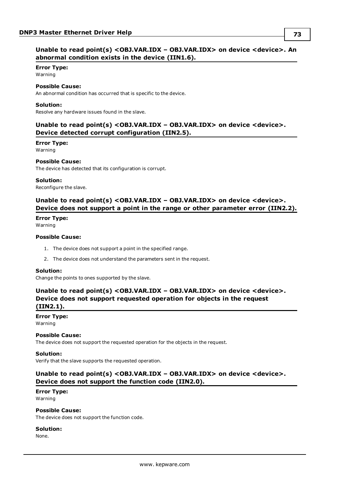### <span id="page-72-0"></span>**Unable to read point(s) <OBJ.VAR.IDX – OBJ.VAR.IDX> on device <device>. An abnormal condition exists in the device (IIN1.6).**

#### **Error Type:**

Warning

### **Possible Cause:**

An abnormal condition has occurred that is specific to the device.

#### **Solution:**

<span id="page-72-1"></span>Resolve any hardware issues found in the slave.

### **Unable to read point(s) <OBJ.VAR.IDX – OBJ.VAR.IDX> on device <device>. Device detected corrupt configuration (IIN2.5).**

#### **Error Type:**

Warning

#### **Possible Cause:**

The device has detected that its configuration is corrupt.

#### **Solution:**

<span id="page-72-2"></span>Reconfigure the slave.

### **Unable to read point(s) <OBJ.VAR.IDX – OBJ.VAR.IDX> on device <device>. Device does not support a point in the range or other parameter error (IIN2.2).**

### **Error Type:**

Warning

### **Possible Cause:**

- 1. The device does not support a point in the specified range.
- 2. The device does not understand the parameters sent in the request.

#### **Solution:**

<span id="page-72-3"></span>Change the points to ones supported by the slave.

### **Unable to read point(s) <OBJ.VAR.IDX – OBJ.VAR.IDX> on device <device>. Device does not support requested operation for objects in the request (IIN2.1).**

# **Error Type:**

Warning

#### **Possible Cause:**

The device does not support the requested operation for the objects in the request.

#### **Solution:**

<span id="page-72-4"></span>Verify that the slave supports the requested operation.

### **Unable to read point(s) <OBJ.VAR.IDX – OBJ.VAR.IDX> on device <device>. Device does not support the function code (IIN2.0).**

### **Error Type:**

Warning

### **Possible Cause:**

The device does not support the function code.

#### **Solution:**

None.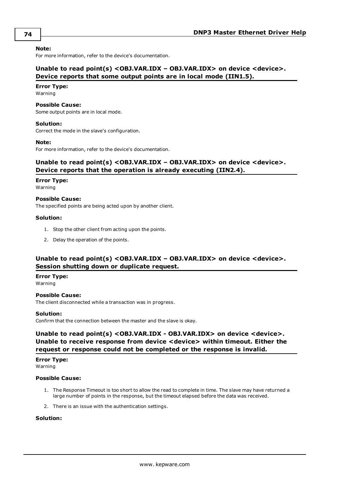#### **Note:**

<span id="page-73-1"></span>For more information, refer to the device's documentation.

### **Unable to read point(s) <OBJ.VAR.IDX – OBJ.VAR.IDX> on device <device>. Device reports that some output points are in local mode (IIN1.5).**

#### **Error Type:**

Warning

#### **Possible Cause:**

Some output points are in local mode.

#### **Solution:**

Correct the mode in the slave's configuration.

#### **Note:**

<span id="page-73-2"></span>For more information, refer to the device's documentation.

### **Unable to read point(s) <OBJ.VAR.IDX – OBJ.VAR.IDX> on device <device>. Device reports that the operation is already executing (IIN2.4).**

#### **Error Type:**

Warning

#### **Possible Cause:**

The specified points are being acted upon by another client.

#### **Solution:**

- 1. Stop the other client from acting upon the points.
- 2. Delay the operation of the points.

### <span id="page-73-3"></span>**Unable to read point(s) <OBJ.VAR.IDX – OBJ.VAR.IDX> on device <device>. Session shutting down or duplicate request.**

#### **Error Type:**

Warning

#### **Possible Cause:**

The client disconnected while a transaction was in progress.

#### **Solution:**

<span id="page-73-0"></span>Confirm that the connection between the master and the slave is okay.

### **Unable to read point(s) <OBJ.VAR.IDX - OBJ.VAR.IDX> on device <device>. Unable to receive response from device <device> within timeout. Either the request or response could not be completed or the response is invalid.**

# **Error Type:**

Warning

#### **Possible Cause:**

- 1. The Response Timeout is too short to allow the read to complete in time. The slave may have returned a large number of points in the response, but the timeout elapsed before the data was received.
- 2. There is an issue with the authentication settings.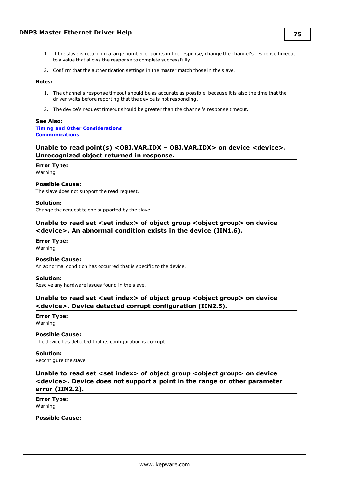- 1. If the slave is returning a large number of points in the response, change the channel's response timeout to a value that allows the response to complete successfully.
- 2. Confirm that the authentication settings in the master match those in the slave.

#### **Notes:**

- 1. The channel's response timeout should be as accurate as possible, because it is also the time that the driver waits before reporting that the device is not responding.
- 2. The device's request timeout should be greater than the channel's response timeout.

#### **See Also:**

#### **Timing and Other [Considerations](#page-23-0) [Communications](#page-11-0)**

### <span id="page-74-0"></span>**Unable to read point(s) <OBJ.VAR.IDX – OBJ.VAR.IDX> on device <device>. Unrecognized object returned in response.**

#### **Error Type:**

Warning

### **Possible Cause:**

The slave does not support the read request.

#### **Solution:**

<span id="page-74-1"></span>Change the request to one supported by the slave.

### **Unable to read set <set index> of object group <object group> on device <device>. An abnormal condition exists in the device (IIN1.6).**

### **Error Type:**

Warning

#### **Possible Cause:**

An abnormal condition has occurred that is specific to the device.

#### **Solution:**

<span id="page-74-2"></span>Resolve any hardware issues found in the slave.

### **Unable to read set <set index> of object group <object group> on device <device>. Device detected corrupt configuration (IIN2.5).**

#### **Error Type:** Warning

#### **Possible Cause:**

The device has detected that its configuration is corrupt.

#### **Solution:**

<span id="page-74-3"></span>Reconfigure the slave.

### **Unable to read set <set index> of object group <object group> on device <device>. Device does not support a point in the range or other parameter error (IIN2.2).**

**Error Type:** Warning

**Possible Cause:**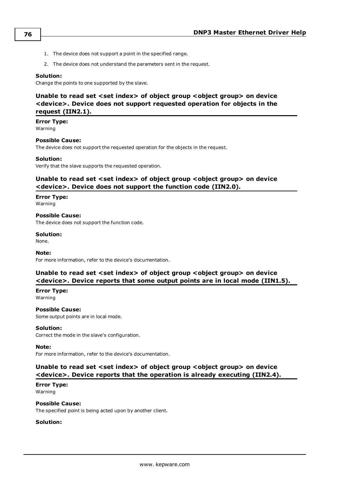- 1. The device does not support a point in the specified range.
- 2. The device does not understand the parameters sent in the request.

#### **Solution:**

<span id="page-75-0"></span>Change the points to one supported by the slave.

### **Unable to read set <set index> of object group <object group> on device <device>. Device does not support requested operation for objects in the request (IIN2.1).**

**Error Type:** Warning

### **Possible Cause:**

The device does not support the requested operation for the objects in the request.

#### **Solution:**

<span id="page-75-1"></span>Verify that the slave supports the requested operation.

### **Unable to read set <set index> of object group <object group> on device <device>. Device does not support the function code (IIN2.0).**

# **Error Type:**

Warning

**Possible Cause:** The device does not support the function code.

**Solution:** None.

#### **Note:**

<span id="page-75-2"></span>For more information, refer to the device's documentation.

### **Unable to read set <set index> of object group <object group> on device <device>. Device reports that some output points are in local mode (IIN1.5).**

**Error Type:** Warning

### **Possible Cause:**

Some output points are in local mode.

#### **Solution:**

Correct the mode in the slave's configuration.

#### **Note:**

<span id="page-75-3"></span>For more information, refer to the device's documentation.

### **Unable to read set <set index> of object group <object group> on device <device>. Device reports that the operation is already executing (IIN2.4).**

**Error Type:** Warning

**Possible Cause:**

The specified point is being acted upon by another client.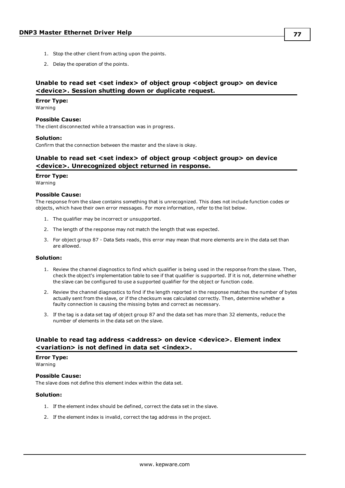- 1. Stop the other client from acting upon the points.
- 2. Delay the operation of the points.

### <span id="page-76-0"></span>**Unable to read set <set index> of object group <object group> on device <device>. Session shutting down or duplicate request.**

### **Error Type:**

Warning

# **Possible Cause:**

The client disconnected while a transaction was in progress.

### **Solution:**

Confirm that the connection between the master and the slave is okay.

### **Unable to read set <set index> of object group <object group> on device <device>. Unrecognized object returned in response.**

#### **Error Type:**

Warning

#### **Possible Cause:**

The response from the slave contains something that is unrecognized. This does not include function codes or objects, which have their own error messages. For more information, refer to the list below.

- 1. The qualifier may be incorrect or unsupported.
- 2. The length of the response may not match the length that was expected.
- 3. For object group 87 Data Sets reads, this error may mean that more elements are in the data set than are allowed.

#### **Solution:**

- 1. Review the channel diagnostics to find which qualifier is being used in the response from the slave. Then, check the object's implementation table to see if that qualifier is supported. If it is not, determine whether the slave can be configured to use a supported qualifier for the object or function code.
- 2. Review the channel diagnostics to find if the length reported in the response matches the number of bytes actually sent from the slave, or if the checksum was calculated correctly. Then, determine whether a faulty connection is causing the missing bytes and correct as necessary.
- 3. If the tag is a data set tag of object group 87 and the data set has more than 32 elements, reduce the number of elements in the data set on the slave.

### **Unable to read tag address <address> on device <device>. Element index <variation> is not defined in data set <index>.**

#### **Error Type:**

Warning

#### **Possible Cause:**

The slave does not define this element index within the data set.

- 1. If the element index should be defined, correct the data set in the slave.
- 2. If the element index is invalid, correct the tag address in the project.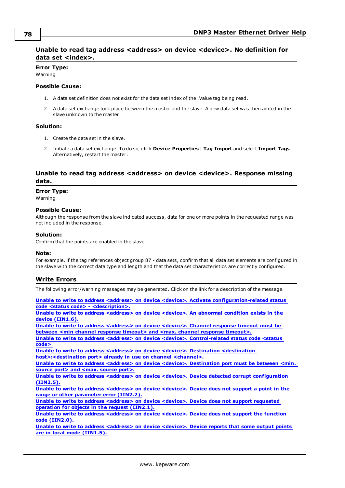### **Unable to read tag address <address> on device <device>. No definition for data set <index>.**

### **Error Type:**

Warning

#### **Possible Cause:**

- 1. A data set definition does not exist for the data set index of the .Value tag being read.
- 2. A data set exchange took place between the master and the slave. A new data set was then added in the slave unknown to the master.

### **Solution:**

- 1. Create the data set in the slave.
- 2. Initiate a data set exchange. To do so, click **Device Properties** | **Tag Import** and select **Import Tags**. Alternatively, restart the master.

### **Unable to read tag address <address> on device <device>. Response missing data.**

#### **Error Type:**

Warning

#### **Possible Cause:**

Although the response from the slave indicated success, data for one or more points in the requested range was not included in the response.

### **Solution:**

Confirm that the points are enabled in the slave.

#### **Note:**

For example, if the tag references object group 87 - data sets, confirm that all data set elements are configured in the slave with the correct data type and length and that the data set characteristics are correctly configured.

### **Write Errors**

The following error/warning messages may be generated. Click on the link for a description of the message.

**Unable to write to address <address> on device <device>. Activate [configuration-related](#page-78-0) status code <status code> - [<description>.](#page-78-0)**

**Unable to write to address [<address>](#page-79-0) on device <device>. An abnormal condition exists in the device [\(IIN1.6\).](#page-79-0)**

**Unable to write to address [<address>](#page-79-1) on device <device>. Channel response timeout must be between <min channel response timeout> and <max. channel response [timeout>.](#page-79-1)**

**Unable to write to address <address> on device <device>. [Control-related](#page-79-2) status code <status [code>](#page-79-2)**

**Unable to write to address <address> on device <device>. Destination [<destination](#page-80-0)**

**[host>:<destination](#page-80-0) port> already in use on channel <channel>.**

**Unable to write to address <address> on device <device>. [Destination](#page-80-1) port must be between <min. source port> and <max. [source](#page-80-1) port>.**

**Unable to write to address <address> on device <device>. Device detected corrupt [configuration](#page-80-2) [\(IIN2.5\).](#page-80-2)**

**Unable to write to address [<address>](#page-80-3) on device <device>. Device does not support a point in the range or other [parameter](#page-80-3) error (IIN2.2).**

**Unable to write to address [<address>](#page-81-0) on device <device>. Device does not support requested operation for objects in the request [\(IIN2.1\).](#page-81-0)**

**Unable to write to address [<address>](#page-81-1) on device <device>. Device does not support the function code [\(IIN2.0\).](#page-81-1)**

**Unable to write to address [<address>](#page-81-2) on device <device>. Device reports that some output points are in local mode [\(IIN1.5\).](#page-81-2)**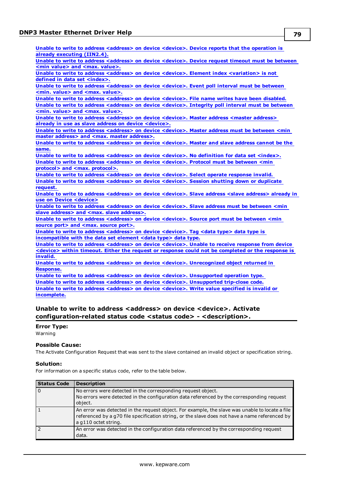**Unable to write to address [<address>](#page-81-3) on device <device>. Device reports that the operation is already [executing](#page-81-3) (IIN2.4).**

**Unable to write to address [<address>](#page-82-0) on device <device>. Device request timeout must be between <min value> and <max. [value>.](#page-82-0)**

**Unable to write to address <address> on device <device>. Element index [<variation>](#page-82-1) is not defined in data set [<index>.](#page-82-1)**

**Unable to write to address [<address>](#page-82-2) on device <device>. Event poll interval must be between <min. value> and <max. [value>.](#page-82-2)**

**Unable to write to address [<address>](#page-82-3) on device <device>. File name writes have been disabled. Unable to write to address [<address>](#page-82-4) on device <device>. Integrity poll interval must be between <min. value> and <max. [value>.](#page-82-4)**

**Unable to write to address [<address>](#page-83-0) on device <device>. Master address <master address> already in use as slave address on device [<device>.](#page-83-0)**

**Unable to write to address [<address>](#page-83-1) on device <device>. Master address must be between <min master address> and <max. master [address>.](#page-83-1)**

**Unable to write to address [<address>](#page-83-2) on device <device>. Master and slave address cannot be the [same.](#page-83-2)**

**Unable to write to address [<address>](#page-83-3) on device <device>. No definition for data set <index>. Unable to write to address [<address>](#page-84-0) on device <device>. Protocol must be between <min protocol> and <max. [protocol>.](#page-84-0)**

**Unable to write to address [<address>](#page-84-1) on device <device>. Select operate response invalid. Unable to write to address [<address>](#page-84-2) on device <device>. Session shutting down or duplicate [request.](#page-84-2)**

**Unable to write to address [<address>](#page-84-3) on device <device>. Slave address <slave address> already in use on Device [<device>](#page-84-3)**

**Unable to write to address [<address>](#page-84-4) on device <device>. Slave address must be between <min slave address> and <max. slave [address>.](#page-84-4)**

**Unable to write to address [<address>](#page-85-0) on device <device>. Source port must be between <min source port> and <max. [source](#page-85-0) port>.**

**Unable to write to address [<address>](#page-85-1) on device <device>. Tag <data type> data type is [incompatible](#page-85-1) with the data set element <data type> data type.**

**Unable to write to address [<address>](#page-85-2) on device <device>. Unable to receive response from device <device> within timeout. Either the request or response could not be [completed](#page-85-2) or the response is [invalid.](#page-85-2)**

**Unable to write to address <address> on device <device>. [Unrecognized](#page-86-0) object returned in [Response.](#page-86-0)**

**Unable to write to address <address> on device <device>. [Unsupported](#page-86-1) operation type. Unable to write to address <address> on device <device>. [Unsupported](#page-86-2) trip-close code. Unable to write to address [<address>](#page-86-3) on device <device>. Write value specified is invalid or [incomplete.](#page-86-3)**

### <span id="page-78-0"></span>**Unable to write to address <address> on device <device>. Activate configuration-related status code <status code> - <description>.**

### **Error Type:**

Warning

### **Possible Cause:**

The Activate Configuration Request that was sent to the slave contained an invalid object or specification string.

#### **Solution:**

For information on a specific status code, refer to the table below.

| <b>Status Code</b> | <b>Description</b>                                                                                                                                                                                                        |
|--------------------|---------------------------------------------------------------------------------------------------------------------------------------------------------------------------------------------------------------------------|
|                    | No errors were detected in the corresponding request object.<br>No errors were detected in the configuration data referenced by the corresponding request<br>object.                                                      |
|                    | An error was detected in the request object. For example, the slave was unable to locate a file<br>referenced by a g70 file specification string, or the slave does not have a name referenced by<br>a g110 octet string. |
|                    | An error was detected in the configuration data referenced by the corresponding request<br>data.                                                                                                                          |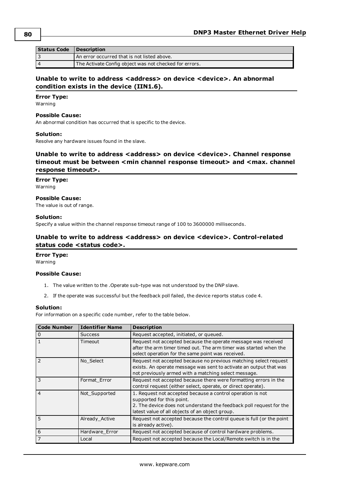| Status Code Description |                                                        |
|-------------------------|--------------------------------------------------------|
|                         | An error occurred that is not listed above.            |
| 4                       | The Activate Config object was not checked for errors. |

### <span id="page-79-0"></span>**Unable to write to address <address> on device <device>. An abnormal condition exists in the device (IIN1.6).**

### **Error Type:**

Warning

#### **Possible Cause:**

An abnormal condition has occurred that is specific to the device.

#### **Solution:**

<span id="page-79-1"></span>Resolve any hardware issues found in the slave.

### **Unable to write to address <address> on device <device>. Channel response timeout must be between <min channel response timeout> and <max. channel response timeout>.**

**Error Type:** Warning

### **Possible Cause:**

The value is out of range.

#### **Solution:**

<span id="page-79-2"></span>Specify a value within the channel response timeout range of 100 to 3600000 milliseconds.

### **Unable to write to address <address> on device <device>. Control-related status code <status code>.**

### **Error Type:**

Warning

#### **Possible Cause:**

- 1. The value written to the .Operate sub-type was not understood by the DNP slave.
- 2. If the operate was successful but the feedback poll failed, the device reports status code 4.

#### **Solution:**

For information on a specific code number, refer to the table below.

| <b>Code Number</b> | <b>Identifier Name</b> | <b>Description</b>                                                                                                                                                                                                |
|--------------------|------------------------|-------------------------------------------------------------------------------------------------------------------------------------------------------------------------------------------------------------------|
| $\mathbf 0$        | <b>Success</b>         | Request accepted, initiated, or queued.                                                                                                                                                                           |
|                    | Timeout                | Request not accepted because the operate message was received<br>after the arm timer timed out. The arm timer was started when the<br>select operation for the same point was received.                           |
| 2                  | No Select              | Request not accepted because no previous matching select request<br>exists. An operate message was sent to activate an output that was<br>not previously armed with a matching select message.                    |
| 3                  | Format Error           | Request not accepted because there were formatting errors in the<br>control request (either select, operate, or direct operate).                                                                                  |
| $\overline{4}$     | Not_Supported          | 1. Request not accepted because a control operation is not<br>supported for this point.<br>2. The device does not understand the feedback poll request for the<br>latest value of all objects of an object group. |
| 5                  | Already Active         | Request not accepted because the control queue is full (or the point<br>is already active).                                                                                                                       |
| 6                  | Hardware Error         | Request not accepted because of control hardware problems.                                                                                                                                                        |
|                    | Local                  | Request not accepted because the Local/Remote switch is in the                                                                                                                                                    |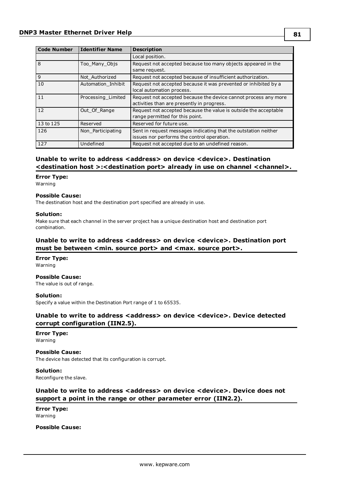| <b>Code Number</b> | Identifier Name    | <b>Description</b>                                                                                            |
|--------------------|--------------------|---------------------------------------------------------------------------------------------------------------|
|                    |                    | Local position.                                                                                               |
| $\overline{8}$     | Too Many Objs      | Request not accepted because too many objects appeared in the<br>same request.                                |
| $\overline{9}$     | Not Authorized     | Request not accepted because of insufficient authorization.                                                   |
| $\overline{10}$    | Automation Inhibit | Request not accepted because it was prevented or inhibited by a<br>local automation process.                  |
| 11                 | Processing Limited | Request not accepted because the device cannot process any more<br>activities than are presently in progress. |
| $\overline{12}$    | Out Of Range       | Request not accepted because the value is outside the acceptable<br>range permitted for this point.           |
| 13 to 125          | Reserved           | Reserved for future use.                                                                                      |
| 126                | Non Participating  | Sent in request messages indicating that the outstation neither<br>issues nor performs the control operation. |
| 127                | Undefined          | Request not accepted due to an undefined reason.                                                              |

### <span id="page-80-0"></span>**Unable to write to address <address> on device <device>. Destination <destination host >:<destination port> already in use on channel <channel>.**

#### **Error Type:**

Warning

#### **Possible Cause:**

The destination host and the destination port specified are already in use.

#### **Solution:**

Make sure that each channel in the server project has a unique destination host and destination port combination.

### <span id="page-80-1"></span>**Unable to write to address <address> on device <device>. Destination port must** be between <min. source port> and <max. source port>.

# **Error Type:**

Warning

### **Possible Cause:**

The value is out of range.

#### **Solution:**

<span id="page-80-2"></span>Specify a value within the Destination Port range of 1 to 65535.

### **Unable to write to address <address> on device <device>. Device detected corrupt configuration (IIN2.5).**

# **Error Type:**

Warning

### **Possible Cause:**

The device has detected that its configuration is corrupt.

### **Solution:**

<span id="page-80-3"></span>Reconfigure the slave.

### **Unable to write to address <address> on device <device>. Device does not support a point in the range or other parameter error (IIN2.2).**

**Error Type:** Warning

#### **Possible Cause:**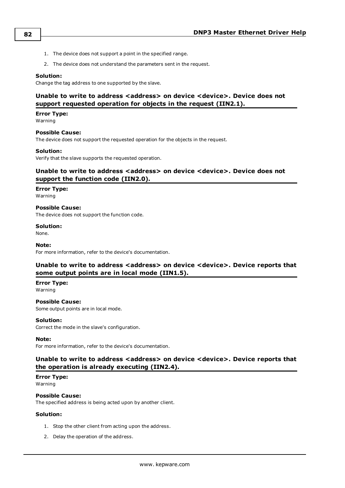- 1. The device does not support a point in the specified range.
- 2. The device does not understand the parameters sent in the request.

### **Solution:**

<span id="page-81-0"></span>Change the tag address to one supported by the slave.

### **Unable to write to address <address> on device <device>. Device does not support requested operation for objects in the request (IIN2.1).**

#### **Error Type:**

Warning

### **Possible Cause:**

The device does not support the requested operation for the objects in the request.

#### **Solution:**

<span id="page-81-1"></span>Verify that the slave supports the requested operation.

### **Unable to write to address <address> on device <device>. Device does not support the function code (IIN2.0).**

#### **Error Type:**

Warning

#### **Possible Cause:**

The device does not support the function code.

#### **Solution:**

None.

#### **Note:**

<span id="page-81-2"></span>For more information, refer to the device's documentation.

### **Unable to write to address <address> on device <device>. Device reports that some output points are in local mode (IIN1.5).**

### **Error Type:**

Warning

**Possible Cause:** Some output points are in local mode.

#### **Solution:**

Correct the mode in the slave's configuration.

#### **Note:**

<span id="page-81-3"></span>For more information, refer to the device's documentation.

### **Unable to write to address <address> on device <device>. Device reports that the operation is already executing (IIN2.4).**

#### **Error Type:** Warning

#### **Possible Cause:**

The specified address is being acted upon by another client.

- 1. Stop the other client from acting upon the address.
- 2. Delay the operation of the address.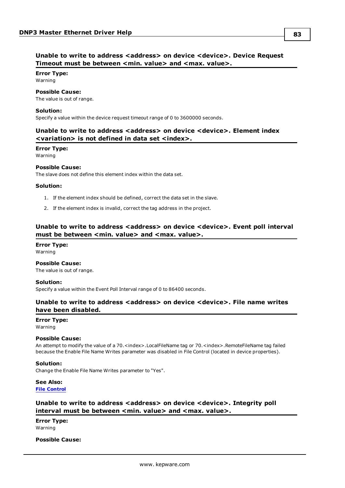### <span id="page-82-0"></span>**Unable to write to address <address> on device <device>. Device Request Timeout must be between** <min. value> and <max. value>.

# **Error Type:**

Warning

## **Possible Cause:**

The value is out of range.

### **Solution:**

<span id="page-82-1"></span>Specify a value within the device request timeout range of 0 to 3600000 seconds.

### **Unable to write to address <address> on device <device>. Element index <variation> is not defined in data set <index>.**

### **Error Type:**

Warning

### **Possible Cause:**

The slave does not define this element index within the data set.

### **Solution:**

- 1. If the element index should be defined, correct the data set in the slave.
- 2. If the element index is invalid, correct the tag address in the project.

### <span id="page-82-2"></span>**Unable to write to address <address> on device <device>. Event poll interval must be between <min. value> and <max. value>.**

**Error Type:** Warning

### **Possible Cause:**

The value is out of range.

### **Solution:**

<span id="page-82-3"></span>Specify a value within the Event Poll Interval range of 0 to 86400 seconds.

### **Unable to write to address <address> on device <device>. File name writes have been disabled.**

#### **Error Type:** Warning

### **Possible Cause:**

An attempt to modify the value of a 70.<index>.LocalFileName tag or 70.<index>.RemoteFileName tag failed because the Enable File Name Writes parameter was disabled in File Control (located in device properties).

### **Solution:**

Change the Enable File Name Writes parameter to "Yes".

### **See Also: File [Control](#page-20-0)**

### <span id="page-82-4"></span>**Unable to write to address <address> on device <device>. Integrity poll interval must be between <min. value> and <max. value>.**

**Error Type:** Warning

### **Possible Cause:**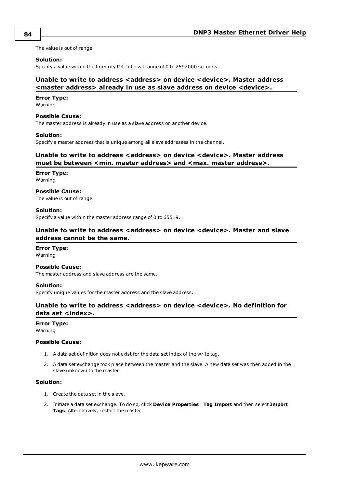The value is out of range.

#### **Solution:**

<span id="page-83-0"></span>Specify a value within the Integrity Poll Interval range of 0 to 2592000 seconds.

### **Unable to write to address <address> on device <device>. Master address <master address> already in use as slave address on device <device>.**

#### **Error Type:**

Warning

#### **Possible Cause:**

The master address is already in use as a slave address on another device.

#### **Solution:**

<span id="page-83-1"></span>Specify a master address that is unique among all slave addresses in the channel.

### **Unable to write to address <address> on device <device>. Master address must be between <min. master address> and <max. master address>.**

### **Error Type:**

Warning

#### **Possible Cause:** The value is out of range.

### **Solution:**

<span id="page-83-2"></span>Specify a value within the master address range of 0 to 65519.

### **Unable to write to address <address> on device <device>. Master and slave address cannot be the same.**

# **Error Type:**

Warning

### **Possible Cause:**

The master address and slave address are the same.

#### **Solution:**

<span id="page-83-3"></span>Specify unique values for the master address and the slave address.

### **Unable to write to address <address> on device <device>. No definition for data set <index>.**

#### **Error Type:**

Warning

### **Possible Cause:**

- 1. A data set definition does not exist for the data set index of the write tag.
- 2. A data set exchange took place between the master and the slave. A new data set was then added in the slave unknown to the master.

- 1. Create the data set in the slave.
- 2. Initiate a data set exchange. To do so, click **Device Properties** | **Tag Import** and then select **Import Tags**. Alternatively, restart the master.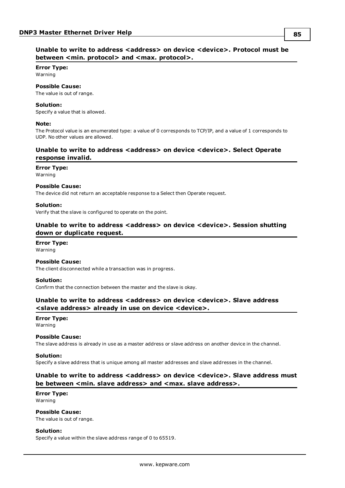### <span id="page-84-0"></span>**Unable to write to address <address> on device <device>. Protocol must be between <min. protocol> and <max. protocol>.**

### **Error Type:**

Warning

### **Possible Cause:**

The value is out of range.

#### **Solution:**

Specify a value that is allowed.

#### **Note:**

The Protocol value is an enumerated type: a value of 0 corresponds to TCP/IP, and a value of 1 corresponds to UDP. No other values are allowed.

### <span id="page-84-1"></span>**Unable to write to address <address> on device <device>. Select Operate response invalid.**

#### **Error Type:**

Warning

#### **Possible Cause:**

The device did not return an acceptable response to a Select then Operate request.

#### **Solution:**

<span id="page-84-2"></span>Verify that the slave is configured to operate on the point.

### **Unable to write to address <address> on device <device>. Session shutting down or duplicate request.**

**Error Type:** Warning

**Possible Cause:** The client disconnected while a transaction was in progress.

#### **Solution:**

<span id="page-84-3"></span>Confirm that the connection between the master and the slave is okay.

### **Unable to write to address <address> on device <device>. Slave address <slave address> already in use on device <device>.**

## **Error Type:**

Warning

#### **Possible Cause:**

The slave address is already in use as a master address or slave address on another device in the channel.

#### **Solution:**

<span id="page-84-4"></span>Specify a slave address that is unique among all master addresses and slave addresses in the channel.

### **Unable to write to address <address> on device <device>. Slave address must be between <min. slave address> and <max. slave address>.**

#### **Error Type:** Warning

**Possible Cause:**

The value is out of range.

### **Solution:**

Specify a value within the slave address range of 0 to 65519.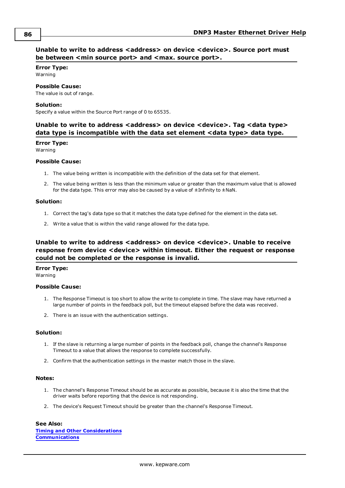### <span id="page-85-0"></span>**Unable to write to address <address> on device <device>. Source port must be between <min source port> and <max. source port>.**

### **Error Type:** Warning

#### **Possible Cause:** The value is out of range.

### **Solution:**

<span id="page-85-1"></span>Specify a value within the Source Port range of 0 to 65535.

### **Unable to write to address <address> on device <device>. Tag <data type> data type is incompatible with the data set element <data type> data type.**

**Error Type:**

Warning

### **Possible Cause:**

- 1. The value being written is incompatible with the definition of the data set for that element.
- 2. The value being written is less than the minimum value or greater than the maximum value that is allowed for the data type. This error may also be caused by a value of  $\pm$ Infinity to  $\pm$ NaN.

### **Solution:**

- 1. Correct the tag's data type so that it matches the data type defined for the element in the data set.
- 2. Write a value that is within the valid range allowed for the data type.

### <span id="page-85-2"></span>**Unable to write to address <address> on device <device>. Unable to receive response from device <device> within timeout. Either the request or response could not be completed or the response is invalid.**

### **Error Type:**

Warning

### **Possible Cause:**

- 1. The Response Timeout is too short to allow the write to complete in time. The slave may have returned a large number of points in the feedback poll, but the timeout elapsed before the data was received.
- 2. There is an issue with the authentication settings.

### **Solution:**

- 1. If the slave is returning a large number of points in the feedback poll, change the channel's Response Timeout to a value that allows the response to complete successfully.
- 2. Confirm that the authentication settings in the master match those in the slave.

#### **Notes:**

- 1. The channel's Response Timeout should be as accurate as possible, because it is also the time that the driver waits before reporting that the device is not responding.
- 2. The device's Request Timeout should be greater than the channel's Response Timeout.

### **See Also:**

**Timing and Other [Considerations](#page-23-0) [Communications](#page-11-0)**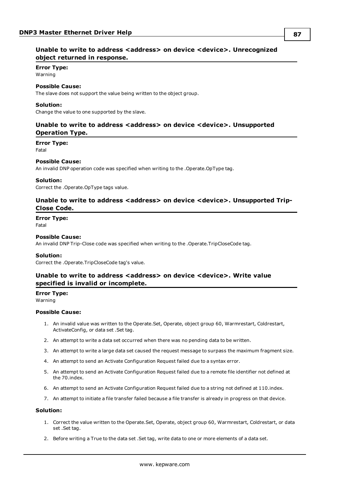### <span id="page-86-0"></span>**Error Type:**

Warning

### **Possible Cause:**

The slave does not support the value being written to the object group.

#### **Solution:**

<span id="page-86-1"></span>Change the value to one supported by the slave.

### **Unable to write to address <address> on device <device>. Unsupported Operation Type.**

#### **Error Type:**

Fatal

### **Possible Cause:**

An invalid DNP operation code was specified when writing to the .Operate.OpType tag.

#### **Solution:**

<span id="page-86-2"></span>Correct the .Operate.OpType tags value.

### **Unable to write to address <address> on device <device>. Unsupported Trip-Close Code.**

### **Error Type:**

Fatal

#### **Possible Cause:**

An invalid DNP Trip-Close code was specified when writing to the .Operate.TripCloseCode tag.

#### **Solution:**

<span id="page-86-3"></span>Correct the .Operate.TripCloseCode tag's value.

### **Unable to write to address <address> on device <device>. Write value specified is invalid or incomplete.**

### **Error Type:**

Warning

#### **Possible Cause:**

- 1. An invalid value was written to the Operate.Set, Operate, object group 60, Warmrestart, Coldrestart, ActivateConfig, or data set .Set tag.
- 2. An attempt to write a data set occurred when there was no pending data to be written.
- 3. An attempt to write a large data set caused the request message to surpass the maximum fragment size.
- 4. An attempt to send an Activate Configuration Request failed due to a syntax error.
- 5. An attempt to send an Activate Configuration Request failed due to a remote file identifier not defined at the 70.index.
- 6. An attempt to send an Activate Configuration Request failed due to a string not defined at 110.index.
- 7. An attempt to initiate a file transfer failed because a file transfer is already in progress on that device.

- 1. Correct the value written to the Operate.Set, Operate, object group 60, Warmrestart, Coldrestart, or data set .Set tag.
- 2. Before writing a True to the data set .Set tag, write data to one or more elements of a data set.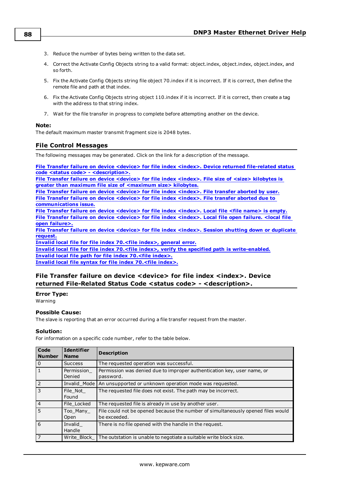- 3. Reduce the number of bytes being written to the data set.
- 4. Correct the Activate Config Objects string to a valid format: object.index, object.index, object.index, and so forth.
- 5. Fix the Activate Config Objects string file object 70.index if it is incorrect. If it is correct, then define the remote file and path at that index.
- 6. Fix the Activate Config Objects string object 110.index if it is incorrect. If it is correct, then create a tag with the address to that string index.
- 7. Wait for the file transfer in progress to complete before attempting another on the device.

### **Note:**

<span id="page-87-1"></span>The default maximum master transmit fragment size is 2048 bytes.

### **File Control Messages**

The following messages may be generated. Click on the link for a description of the message.

**File Transfer failure on device <device> for file index <index>. Device returned [file-related](#page-87-0) status code <status code> - [<description>.](#page-87-0)**

**File Transfer failure on device [<device>](#page-88-0) for file index <index>. File size of <size> kilobytes is greater than maximum file size of [<maximum](#page-88-0) size> kilobytes.**

**File Transfer failure on device [<device>](#page-88-1) for file index <index>. File transfer aborted by user. File Transfer failure on device [<device>](#page-88-2) for file index <index>. File transfer aborted due to [communications](#page-88-2) issue.**

**File Transfer failure on device [<device>](#page-88-3) for file index <index>. Local file <file name> is empty. File Transfer failure on device [<device>](#page-89-0) for file index <index>. Local file open failure. <local file open [failure>.](#page-89-0)**

**File Transfer failure on device [<device>](#page-89-1) for file index <index>. Session shutting down or duplicate [request.](#page-89-1)**

**Invalid local file for file index [70.<file](#page-89-2) index>, general error.**

**Invalid local file for file index 70.<file index>, verify the specified path is [write-enabled.](#page-90-0) Invalid local file path for file index [70.<file](#page-90-1) index>. Invalid local file syntax for file index [70.<file](#page-90-2) index>.**

### <span id="page-87-0"></span>**File Transfer failure on device <device> for file index <index>. Device returned File-Related Status Code <status code> - <description>.**

**Error Type:**

Warning

### **Possible Cause:**

The slave is reporting that an error occurred during a file transfer request from the master.

### **Solution:**

For information on a specific code number, refer to the table below.

| Code<br><b>Number</b> | <b>Identifier</b><br><b>Name</b> | <b>Description</b>                                                                               |
|-----------------------|----------------------------------|--------------------------------------------------------------------------------------------------|
| $\Omega$              | <b>Success</b>                   | The requested operation was successful.                                                          |
|                       | Permission<br>Denied             | Permission was denied due to improper authentication key, user name, or<br>password.             |
| $\overline{z}$        |                                  | Invalid Mode   An unsupported or unknown operation mode was requested.                           |
| 3                     | File Not<br>Found                | The requested file does not exist. The path may be incorrect.                                    |
| 4                     | File Locked                      | The requested file is already in use by another user.                                            |
| .5                    | Too Many<br>Open                 | File could not be opened because the number of simultaneously opened files would<br>be exceeded. |
| 6                     | Invalid<br>Handle                | There is no file opened with the handle in the request.                                          |
| $\overline{7}$        | Write Block                      | The outstation is unable to negotiate a suitable write block size.                               |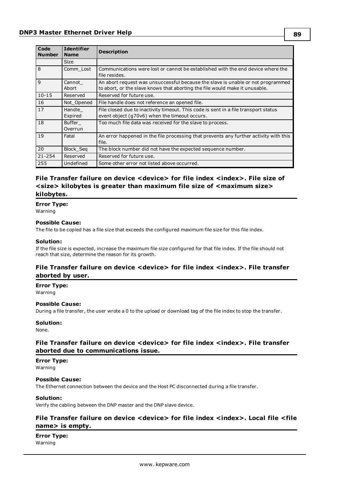| <b>Code</b><br><b>Number</b> | <b>Identifier</b><br><b>Name</b> | <b>Description</b>                                                                                                                                             |
|------------------------------|----------------------------------|----------------------------------------------------------------------------------------------------------------------------------------------------------------|
|                              | <b>Size</b>                      |                                                                                                                                                                |
| $\overline{8}$               | Comm Lost                        | Communications were lost or cannot be established with the end device where the<br>file resides.                                                               |
| $\overline{9}$               | Cannot<br>Abort                  | An abort request was unsuccessful because the slave is unable or not programmed<br>to abort, or the slave knows that aborting the file would make it unusable. |
| $10 - 15$                    | Reserved                         | Reserved for future use.                                                                                                                                       |
| 16                           | Not Opened                       | File handle does not reference an opened file.                                                                                                                 |
| 17                           | Handle<br>Expired                | File closed due to inactivity timeout. This code is sent in a file transport status<br>event object (q70v6) when the timeout occurs.                           |
| <sup>18</sup>                | Buffer<br>Overrun                | Too much file data was received for the slave to process.                                                                                                      |
| <sup>19</sup>                | Fatal                            | An error happened in the file processing that prevents any further activity with this<br>file.                                                                 |
| 20                           | Block_Seq                        | The block number did not have the expected sequence number.                                                                                                    |
| 21-254                       | Reserved                         | Reserved for future use.                                                                                                                                       |
| 255                          | Undefined                        | Some other error not listed above occurred.                                                                                                                    |

### <span id="page-88-0"></span>**File Transfer failure on device <device> for file index <index>. File size of <size> kilobytes is greater than maximum file size of <maximum size> kilobytes.**

**Error Type:** Warning

### **Possible Cause:**

The file to be copied has a file size that exceeds the configured maximum file size for this file index.

#### **Solution:**

If the file size is expected, increase the maximum file size configured for that file index. If the file should not reach that size, determine the reason for its growth.

### <span id="page-88-1"></span>**File Transfer failure on device <device> for file index <index>. File transfer aborted by user.**

**Error Type:** Warning

### **Possible Cause:**

During a file transfer, the user wrote a 0 to the upload or download tag of the file index to stop the transfer.

#### **Solution:**

<span id="page-88-2"></span>None.

### **File Transfer failure on device <device> for file index <index>. File transfer aborted due to communications issue.**

### **Error Type:**

Warning

### **Possible Cause:**

The Ethernet connection between the device and the Host PC disconnected during a file transfer.

### **Solution:**

<span id="page-88-3"></span>Verify the cabling between the DNP master and the DNP slave device.

### **File Transfer failure on device <device> for file index <index>. Local file <file name> is empty.**

**Error Type:** Warning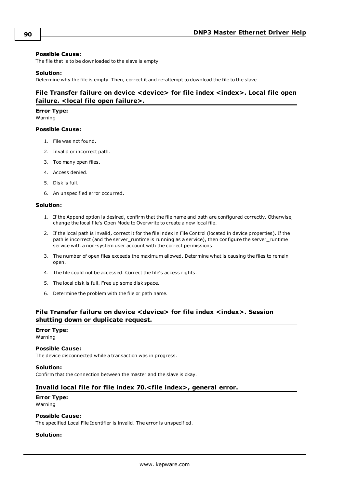### **Possible Cause:**

The file that is to be downloaded to the slave is empty.

#### **Solution:**

<span id="page-89-0"></span>Determine why the file is empty. Then, correct it and re-attempt to download the file to the slave.

### **File Transfer failure on device <device> for file index <index>. Local file open failure. <local file open failure>.**

**Error Type:**

Warning

### **Possible Cause:**

- 1. File was not found.
- 2. Invalid or incorrect path.
- 3. Too many open files.
- 4. Access denied.
- 5. Disk is full.
- 6. An unspecified error occurred.

### **Solution:**

- 1. If the Append option is desired, confirm that the file name and path are configured correctly. Otherwise, change the local file's Open Mode to Overwrite to create a new local file.
- 2. If the local path is invalid, correct it for the file index in File Control (located in device properties). If the path is incorrect (and the server\_runtime is running as a service), then configure the server\_runtime service with a non-system user account with the correct permissions.
- 3. The number of open files exceeds the maximum allowed. Determine what is causing the files to remain open.
- 4. The file could not be accessed. Correct the file's access rights.
- 5. The local disk is full. Free up some disk space.
- 6. Determine the problem with the file or path name.

### <span id="page-89-1"></span>**File Transfer failure on device <device> for file index <index>. Session shutting down or duplicate request.**

#### **Error Type:**

Warning

#### **Possible Cause:**

The device disconnected while a transaction was in progress.

#### **Solution:**

<span id="page-89-2"></span>Confirm that the connection between the master and the slave is okay.

### **Invalid local file for file index 70.<file index>, general error.**

# **Error Type:**

Warning

### **Possible Cause:**

The specified Local File Identifier is invalid. The error is unspecified.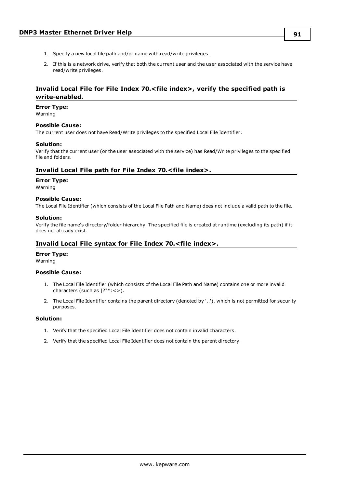2. If this is a network drive, verify that both the current user and the user associated with the service have read/write privileges.

### <span id="page-90-0"></span>**Invalid Local File for File Index 70.<file index>, verify the specified path is write-enabled.**

#### **Error Type:**

Warning

#### **Possible Cause:**

The current user does not have Read/Write privileges to the specified Local File Identifier.

#### **Solution:**

Verify that the current user (or the user associated with the service) has Read/Write privileges to the specified file and folders.

### <span id="page-90-1"></span>**Invalid Local File path for File Index 70.<file index>.**

#### **Error Type:**

Warning

### **Possible Cause:**

The Local File Identifier (which consists of the Local File Path and Name) does not include a valid path to the file.

#### **Solution:**

Verify the file name's directory/folder hierarchy. The specified file is created at runtime (excluding its path) if it does not already exist.

### <span id="page-90-2"></span>**Invalid Local File syntax for File Index 70.<file index>.**

### **Error Type:**

Warning

#### **Possible Cause:**

- 1. The Local File Identifier (which consists of the Local File Path and Name) contains one or more invalid characters (such as |?"\*:<>).
- 2. The Local File Identifier contains the parent directory (denoted by '..'), which is not permitted for security purposes.

- 1. Verify that the specified Local File Identifier does not contain invalid characters.
- 2. Verify that the specified Local File Identifier does not contain the parent directory.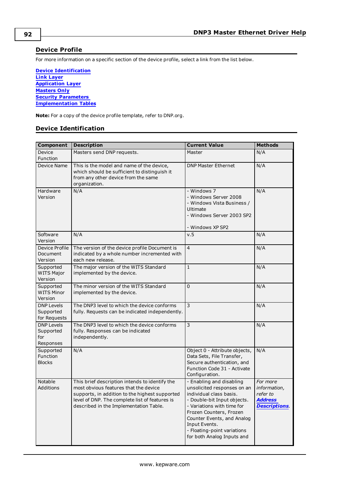### <span id="page-91-1"></span>**Device Profile**

For more information on a specific section of the device profile, select a link from the list below.

**Device [Identification](#page-91-0) Link [Layer](#page-92-0) [Application](#page-93-0) Layer [Masters](#page-94-0) Only Security [Parameters](#page-94-1) [Implementation](#page-96-0) Tables**

<span id="page-91-0"></span>**Note:** For a copy of the device profile template, refer to DNP.org.

### **Device Identification**

| <b>Component</b>                                   | <b>Description</b>                                                                                                                                                                                                                    | <b>Current Value</b>                                                                                                                                                                                                                                                                   | <b>Methods</b>                                                                |
|----------------------------------------------------|---------------------------------------------------------------------------------------------------------------------------------------------------------------------------------------------------------------------------------------|----------------------------------------------------------------------------------------------------------------------------------------------------------------------------------------------------------------------------------------------------------------------------------------|-------------------------------------------------------------------------------|
| Device<br>Function                                 | Masters send DNP requests.                                                                                                                                                                                                            | Master                                                                                                                                                                                                                                                                                 | N/A                                                                           |
| <b>Device Name</b>                                 | This is the model and name of the device,<br>which should be sufficient to distinguish it<br>from any other device from the same<br>organization.                                                                                     | <b>DNP Master Ethernet</b>                                                                                                                                                                                                                                                             | N/A                                                                           |
| Hardware<br>Version                                | N/A                                                                                                                                                                                                                                   | - Windows 7<br>- Windows Server 2008<br>- Windows Vista Business /<br><b>Ultimate</b><br>- Windows Server 2003 SP2<br>- Windows XP SP2                                                                                                                                                 | N/A                                                                           |
| Software<br>Version                                | N/A                                                                                                                                                                                                                                   | v.5                                                                                                                                                                                                                                                                                    | N/A                                                                           |
| Device Profile<br>Document<br>Version              | The version of the device profile Document is<br>indicated by a whole number incremented with<br>each new release.                                                                                                                    | $\overline{4}$                                                                                                                                                                                                                                                                         | N/A                                                                           |
| Supported<br><b>WITS Major</b><br>Version          | The major version of the WITS Standard<br>implemented by the device.                                                                                                                                                                  | $\mathbf{1}$                                                                                                                                                                                                                                                                           | N/A                                                                           |
| Supported<br><b>WITS Minor</b><br>Version          | The minor version of the WITS Standard<br>implemented by the device.                                                                                                                                                                  | $\overline{0}$                                                                                                                                                                                                                                                                         | N/A                                                                           |
| <b>DNP Levels</b><br>Supported<br>for Requests     | The DNP3 level to which the device conforms<br>fully. Requests can be indicated independently.                                                                                                                                        | 3                                                                                                                                                                                                                                                                                      | N/A                                                                           |
| <b>DNP Levels</b><br>Supported<br>for<br>Responses | The DNP3 level to which the device conforms<br>fully. Responses can be indicated<br>independently.                                                                                                                                    | 3                                                                                                                                                                                                                                                                                      | N/A                                                                           |
| Supported<br>Function<br><b>Blocks</b>             | N/A                                                                                                                                                                                                                                   | Object 0 - Attribute objects,<br>Data Sets, File Transfer,<br>Secure authentication, and<br>Function Code 31 - Activate<br>Configuration.                                                                                                                                              | N/A                                                                           |
| <b>Notable</b><br>Additions                        | This brief description intends to identify the<br>most obvious features that the device<br>supports, in addition to the highest supported<br>level of DNP. The complete list of features is<br>described in the Implementation Table. | - Enabling and disabling<br>unsolicited responses on an<br>individual class basis.<br>- Double-bit Input objects.<br>- Variations with time for<br>Frozen Counters, Frozen<br>Counter Events, and Analog<br>Input Events.<br>- Floating-point variations<br>for both Analog Inputs and | For more<br>information,<br>refer to<br><b>Address</b><br><b>Descriptions</b> |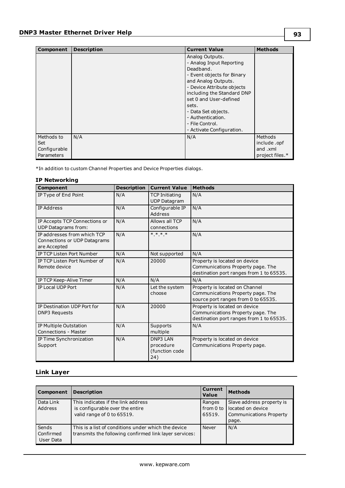| <b>Component</b>                                | <b>Description</b> | <b>Current Value</b>                                                                                                                                                                                                                                                                                     | <b>Methods</b>                                        |
|-------------------------------------------------|--------------------|----------------------------------------------------------------------------------------------------------------------------------------------------------------------------------------------------------------------------------------------------------------------------------------------------------|-------------------------------------------------------|
|                                                 |                    | Analog Outputs.<br>- Analog Input Reporting<br>Deadband.<br>- Event objects for Binary<br>and Analog Outputs.<br>- Device Attribute objects<br>including the Standard DNP<br>set 0 and User-defined<br>sets.<br>- Data Set objects.<br>- Authentication.<br>- File Control.<br>- Activate Configuration. |                                                       |
| Methods to<br>Set<br>Configurable<br>Parameters | N/A                | N/A                                                                                                                                                                                                                                                                                                      | Methods<br>include.opf<br>and .xml<br>project files.* |

\*In addition to custom Channel Properties and Device Properties dialogs.

### **IP Networking**

| Component                                                                   | <b>Description</b> | <b>Current Value</b>                                  | <b>Methods</b>                                                                                                 |
|-----------------------------------------------------------------------------|--------------------|-------------------------------------------------------|----------------------------------------------------------------------------------------------------------------|
| IP Type of End Point                                                        | N/A                | <b>TCP Initiating</b><br><b>UDP Datagram</b>          | N/A                                                                                                            |
| <b>IP Address</b>                                                           | N/A                | Configurable IP<br>Address                            | N/A                                                                                                            |
| IP Accepts TCP Connections or<br><b>UDP Datagrams from:</b>                 | N/A                | Allows all TCP<br>connections                         | N/A                                                                                                            |
| IP addresses from which TCP<br>Connections or UDP Datagrams<br>are Accepted | N/A                | $* * * *$                                             | N/A                                                                                                            |
| IP TCP Listen Port Number                                                   | N/A                | Not supported                                         | N/A                                                                                                            |
| IP TCP Listen Port Number of<br>Remote device                               | N/A                | 20000                                                 | Property is located on device<br>Communications Property page. The<br>destination port ranges from 1 to 65535. |
| IP TCP Keep-Alive Timer                                                     | N/A                | N/A                                                   | N/A                                                                                                            |
| IP Local UDP Port                                                           | N/A                | Let the system<br>choose                              | Property is located on Channel<br>Communications Property page. The<br>source port ranges from 0 to 65535.     |
| IP Destination UDP Port for<br><b>DNP3 Requests</b>                         | N/A                | 20000                                                 | Property is located on device<br>Communications Property page. The<br>destination port ranges from 1 to 65535. |
| IP Multiple Outstation<br><b>Connections - Master</b>                       | N/A                | Supports<br>multiple                                  | N/A                                                                                                            |
| IP Time Synchronization<br>Support                                          | N/A                | <b>DNP3 LAN</b><br>procedure<br>(function code<br>24) | Property is located on device<br>Communications Property page.                                                 |

### <span id="page-92-0"></span>**Link Layer**

| Component                       | <b>Description</b>                                                                                            | Current<br><b>Value</b>         | <b>Methods</b>                                                                            |
|---------------------------------|---------------------------------------------------------------------------------------------------------------|---------------------------------|-------------------------------------------------------------------------------------------|
| Data Link<br>Address            | This indicates if the link address<br>is configurable over the entire<br>valid range of 0 to 65519.           | Ranges<br>from $0$ to<br>65519. | Slave address property is<br>located on device<br><b>Communications Property</b><br>page. |
| Sends<br>Confirmed<br>User Data | This is a list of conditions under which the device<br>transmits the following confirmed link layer services: | Never                           | N/A                                                                                       |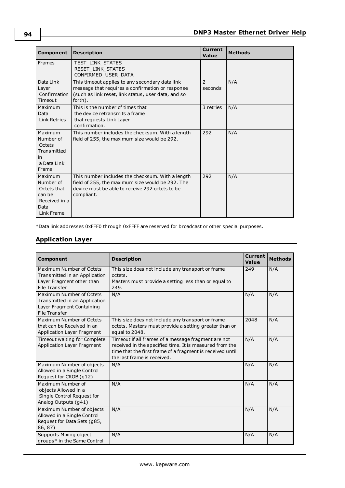| Component                                                                            | <b>Description</b>                                                                                                                                                    | Current<br>Value | <b>Methods</b> |
|--------------------------------------------------------------------------------------|-----------------------------------------------------------------------------------------------------------------------------------------------------------------------|------------------|----------------|
| Frames                                                                               | TEST LINK STATES<br>RESET LINK STATES<br>CONFIRMED USER DATA                                                                                                          |                  |                |
| Data Link<br>Layer<br>Confirmation<br>Timeout                                        | This timeout applies to any secondary data link<br>message that requires a confirmation or response<br>(such as link reset, link status, user data, and so<br>forth). | 2<br>seconds     | N/A            |
| Maximum<br>Data<br>Link Retries                                                      | This is the number of times that<br>the device retransmits a frame<br>that requests Link Layer<br>confirmation.                                                       | 3 retries        | N/A            |
| Maximum<br>Number of<br>Octets<br>Transmitted<br>in<br>a Data Link<br>Frame          | This number includes the checksum. With a length<br>field of 255, the maximum size would be 292.                                                                      | 292              | N/A            |
| Maximum<br>Number of<br>Octets that<br>can be<br>Received in a<br>Data<br>Link Frame | This number includes the checksum. With a length<br>field of 255, the maximum size would be 292. The<br>device must be able to receive 292 octets to be<br>compliant. | 292              | N/A            |

<span id="page-93-0"></span>\*Data link addresses 0xFFF0 through 0xFFFF are reserved for broadcast or other special purposes.

### **Application Layer**

| Component                                                                                                      | <b>Description</b>                                                                                                                                                                                         | Current<br>Value | <b>Methods</b> |
|----------------------------------------------------------------------------------------------------------------|------------------------------------------------------------------------------------------------------------------------------------------------------------------------------------------------------------|------------------|----------------|
| Maximum Number of Octets<br>Transmitted in an Application<br>Layer Fragment other than<br><b>File Transfer</b> | This size does not include any transport or frame<br>octets.<br>Masters must provide a setting less than or equal to<br>249.                                                                               | 249              | N/A            |
| Maximum Number of Octets<br>Transmitted in an Application<br>Layer Fragment Containing<br><b>File Transfer</b> | N/A                                                                                                                                                                                                        | N/A              | N/A            |
| Maximum Number of Octets<br>that can be Received in an<br>Application Layer Fragment                           | This size does not include any transport or frame<br>octets. Masters must provide a setting greater than or<br>equal to 2048.                                                                              | 2048             | N/A            |
| Timeout waiting for Complete<br>Application Layer Fragment                                                     | Timeout if all frames of a message fragment are not<br>received in the specified time. It is measured from the<br>time that the first frame of a fragment is received until<br>the last frame is received. | N/A              | N/A            |
| Maximum Number of objects<br>Allowed in a Single Control<br>Request for CROB (g12)                             | N/A                                                                                                                                                                                                        | N/A              | N/A            |
| Maximum Number of<br>objects Allowed in a<br>Single Control Request for<br>Analog Outputs (g41)                | N/A                                                                                                                                                                                                        | N/A              | N/A            |
| Maximum Number of objects<br>Allowed in a Single Control<br>Request for Data Sets (g85,<br>86, 87)             | N/A                                                                                                                                                                                                        | N/A              | N/A            |
| Supports Mixing object<br>groups* in the Same Control                                                          | N/A                                                                                                                                                                                                        | N/A              | N/A            |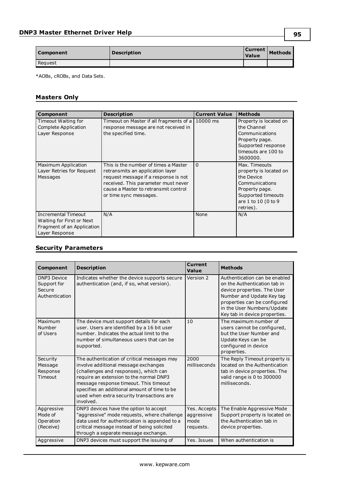| Component | <b>Description</b><br>Value |  | <b>Current</b> Methods |
|-----------|-----------------------------|--|------------------------|
| Request   |                             |  |                        |

\*AOBs, cROBs, and Data Sets.

# <span id="page-94-0"></span>**Masters Only**

| <b>Component</b>                                                                                        | <b>Description</b>                                                                                                                                                                                                        | <b>Current Value</b> | <b>Methods</b>                                                                                                                                      |
|---------------------------------------------------------------------------------------------------------|---------------------------------------------------------------------------------------------------------------------------------------------------------------------------------------------------------------------------|----------------------|-----------------------------------------------------------------------------------------------------------------------------------------------------|
| Timeout Waiting for<br>Complete Application<br>Layer Response                                           | Timeout on Master if all fragments of a<br>response message are not received in<br>the specified time.                                                                                                                    | 10000 ms             | Property is located on<br>the Channel<br>Communications<br>Property page.<br>Supported response<br>timeouts are 100 to<br>3600000.                  |
| Maximum Application<br>Layer Retries for Request<br>Messages                                            | This is the number of times a Master<br>retransmits an application layer<br>request message if a response is not<br>received. This parameter must never<br>cause a Master to retransmit control<br>or time sync messages. | $\Omega$             | Max. Timeouts<br>property is located on<br>the Device<br>Communications<br>Property page.<br>Supported timeouts<br>are 1 to 10 (0 to 9<br>retries). |
| <b>Incremental Timeout</b><br>Waiting for First or Next<br>Fragment of an Application<br>Layer Response | N/A                                                                                                                                                                                                                       | None                 | N/A                                                                                                                                                 |

### <span id="page-94-1"></span>**Security Parameters**

| Component                                                     | <b>Description</b>                                                                                                                                                                                                                                                                                                          | <b>Current</b><br>Value                         | <b>Methods</b>                                                                                                                                                                                                           |
|---------------------------------------------------------------|-----------------------------------------------------------------------------------------------------------------------------------------------------------------------------------------------------------------------------------------------------------------------------------------------------------------------------|-------------------------------------------------|--------------------------------------------------------------------------------------------------------------------------------------------------------------------------------------------------------------------------|
| <b>DNP3 Device</b><br>Support for<br>Secure<br>Authentication | Indicates whether the device supports secure<br>authentication (and, if so, what version).                                                                                                                                                                                                                                  | Version 2                                       | Authentication can be enabled<br>on the Authentication tab in<br>device properties. The User<br>Number and Update Key tag<br>properties can be configured<br>in the User Numbers/Update<br>Key tab in device properties. |
| Maximum<br>Number<br>of Users                                 | The device must support details for each<br>user. Users are identified by a 16 bit user<br>number. Indicates the actual limit to the<br>number of simultaneous users that can be<br>supported.                                                                                                                              | 10                                              | The maximum number of<br>users cannot be configured,<br>but the User Number and<br>Update Keys can be<br>configured in device<br>properties.                                                                             |
| Security<br>Message<br>Response<br>Timeout                    | The authentication of critical messages may<br>involve additional message exchanges<br>(challenges and responses), which can<br>require an extension to the normal DNP3<br>message response timeout. This timeout<br>specifies an additional amount of time to be<br>used when extra security transactions are<br>involved. | 2000<br>milliseconds                            | The Reply Timeout property is<br>located on the Authentication<br>tab in device properties. The<br>valid range is 0 to 300000<br>milliseconds.                                                                           |
| Aggressive<br>Mode of<br>Operation<br>(Receive)               | DNP3 devices have the option to accept<br>"aggressive" mode requests, where challenge<br>data used for authentication is appended to a<br>critical message instead of being solicited<br>through a separate message exchange.                                                                                               | Yes. Accepts<br>aggressive<br>mode<br>requests. | The Enable Aggressive Mode<br>Support property is located on<br>the Authentication tab in<br>device properties.                                                                                                          |
| Aggressive                                                    | DNP3 devices must support the issuing of                                                                                                                                                                                                                                                                                    | Yes. Issues                                     | When authentication is                                                                                                                                                                                                   |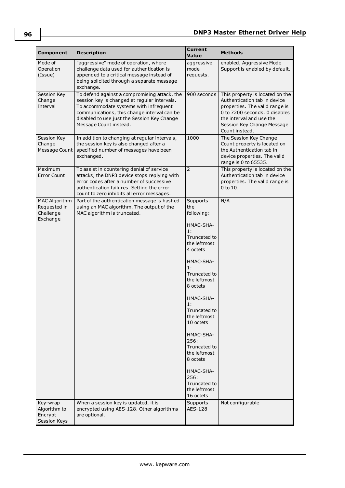| Component                                              | <b>Description</b>                                                                                                                                                                                                                                             | <b>Current</b><br><b>Value</b>                                                                                                                                                                                                                                                                                                                                 | <b>Methods</b>                                                                                                                                                                                                 |
|--------------------------------------------------------|----------------------------------------------------------------------------------------------------------------------------------------------------------------------------------------------------------------------------------------------------------------|----------------------------------------------------------------------------------------------------------------------------------------------------------------------------------------------------------------------------------------------------------------------------------------------------------------------------------------------------------------|----------------------------------------------------------------------------------------------------------------------------------------------------------------------------------------------------------------|
| Mode of<br>Operation<br>(Issue)                        | "aggressive" mode of operation, where<br>challenge data used for authentication is<br>appended to a critical message instead of<br>being solicited through a separate message<br>exchange.                                                                     | aggressive<br>mode<br>requests.                                                                                                                                                                                                                                                                                                                                | enabled, Aggressive Mode<br>Support is enabled by default.                                                                                                                                                     |
| Session Key<br>Change<br>Interval                      | To defend against a compromising attack, the<br>session key is changed at regular intervals.<br>To accommodate systems with infrequent<br>communications, this change interval can be<br>disabled to use just the Session Key Change<br>Message Count instead. | 900 seconds                                                                                                                                                                                                                                                                                                                                                    | This property is located on the<br>Authentication tab in device<br>properties. The valid range is<br>0 to 7200 seconds. 0 disables<br>the interval and use the<br>Session Key Change Message<br>Count instead. |
| Session Key<br>Change<br>Message Count                 | In addition to changing at regular intervals,<br>the session key is also changed after a<br>specified number of messages have been<br>exchanged.                                                                                                               | 1000                                                                                                                                                                                                                                                                                                                                                           | The Session Key Change<br>Count property is located on<br>the Authentication tab in<br>device properties. The valid<br>range is 0 to 65535.                                                                    |
| Maximum<br>Error Count                                 | To assist in countering denial of service<br>attacks, the DNP3 device stops replying with<br>error codes after a number of successive<br>authentication failures. Setting the error<br>count to zero inhibits all error messages.                              | $\overline{2}$                                                                                                                                                                                                                                                                                                                                                 | This property is located on the<br>Authentication tab in device<br>properties. The valid range is<br>$0$ to $10$ .                                                                                             |
| MAC Algorithm<br>Requested in<br>Challenge<br>Exchange | Part of the authentication message is hashed<br>using an MAC algorithm. The output of the<br>MAC algorithm is truncated.                                                                                                                                       | Supports<br>the<br>following:<br>HMAC-SHA-<br>1:<br>Truncated to<br>the leftmost<br>4 octets<br>HMAC-SHA-<br>1:<br>Truncated to<br>the leftmost<br>8 octets<br>HMAC-SHA-<br>1:<br>Truncated to<br>the leftmost<br>10 octets<br>HMAC-SHA-<br>256:<br>Truncated to<br>the leftmost<br>8 octets<br>HMAC-SHA-<br>256:<br>Truncated to<br>the leftmost<br>16 octets | N/A                                                                                                                                                                                                            |
| Key-wrap<br>Algorithm to<br>Encrypt<br>Session Keys    | When a session key is updated, it is<br>encrypted using AES-128. Other algorithms<br>are optional.                                                                                                                                                             | Supports<br>AES-128                                                                                                                                                                                                                                                                                                                                            | Not configurable                                                                                                                                                                                               |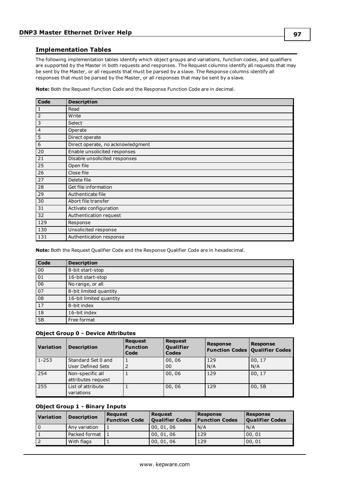### <span id="page-96-0"></span>**Implementation Tables**

The following implementation tables identify which object groups and variations, function codes, and qualifiers are supported by the Master in both requests and responses. The Request columns identify all requests that may be sent by the Master, or all requests that must be parsed by a slave. The Response columns identify all responses that must be parsed by the Master, or all responses that may be sent by a slave.

**Note:** Both the Request Function Code and the Response Function Code are in decimal.

| Code           | <b>Description</b>                |
|----------------|-----------------------------------|
| $\vert$ 1      | Read                              |
| $\overline{2}$ | Write                             |
| $\overline{3}$ | Select                            |
| 4              | Operate                           |
| 5              | Direct operate                    |
| 6              | Direct operate, no acknowledgment |
| 20             | Enable unsolicited responses      |
| 21             | Disable unsolicited responses     |
| 25             | Open file                         |
| 26             | Close file                        |
| 27             | Delete file                       |
| 28             | Get file information              |
| 29             | Authenticate file                 |
| 30             | Abort file transfer               |
| 31             | Activate configuration            |
| 32             | Authentication request            |
| 129            | Response                          |
| 130            | Unsolicited response              |
| 131            | Authentication response           |

**Note:** Both the Request Qualifier Code and the Response Qualifier Code are in hexadecimal.

| Code            | <b>Description</b>      |
|-----------------|-------------------------|
| 00              | 8-bit start-stop        |
| 01              | 16-bit start-stop       |
| 06              | No range, or all        |
| $\overline{07}$ | 8-bit limited quantity  |
| 08              | 16-bit limited quantity |
| <sup>17</sup>   | 8-bit index             |
| 18              | 16-bit index            |
| 5B              | Free format             |

### **Object Group 0 - Device Attributes**

| <b>Variation</b> | <b>Description</b>                      | <b>Request</b><br><b>Function</b><br>Code | <b>Request</b><br><b>Qualifier</b><br><b>Codes</b> | <b>Response</b> | <b>Response</b><br><b>Function Codes Qualifier Codes</b> |
|------------------|-----------------------------------------|-------------------------------------------|----------------------------------------------------|-----------------|----------------------------------------------------------|
| $1 - 253$        | Standard Set 0 and<br>User Defined Sets | 2                                         | 00,06<br>0 <sub>0</sub>                            | 129<br>N/A      | 00, 17<br>N/A                                            |
| 254              | Non-specific all<br>attributes request  |                                           | 00,06                                              | 129             | 00, 17                                                   |
| 255              | List of attribute<br>variations         |                                           | 00,06                                              | 129             | 00, 5B                                                   |

### **Object Group 1 - Binary Inputs**

| <b>Variation</b> | <b>Description</b> | <b>Request</b><br><b>Function Code</b> | <b>Request</b><br><b>Qualifier Codes</b> | Response<br><b>Function Codes</b> | Response<br><b>Qualifier Codes</b> |
|------------------|--------------------|----------------------------------------|------------------------------------------|-----------------------------------|------------------------------------|
| l o              | Any variation      |                                        | 00, 01, 06                               | N/A                               | N/A                                |
|                  | Packed format      |                                        | 00, 01, 06                               | 129                               | 00, 01                             |
|                  | With flags         |                                        | 00, 01, 06                               | 129                               | 00,01                              |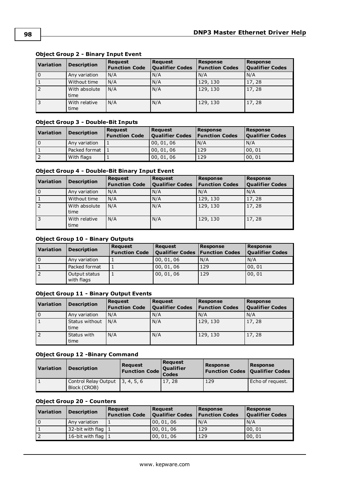| <b>Variation</b> | <b>Description</b>    | <b>Request</b><br><b>Function Code</b> | <b>Request</b><br><b>Qualifier Codes</b> | <b>Response</b><br><b>Function Codes</b> | <b>Response</b><br><b>Qualifier Codes</b> |
|------------------|-----------------------|----------------------------------------|------------------------------------------|------------------------------------------|-------------------------------------------|
| $\mathbf 0$      | Any variation         | N/A                                    | N/A                                      | N/A                                      | N/A                                       |
| $\mathbf{1}$     | Without time          | N/A                                    | N/A                                      | 129, 130                                 | 17, 28                                    |
| $\overline{2}$   | With absolute<br>time | N/A                                    | N/A                                      | 129, 130                                 | 17, 28                                    |
| 3                | With relative<br>time | N/A                                    | N/A                                      | 129, 130                                 | 17, 28                                    |

### **Object Group 2 - Binary Input Event**

### **Object Group 3 - Double-Bit Inputs**

| <b>Variation</b> | <b>Description</b> | <b>Request</b><br><b>Function Code</b> | <b>Request</b><br><b>Qualifier Codes</b> | Response<br><b>Function Codes</b> | Response<br><b>Qualifier Codes</b> |
|------------------|--------------------|----------------------------------------|------------------------------------------|-----------------------------------|------------------------------------|
| l 0              | Any variation      |                                        | 00, 01, 06                               | N/A                               | N/A                                |
|                  | Packed format      |                                        | 00, 01, 06                               | 129                               | 00,01                              |
|                  | With flags         |                                        | 00, 01, 06                               | 129                               | 00,01                              |

### **Object Group 4 - Double-Bit Binary Input Event**

| <b>Variation</b> | <b>Description</b>    | <b>Request</b><br><b>Function Code</b> | <b>Request</b><br><b>Qualifier Codes</b> | <b>Response</b><br><b>Function Codes</b> | <b>Response</b><br><b>Qualifier Codes</b> |
|------------------|-----------------------|----------------------------------------|------------------------------------------|------------------------------------------|-------------------------------------------|
| l o              | Any variation         | N/A                                    | N/A                                      | N/A                                      | N/A                                       |
|                  | Without time          | N/A                                    | N/A                                      | 129, 130                                 | 17, 28                                    |
| $\overline{2}$   | With absolute<br>time | N/A                                    | N/A                                      | 129, 130                                 | 17,28                                     |
| l 3              | With relative<br>time | N/A                                    | N/A                                      | 129, 130                                 | 17,28                                     |

### **Object Group 10 - Binary Outputs**

| Variation      | <b>Description</b>          | <b>Request</b><br><b>Function Code</b> | <b>Request</b><br><b>Qualifier Codes   Function Codes</b> | <b>Response</b> | Response<br><b>Qualifier Codes</b> |
|----------------|-----------------------------|----------------------------------------|-----------------------------------------------------------|-----------------|------------------------------------|
| l 0            | Any variation               |                                        | 00, 01, 06                                                | N/A             | I N/A                              |
|                | Packed format               | ъ.                                     | 00, 01, 06                                                | 129             | 00, 01                             |
| $\overline{2}$ | Output status<br>with flags |                                        | 00, 01, 06                                                | 129             | 00, 01                             |

### **Object Group 11 - Binary Output Events**

| Variation | <b>Description</b>                       | Request<br><b>Function Code</b> | <b>Request</b><br><b>Qualifier Codes</b> | Response<br><b>Function Codes</b> | <b>Response</b><br><b>Qualifier Codes</b> |
|-----------|------------------------------------------|---------------------------------|------------------------------------------|-----------------------------------|-------------------------------------------|
| 0         | Any variation                            | N/A                             | N/A                                      | N/A                               | N/A                                       |
|           | Status without $\vert N/A \vert$<br>time |                                 | N/A                                      | 129, 130                          | 17, 28                                    |
|           | Status with<br>time                      | N/A                             | N/A                                      | 129, 130                          | 17, 28                                    |

### **Object Group 12 -Binary Command**

| Variation | <b>Description</b>                                | <b>Request</b><br>Function Code Codes | <b>Request</b><br>Qualifier | Response<br><b>Function Codes   Qualifier Codes</b> | Response         |
|-----------|---------------------------------------------------|---------------------------------------|-----------------------------|-----------------------------------------------------|------------------|
|           | Control Relay Output   3, 4, 5, 6<br>Block (CROB) |                                       | 17,28                       | 129                                                 | Echo of request. |

### **Object Group 20 - Counters**

| <b>Variation</b> | <b>Description</b>    | <b>Request</b><br><b>Function Code</b> | <b>Request</b><br><b>Qualifier Codes</b> | Response<br><b>Function Codes</b> | Response<br><b>Qualifier Codes</b> |
|------------------|-----------------------|----------------------------------------|------------------------------------------|-----------------------------------|------------------------------------|
| . 0              | Any variation         |                                        | 00,01,06                                 | N/A                               | N/A                                |
|                  | 32-bit with flag $1$  |                                        | 00,01,06                                 | 129                               | 00.01                              |
|                  | 16-bit with flag $ 1$ |                                        | 00,01,06                                 | 129                               | 00, 01                             |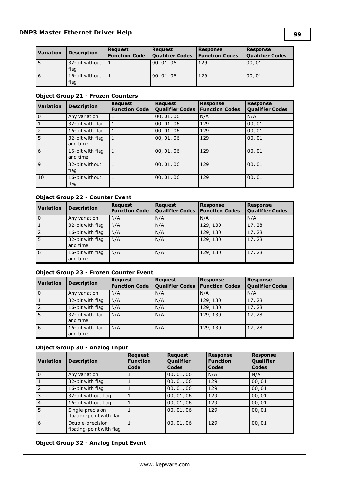| Variation    | <b>Description</b>     | <b>Request</b><br><b>Function Code</b> | <b>Request</b><br><b>Qualifier Codes</b> | <b>Response</b><br><b>Function Codes</b> | <b>Response</b><br><b>Qualifier Codes</b> |
|--------------|------------------------|----------------------------------------|------------------------------------------|------------------------------------------|-------------------------------------------|
| l 5          | 32-bit without<br>flag |                                        | 00, 01, 06                               | 129                                      | 00,01                                     |
| <sup>6</sup> | 16-bit without<br>flag |                                        | 00, 01, 06                               | 129                                      | 00,01                                     |

### **Object Group 21 - Frozen Counters**

| <b>Variation</b> | <b>Description</b>           | <b>Request</b><br><b>Function Code</b> | Request<br><b>Qualifier Codes</b> | <b>Response</b><br><b>Function Codes</b> | <b>Response</b><br><b>Qualifier Codes</b> |
|------------------|------------------------------|----------------------------------------|-----------------------------------|------------------------------------------|-------------------------------------------|
| l O              | Any variation                | 1                                      | 00, 01, 06                        | N/A                                      | N/A                                       |
|                  | 32-bit with flag             | 1                                      | 00, 01, 06                        | 129                                      | 00, 01                                    |
| 2                | 16-bit with flag             | 1                                      | 00, 01, 06                        | 129                                      | 00, 01                                    |
| 5                | 32-bit with flag<br>and time | 1                                      | 00, 01, 06                        | 129                                      | 00, 01                                    |
| 6                | 16-bit with flag<br>and time | $\mathbf{1}$                           | 00, 01, 06                        | 129                                      | 00,01                                     |
| 9                | 32-bit without<br>flag       | $\mathbf{1}$                           | 00, 01, 06                        | 129                                      | 00, 01                                    |
| 10               | 16-bit without<br>flag       | $\mathbf{1}$                           | 00, 01, 06                        | 129                                      | 00,01                                     |

### **Object Group 22 - Counter Event**

| <b>Variation</b> | <b>Description</b>           | <b>Request</b><br><b>Function Code</b> | <b>Request</b><br><b>Qualifier Codes</b> | <b>Response</b><br><b>Function Codes</b> | <b>Response</b><br><b>Qualifier Codes</b> |
|------------------|------------------------------|----------------------------------------|------------------------------------------|------------------------------------------|-------------------------------------------|
| $\Omega$         | Any variation                | N/A                                    | N/A                                      | N/A                                      | N/A                                       |
|                  | 32-bit with flag             | N/A                                    | N/A                                      | 129, 130                                 | 17, 28                                    |
|                  | 16-bit with flag             | N/A                                    | N/A                                      | 129, 130                                 | 17,28                                     |
|                  | 32-bit with flag<br>and time | N/A                                    | N/A                                      | 129, 130                                 | 17,28                                     |
| 6                | 16-bit with flag<br>and time | N/A                                    | N/A                                      | 129, 130                                 | 17, 28                                    |

### **Object Group 23 - Frozen Counter Event**

| <b>Variation</b> | <b>Description</b>           | <b>Request</b><br><b>Function Code</b> | <b>Request</b><br><b>Qualifier Codes</b> | <b>Response</b><br><b>Function Codes</b> | <b>Response</b><br><b>Qualifier Codes</b> |
|------------------|------------------------------|----------------------------------------|------------------------------------------|------------------------------------------|-------------------------------------------|
| l 0              | Any variation                | N/A                                    | N/A                                      | N/A                                      | N/A                                       |
|                  | 32-bit with flag             | N/A                                    | N/A                                      | 129, 130                                 | 17,28                                     |
| l 2              | 16-bit with flag             | N/A                                    | N/A                                      | 129, 130                                 | 17,28                                     |
| <b>5</b>         | 32-bit with flag<br>and time | N/A                                    | N/A                                      | 129, 130                                 | 17,28                                     |
| l 6              | 16-bit with flag<br>and time | N/A                                    | N/A                                      | 129, 130                                 | 17, 28                                    |

### **Object Group 30 - Analog Input**

| <b>Variation</b> | <b>Description</b>                           | <b>Request</b><br><b>Function</b><br>Code | <b>Request</b><br><b>Qualifier</b><br>Codes | <b>Response</b><br><b>Function</b><br>Codes | <b>Response</b><br><b>Qualifier</b><br>Codes |
|------------------|----------------------------------------------|-------------------------------------------|---------------------------------------------|---------------------------------------------|----------------------------------------------|
| l o              | Any variation                                |                                           | 00, 01, 06                                  | N/A                                         | N/A                                          |
| 1                | 32-bit with flag                             |                                           | 00, 01, 06                                  | 129                                         | 00, 01                                       |
| $\overline{2}$   | 16-bit with flag                             |                                           | 00, 01, 06                                  | 129                                         | 00, 01                                       |
| l 3              | 32-bit without flag                          |                                           | 00, 01, 06                                  | 129                                         | 00, 01                                       |
| $\vert 4$        | 16-bit without flag                          |                                           | 00, 01, 06                                  | 129                                         | 00, 01                                       |
| l 5              | Single-precision<br>floating-point with flag |                                           | 00, 01, 06                                  | 129                                         | 00, 01                                       |
| <sup>6</sup>     | Double-precision<br>floating-point with flag |                                           | 00, 01, 06                                  | 129                                         | 00, 01                                       |

### **Object Group 32 - Analog Input Event**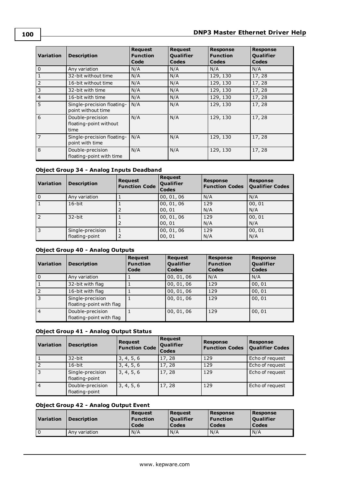| <b>Variation</b> | <b>Description</b>                                 | <b>Request</b><br><b>Function</b><br>Code | <b>Request</b><br><b>Qualifier</b><br><b>Codes</b> | <b>Response</b><br><b>Function</b><br>Codes | <b>Response</b><br><b>Qualifier</b><br>Codes |
|------------------|----------------------------------------------------|-------------------------------------------|----------------------------------------------------|---------------------------------------------|----------------------------------------------|
| 0                | Any variation                                      | N/A                                       | N/A                                                | N/A                                         | N/A                                          |
| 1                | 32-bit without time                                | N/A                                       | N/A                                                | 129, 130                                    | 17, 28                                       |
| $\vert$ 2        | 16-bit without time                                | N/A                                       | N/A                                                | 129, 130                                    | 17, 28                                       |
| 3                | 32-bit with time                                   | N/A                                       | N/A                                                | 129, 130                                    | 17, 28                                       |
| 4                | 16-bit with time                                   | N/A                                       | N/A                                                | 129, 130                                    | 17, 28                                       |
| 5                | Single-precision floating-<br>point without time   | N/A                                       | N/A                                                | 129, 130                                    | 17,28                                        |
| <sup>6</sup>     | Double-precision<br>floating-point without<br>time | N/A                                       | N/A                                                | 129, 130                                    | 17,28                                        |
| 7                | Single-precision floating-<br>point with time      | N/A                                       | N/A                                                | 129, 130                                    | 17,28                                        |
| l 8              | Double-precision<br>floating-point with time       | N/A                                       | N/A                                                | 129, 130                                    | 17,28                                        |

### **Object Group 34 - Analog Inputs Deadband**

| <i><b>Variation</b></i> | <b>Description</b>                 | <b>Request</b><br><b>Function Code</b> | <b>Request</b><br>Qualifier<br><b>Codes</b> | <b>Response</b><br><b>Function Codes</b> | <b>Response</b><br><b>Qualifier Codes</b> |
|-------------------------|------------------------------------|----------------------------------------|---------------------------------------------|------------------------------------------|-------------------------------------------|
| l O                     | Any variation                      |                                        | 00, 01, 06                                  | N/A                                      | N/A                                       |
|                         | $16$ -bit                          |                                        | 00, 01, 06<br>00, 01                        | 129<br>N/A                               | 00, 01<br>N/A                             |
| <sup>2</sup>            | $32$ -bit                          | 2                                      | 00, 01, 06<br>00, 01                        | 129<br>N/A                               | 00, 01<br>N/A                             |
| 3                       | Single-precision<br>floating-point | 2                                      | 00, 01, 06<br>00, 01                        | 129<br>N/A                               | 00, 01<br>N/A                             |

### **Object Group 40 - Analog Outputs**

| <b>Variation</b> | <b>Description</b>                           | <b>Request</b><br><b>Function</b><br>Code | <b>Request</b><br><b>Qualifier</b><br>Codes | <b>Response</b><br><b>Function</b><br>Codes | <b>Response</b><br><b>Qualifier</b><br><b>Codes</b> |
|------------------|----------------------------------------------|-------------------------------------------|---------------------------------------------|---------------------------------------------|-----------------------------------------------------|
| l o              | Any variation                                |                                           | 00, 01, 06                                  | N/A                                         | N/A                                                 |
| 1                | 32-bit with flag                             |                                           | 00, 01, 06                                  | 129                                         | 00, 01                                              |
| 2                | 16-bit with flag                             |                                           | 00, 01, 06                                  | 129                                         | 00, 01                                              |
| <sup>3</sup>     | Single-precision<br>floating-point with flag |                                           | 00, 01, 06                                  | 129                                         | 00, 01                                              |
| $\overline{4}$   | Double-precision<br>floating-point with flag |                                           | 00, 01, 06                                  | 129                                         | 00, 01                                              |

### **Object Group 41 - Analog Output Status**

| <i><b>Variation</b></i> | <b>Description</b>                 | <b>Request</b><br><b>Function Code</b> | <b>Request</b><br><b>Qualifier</b><br>Codes | <b>Response</b><br><b>Function Codes</b> | <b>Response</b><br><b>Qualifier Codes</b> |
|-------------------------|------------------------------------|----------------------------------------|---------------------------------------------|------------------------------------------|-------------------------------------------|
|                         | 32-bit                             | 3, 4, 5, 6                             | 17, 28                                      | 129                                      | Echo of request                           |
| $\overline{2}$          | $16$ -bit                          | 3, 4, 5, 6                             | 17,28                                       | 129                                      | Echo of request                           |
| $\overline{3}$          | Single-precision<br>floating-point | 3, 4, 5, 6                             | 17, 28                                      | 129                                      | Echo of request                           |
| 4                       | Double-precision<br>floating-point | 3, 4, 5, 6                             | 17, 28                                      | 129                                      | Echo of request                           |

### **Object Group 42 - Analog Output Event**

| Variation | <b>Description</b> | Reauest<br><b>Function</b><br>Code | <b>Reauest</b><br><b>Oualifier</b><br>Codes | <b>Response</b><br><b>Function</b><br>Codes | Response<br><b>Oualifier</b><br>Codes |
|-----------|--------------------|------------------------------------|---------------------------------------------|---------------------------------------------|---------------------------------------|
|           | Any variation      | N/A                                | N/A                                         | N/A                                         | N/A                                   |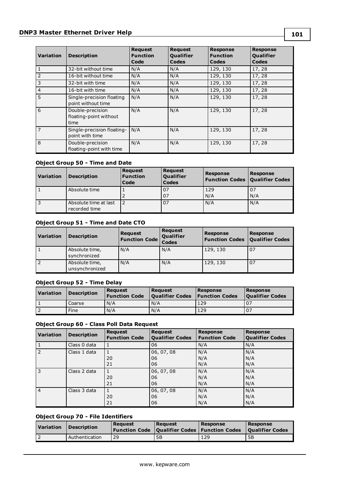### **DNP3 Master Ethernet Driver Help**

| <b>Variation</b> | <b>Description</b>                                 | <b>Request</b><br><b>Function</b><br>Code | <b>Request</b><br><b>Qualifier</b><br><b>Codes</b> | <b>Response</b><br><b>Function</b><br>Codes | <b>Response</b><br><b>Qualifier</b><br>Codes |
|------------------|----------------------------------------------------|-------------------------------------------|----------------------------------------------------|---------------------------------------------|----------------------------------------------|
| l 1              | 32-bit without time                                | N/A                                       | N/A                                                | 129, 130                                    | 17,28                                        |
| $\overline{2}$   | 16-bit without time                                | N/A                                       | N/A                                                | 129, 130                                    | 17,28                                        |
| 3                | 32-bit with time                                   | N/A                                       | N/A                                                | 129, 130                                    | 17,28                                        |
| 4                | 16-bit with time                                   | N/A                                       | N/A                                                | 129, 130                                    | 17,28                                        |
| l 5              | Single-precision floating<br>point without time    | N/A                                       | N/A                                                | 129, 130                                    | 17,28                                        |
| l 6              | Double-precision<br>floating-point without<br>time | N/A                                       | N/A                                                | 129, 130                                    | 17,28                                        |
| l 7              | Single-precision floating-<br>point with time      | N/A                                       | N/A                                                | 129, 130                                    | 17,28                                        |
| l 8              | Double-precision<br>floating-point with time       | N/A                                       | N/A                                                | 129, 130                                    | 17,28                                        |

### **Object Group 50 - Time and Date**

| Variation | <b>Description</b>                     | <b>Request</b><br><b>Function</b><br>Code | Request<br>Qualifier<br><b>Codes</b> | <b>Response</b><br><b>Function Codes   Qualifier Codes</b> | <b>Response</b> |
|-----------|----------------------------------------|-------------------------------------------|--------------------------------------|------------------------------------------------------------|-----------------|
|           | Absolute time                          |                                           | 07                                   | 129                                                        | 07              |
|           |                                        |                                           | 07                                   | N/A                                                        | N/A             |
| 3         | Absolute time at last<br>recorded time |                                           | 07                                   | N/A                                                        | N/A             |

### **Object Group 51 - Time and Date CTO**

| Variation | <b>Description</b>               | <b>Request</b><br><b>Function Code</b> | <b>Request</b><br>Qualifier<br><b>Codes</b> | <b>Response</b><br><b>Function Codes</b> | <b>Response</b><br><b>Qualifier Codes</b> |
|-----------|----------------------------------|----------------------------------------|---------------------------------------------|------------------------------------------|-------------------------------------------|
|           | Absolute time,<br>synchronized   | N/A                                    | N/A                                         | 129, 130                                 | 07                                        |
|           | Absolute time,<br>unsynchronized | N/A                                    | N/A                                         | 129, 130                                 | 07                                        |

### **Object Group 52 - Time Delay**

| Variation | <b>Description</b> | <b>Reauest</b><br><b>Function Code</b> | Reauest<br>Qualifier Codes   Function Codes | Response | Response<br><b>Oualifier Codes</b> |
|-----------|--------------------|----------------------------------------|---------------------------------------------|----------|------------------------------------|
|           | Coarse             | N/A                                    | N/A                                         | 129      |                                    |
|           | Fine               | N/A                                    | N/A                                         | 129      | 07                                 |

### **Object Group 60 - Class Poll Data Request**

| <i><b>Variation</b></i> | <b>Description</b> | <b>Request</b><br><b>Function Code</b> | <b>Request</b><br><b>Qualifier Codes</b> | <b>Response</b><br><b>Function Code</b> | <b>Response</b><br><b>Qualifier Codes</b> |
|-------------------------|--------------------|----------------------------------------|------------------------------------------|-----------------------------------------|-------------------------------------------|
|                         | Class 0 data       |                                        | 06                                       | N/A                                     | N/A                                       |
| 2                       | Class 1 data       | 20<br>21                               | 06, 07, 08<br>06<br>06                   | N/A<br>N/A<br>N/A                       | N/A<br>N/A<br>N/A                         |
| 3                       | Class 2 data       | 20<br>21                               | 06, 07, 08<br>06<br>06                   | N/A<br>N/A<br>N/A                       | N/A<br>N/A<br>N/A                         |
| $\vert$ 4               | Class 3 data       | 20<br>21                               | 06, 07, 08<br>06<br>06                   | N/A<br>N/A<br>N/A                       | N/A<br>N/A<br>N/A                         |

### **Object Group 70 - File Identifiers**

| Variation | <b>Description</b> | Reauest | Reauest | Response<br><b>Function Code   Qualifier Codes   Function Codes</b> | Response<br><b>Oualifier Codes</b> |
|-----------|--------------------|---------|---------|---------------------------------------------------------------------|------------------------------------|
|           | Authentication     | 29      | 5Β      | 129                                                                 | 5B                                 |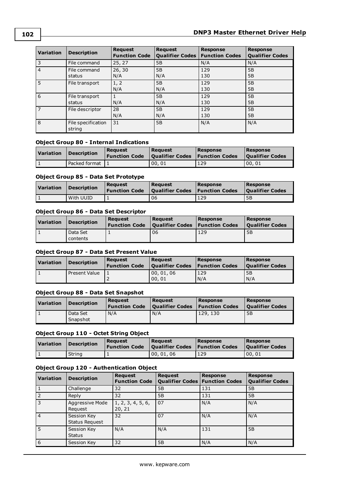| <b>Variation</b> | <b>Description</b>           | <b>Request</b><br><b>Function Code</b> | Request<br><b>Qualifier Codes</b> | <b>Response</b><br><b>Function Codes</b> | <b>Response</b><br><b>Qualifier Codes</b> |
|------------------|------------------------------|----------------------------------------|-----------------------------------|------------------------------------------|-------------------------------------------|
| 3                | File command                 | 25, 27                                 | 5B                                | N/A                                      | N/A                                       |
| $\overline{4}$   | File command<br>status       | 26, 30<br>N/A                          | 5B<br>N/A                         | 129<br>130                               | 5B<br>5B                                  |
| 5                | File transport               | 1, 2<br>N/A                            | 5B<br>N/A                         | 129<br>130                               | 5B<br>5B                                  |
| 6                | File transport<br>status     | N/A                                    | 5B<br>N/A                         | 129<br>130                               | 5B<br>5B                                  |
| $\overline{7}$   | File descriptor              | 28<br>N/A                              | 5B<br>N/A                         | 129<br>130                               | 5B<br>5B                                  |
| 8                | File specification<br>string | 31                                     | 5B                                | N/A                                      | N/A                                       |

### **Object Group 80 - Internal Indications**

| l Variation | <b>Description</b> | Reauest | Reauest<br><b>Function Code</b>   Qualifier Codes   Function Codes | Response | Response<br><b>Oualifier Codes</b> |
|-------------|--------------------|---------|--------------------------------------------------------------------|----------|------------------------------------|
|             | Packed format      |         | 00.01                                                              | 129      | 00.01                              |

### **Object Group 85 - Data Set Prototype**

| Variation | <b>Description</b> | Reauest<br><b>Function Code</b> | Reauest<br><b>Oualifier Codes Function Codes</b> | Response | Response<br><b>Oualifier Codes</b> |
|-----------|--------------------|---------------------------------|--------------------------------------------------|----------|------------------------------------|
|           | With UUID          |                                 | 06                                               | 129      | 5B                                 |

### **Object Group 86 - Data Set Descriptor**

| Variation | <b>Description</b>   | Reauest<br><b>Function Code</b> | Reauest<br><b>Qualifier Codes   Function Codes  </b> | Response | Response<br><b>Oualifier Codes</b> |
|-----------|----------------------|---------------------------------|------------------------------------------------------|----------|------------------------------------|
|           | Data Set<br>contents |                                 | 06                                                   | 129      | 5B                                 |

### **Object Group 87 - Data Set Present Value**

| Variation | <b>Description</b> | Reauest<br><b>Function Code</b> | Reauest<br><b>Qualifier Codes</b> | Response<br><b>Function Codes</b> | Response<br><b>Oualifier Codes</b> |
|-----------|--------------------|---------------------------------|-----------------------------------|-----------------------------------|------------------------------------|
|           | Present Value      |                                 | 00, 01, 06<br>00.01               | 129<br>N/A                        | 5B<br>N/A                          |

### **Object Group 88 - Data Set Snapshot**

| Variation | <b>Description</b>   | Reauest<br><b>Function Code</b> | Reauest<br><b>Qualifier Codes Function Codes</b> | Response | Response<br><b>Oualifier Codes</b> |
|-----------|----------------------|---------------------------------|--------------------------------------------------|----------|------------------------------------|
|           | Data Set<br>Snapshot | N/A                             | N/A                                              | 129, 130 | 5B                                 |

### **Object Group 110 - Octet String Object**

| Variation | Description | Reauest<br><b>Function Code</b> | Reauest<br><b>Oualifier Codes Function Codes</b> | Response | Response<br>  Oualifier Codes |
|-----------|-------------|---------------------------------|--------------------------------------------------|----------|-------------------------------|
|           | String      |                                 | 00.01.06                                         | 129      | 00.01                         |

### **Object Group 120 - Authentication Object**

| <i><b>Variation</b></i> | <b>Description</b>                   | <b>Request</b><br><b>Function Code</b> | <b>Request</b><br>Qualifier Codes   Function Codes | <b>Response</b> | <b>Response</b><br><b>Qualifier Codes</b> |
|-------------------------|--------------------------------------|----------------------------------------|----------------------------------------------------|-----------------|-------------------------------------------|
|                         | Challenge                            | 32                                     | 5B                                                 | 131             | 5B                                        |
|                         | Reply                                | 32                                     | 5B                                                 | 131             | 5B                                        |
| 3                       | Aggressive Mode<br>Request           | 1, 2, 3, 4, 5, 6,<br>20, 21            | l 07                                               | N/A             | N/A                                       |
| 4                       | Session Key<br><b>Status Request</b> | 32                                     | 07                                                 | N/A             | l N/A                                     |
| l 5                     | Session Key<br><b>Status</b>         | N/A                                    | N/A                                                | 131             | 5B                                        |
| 6                       | Session Key                          | 32                                     | 5B                                                 | N/A             | l N/A                                     |

**102**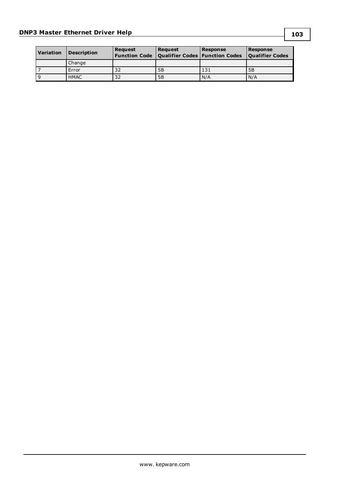| <b>Variation</b> | <b>Description</b> | Reauest | <b>Request</b><br><b>Function Code   Qualifier Codes   Function Codes</b> | <b>Response</b> | <b>Response</b><br><b>Qualifier Codes</b> |
|------------------|--------------------|---------|---------------------------------------------------------------------------|-----------------|-------------------------------------------|
|                  | Change             |         |                                                                           |                 |                                           |
|                  | Error              | 32      | 5B                                                                        | 131             | 5B                                        |
| 9                | <b>HMAC</b>        | 32      | 5B                                                                        | N/A             | N/A                                       |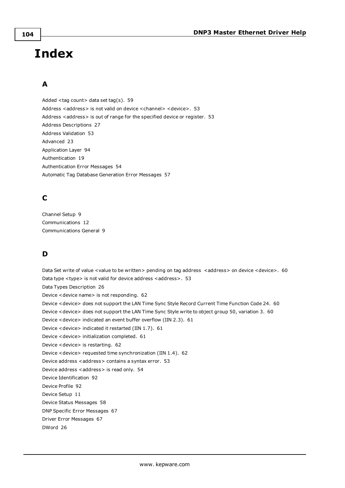# **Index**

# **A**

Added <tag count> data set tag(s). [59](#page-58-0) Address <address> is not valid on device <channel> <device>. [53](#page-52-0) Address <address> is out of range for the specified device or register. [53](#page-52-1) Address Descriptions [27](#page-26-0) Address Validation [53](#page-52-2) Advanced [23](#page-22-0) Application Layer [94](#page-93-0) Authentication [19](#page-18-0) Authentication Error Messages [54](#page-53-0) Automatic Tag Database Generation Error Messages [57](#page-56-0)

# **C**

Channel Setup [9](#page-8-0) Communications [12](#page-11-0) Communications General [9](#page-8-1)

# **D**

Data Set write of value <value to be written> pending on tag address <address> on device <device>. [60](#page-59-0) Data type <type> is not valid for device address <address>. [53](#page-52-3) Data Types Description [26](#page-25-0) Device <device name> is not responding. [62](#page-61-0) Device <device> does not support the LAN Time Sync Style Record Current Time Function Code 24. [60](#page-59-1) Device <device> does not support the LAN Time Sync Style write to object group 50, variation 3. [60](#page-59-2) Device <device> indicated an event buffer overflow (IIN 2.3). [61](#page-60-0) Device <device> indicated it restarted (IIN 1.7). [61](#page-60-1) Device <device> initialization completed. [61](#page-60-2) Device <device> is restarting. [62](#page-61-1) Device <device> requested time synchronization (IIN 1.4). [62](#page-61-2) Device address <address> contains a syntax error. [53](#page-52-4) Device address <address> is read only. [54](#page-53-1) Device Identification [92](#page-91-0) Device Profile [92](#page-91-1) Device Setup [11](#page-10-0) Device Status Messages [58](#page-57-0) DNP Specific Error Messages [67](#page-66-0) Driver Error Messages [67](#page-66-1) DWord [26](#page-25-1)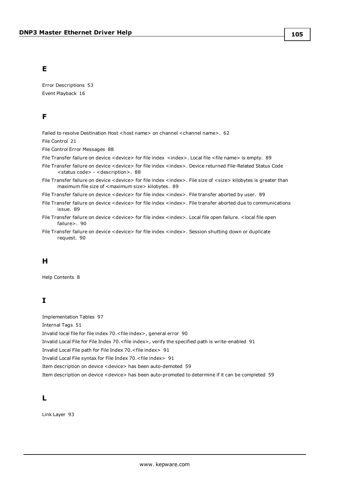### **E**

Error Descriptions [53](#page-52-5) Event Playback [16](#page-15-0)

### **F**

Failed to resolve Destination Host <host name> on channel <channel name>. [62](#page-61-3)

File Control [21](#page-20-0)

File Control Error Messages [88](#page-87-1)

File Transfer failure on device < device> for file index <index>. Local file <file name> is empty. [89](#page-88-3)

File Transfer failure on device < device> for file index <index>. Device returned File-Related Status Code <status code> - <description>. [88](#page-87-0)

File Transfer failure on device <device> for file index <index>. File size of <size> kilobytes is greater than maximum file size of <maximum size> kilobytes. [89](#page-88-0)

File Transfer failure on device <device> for file index <index>. File transfer aborted by user. [89](#page-88-1)

File Transfer failure on device <device> for file index <index>. File transfer aborted due to communications issue. [89](#page-88-2)

File Transfer failure on device <device> for file index <index>. Local file open failure. <local file open failure>. [90](#page-89-0)

File Transfer failure on device <device> for file index <index>. Session shutting down or duplicate request. [90](#page-89-1)

### **H**

Help Contents [8](#page-7-0)

## **I**

Implementation Tables [97](#page-96-0) Internal Tags [51](#page-50-0) Invalid local file for file index 70.<file index>, general error [90](#page-89-2) Invalid Local File for File Index 70.<file index>, verify the specified path is write-enabled [91](#page-90-0) Invalid Local File path for File Index 70.<file index> [91](#page-90-1) Invalid Local File syntax for File Index 70.<file index> [91](#page-90-2) Item description on device <device> has been auto-demoted [59](#page-58-1) Item description on device <device> has been auto-promoted to determine if it can be completed [59](#page-58-2)

### **L**

Link Layer [93](#page-92-0)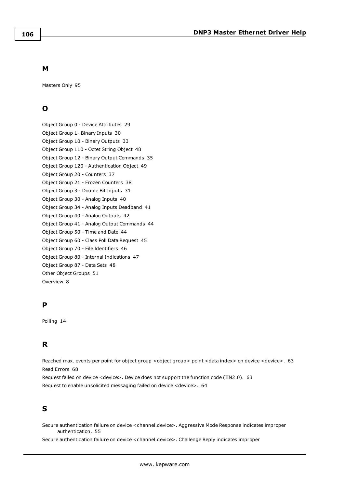### **M**

Masters Only [95](#page-94-0)

# **O**

Object Group 0 - Device Attributes [29](#page-28-0) Object Group 1- Binary Inputs [30](#page-29-0) Object Group 10 - Binary Outputs [33](#page-32-0) Object Group 110 - Octet String Object [48](#page-47-0) Object Group 12 - Binary Output Commands [35](#page-34-0) Object Group 120 - Authentication Object [49](#page-48-0) Object Group 20 - Counters [37](#page-36-0) Object Group 21 - Frozen Counters [38](#page-37-0) Object Group 3 - Double Bit Inputs [31](#page-30-0) Object Group 30 - Analog Inputs [40](#page-39-0) Object Group 34 - Analog Inputs Deadband [41](#page-40-0) Object Group 40 - Analog Outputs [42](#page-41-0) Object Group 41 - Analog Output Commands [44](#page-43-0) Object Group 50 - Time and Date [44](#page-43-1) Object Group 60 - Class Poll Data Request [45](#page-44-0) Object Group 70 - File Identifiers [46](#page-45-0) Object Group 80 - Internal Indications [47](#page-46-0) Object Group 87 - Data Sets [48](#page-47-1) Other Object Groups [51](#page-50-1) Overview [8](#page-7-1)

## **P**

Polling [14](#page-13-0)

## **R**

Reached max. events per point for object group < object group> point < data index> on device < device>. [63](#page-62-0) Read Errors [68](#page-67-0)

Request failed on device <device>. Device does not support the function code (IIN2.0). [63](#page-62-1) Request to enable unsolicited messaging failed on device <device>. [64](#page-63-0)

# **S**

Secure authentication failure on device <channel.device>. Aggressive Mode Response indicates improper authentication. [55](#page-54-0)

Secure authentication failure on device <channel.device>. Challenge Reply indicates improper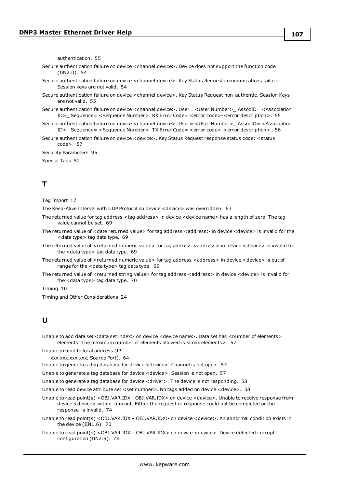authentication. [55](#page-54-1)

- Secure authentication failure on device <channel.device>. Device does not support the function code (IIN2.0). [54](#page-53-2)
- Secure authentication failure on device <channel.device>. Key Status Request communications failure. Session keys are not valid. [54](#page-53-3)
- Secure authentication failure on device <channel.device>. Key Status Request non-authentic. Session Keys are not valid. [55](#page-54-2)
- Secure authentication failure on device <channel.device>. User= <User Number>\_ AssocID= <Association ID>\_ Sequence= <Sequence Number>. RX Error Code= <error code>-<error description>. [55](#page-54-3)
- Secure authentication failure on device <channel.device>. User= <User Number>\_ AssocID= <Association ID>\_ Sequence= <Sequence Number>. TX Error Code= <error code>-<error description>. [56](#page-55-0)
- Secure authentication failure on device < device>. Key Status Request response status code: < status code>. [57](#page-56-1)

Security Parameters [95](#page-94-1)

Special Tags [52](#page-51-0)

# **T**

Tag Import [17](#page-16-0)

The Keep-Alive Interval with UDP Protocol on device <device> was overridden. [63](#page-62-2)

- The returned value for tag address <tag address> in device <device name> has a length of zero. The tag value cannot be set. [69](#page-68-0)
- The returned value of <date returned value> for tag address <address> in device <device> is invalid for the <data type> tag data type. [69](#page-68-1)
- The returned value of <returned numeric value> for tag address <address> in device <device> is invalid for the <data type> tag data type. [69](#page-68-2)
- The returned value of <returned numeric value> for tag address <address> in device <device> is out of range for the <data type> tag data type. [69](#page-68-3)
- The returned value of <returned string value> for tag address <address> in device <device> is invalid for the <data type> tag data type. [70](#page-69-0)

Timing [10](#page-9-0)

Timing and Other Considerations [24](#page-23-0)

### **U**

Unable to add data set <data set index> on device <device name>. Data set has <number of elements> elements. The maximum number of elements allowed is <max elements>. [57](#page-56-2)

Unable to bind to local address (IP

xxx.xxx.xxx.xxx, Source Port). [64](#page-63-1)

Unable to generate a tag database for device <device>. Channel is not open. [57](#page-56-3)

Unable to generate a tag database for device <device>. Session is not open. [57](#page-56-4)

Unable to generate a tag database for device <driver>. The device is not responding. [58](#page-57-1)

Unable to read device attribute set <set number>. No tags added on device <device>. [58](#page-57-2)

Unable to read point(s) <OBJ.VAR.IDX - OBJ.VAR.IDX> on device <device>. Unable to receive response from device <device> within timeout. Either the request or response could not be completed or the response is invalid. [74](#page-73-0)

Unable to read point(s) <OBJ.VAR.IDX – OBJ.VAR.IDX> on device <device>. An abnormal condition exists in the device (IIN1.6). [73](#page-72-0)

Unable to read point(s) <OBJ.VAR.IDX – OBJ.VAR.IDX> on device <device>. Device detected corrupt configuration (IIN2.5). [73](#page-72-1)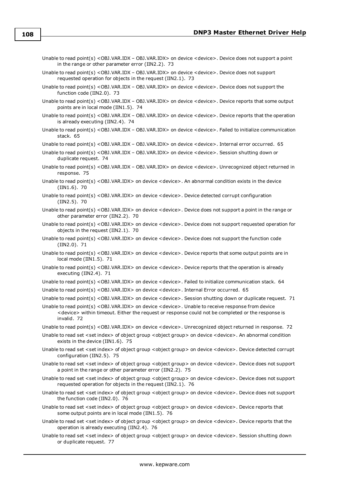- Unable to read point(s) <OBJ.VAR.IDX OBJ.VAR.IDX> on device <device>. Device does not support a point in the range or other parameter error (IIN2.2). [73](#page-72-2)
- Unable to read point(s) < OBJ.VAR.IDX OBJ.VAR.IDX > on device < device >. Device does not support requested operation for objects in the request (IIN2.1). [73](#page-72-3)
- Unable to read point(s) <OBJ.VAR.IDX OBJ.VAR.IDX> on device <device>. Device does not support the function code (IIN2.0). [73](#page-72-4)
- Unable to read point(s) <OBJ.VAR.IDX OBJ.VAR.IDX> on device <device>. Device reports that some output points are in local mode (IIN1.5). [74](#page-73-1)
- Unable to read point(s) <OBJ.VAR.IDX OBJ.VAR.IDX> on device <device>. Device reports that the operation is already executing (IIN2.4). [74](#page-73-2)
- Unable to read point(s) <OBJ.VAR.IDX OBJ.VAR.IDX> on device <device>. Failed to initialize communication stack. [65](#page-64-0)

Unable to read point(s) <OBJ.VAR.IDX – OBJ.VAR.IDX> on device <device>. Internal error occurred. [65](#page-64-1)

Unable to read point(s) <OBJ.VAR.IDX – OBJ.VAR.IDX> on device <device>. Session shutting down or duplicate request. [74](#page-73-3)

- Unable to read point(s) <OBJ.VAR.IDX OBJ.VAR.IDX> on device <device>. Unrecognized object returned in response. [75](#page-74-0)
- Unable to read point(s) <OBJ.VAR.IDX> on device <device>. An abnormal condition exists in the device (IIN1.6). [70](#page-69-1)
- Unable to read point(s) <OBJ.VAR.IDX> on device <device>. Device detected corrupt configuration (IIN2.5). [70](#page-69-2)
- Unable to read point(s) <OBJ.VAR.IDX> on device <device>. Device does not support a point in the range or other parameter error (IIN2.2). [70](#page-69-3)
- Unable to read point(s) <OBJ.VAR.IDX> on device <device>. Device does not support requested operation for objects in the request (IIN2.1). [70](#page-69-4)
- Unable to read point(s) <OBJ.VAR.IDX> on device <device>. Device does not support the function code (IIN2.0). [71](#page-70-0)
- Unable to read point(s) <OBJ.VAR.IDX> on device <device>. Device reports that some output points are in local mode (IIN1.5). [71](#page-70-1)
- Unable to read point(s) <OBJ.VAR.IDX> on device <device>. Device reports that the operation is already executing (IIN2.4). [71](#page-70-2)
- Unable to read point(s) <OBJ.VAR.IDX> on device <device>. Failed to initialize communication stack. [64](#page-63-2)
- Unable to read point(s) <OBJ.VAR.IDX> on device <device>. Internal Error occurred. [65](#page-64-2)
- Unable to read point(s) <OBJ.VAR.IDX> on device <device>. Session shutting down or duplicate request. [71](#page-70-3)
- Unable to read point(s) <OBJ.VAR.IDX> on device <device>. Unable to receive response from device <device> within timeout. Either the request or response could not be completed or the response is invalid. [72](#page-71-0)
- Unable to read point(s) <OBJ.VAR.IDX> on device <device>. Unrecognized object returned in response. [72](#page-71-1)
- Unable to read set <set index> of object group <object group> on device <device>. An abnormal condition exists in the device (IIN1.6). [75](#page-74-1)
- Unable to read set <set index> of object group <object group> on device <device>. Device detected corrupt configuration (IIN2.5). [75](#page-74-2)
- Unable to read set <set index> of object group <object group> on device <device>. Device does not support a point in the range or other parameter error (IIN2.2). [75](#page-74-3)
- Unable to read set <set index> of object group <object group> on device <device>. Device does not support requested operation for objects in the request (IIN2.1). [76](#page-75-0)
- Unable to read set <set index> of object group <object group> on device <device>. Device does not support the function code (IIN2.0). [76](#page-75-1)
- Unable to read set <set index> of object group <object group> on device <device>. Device reports that some output points are in local mode (IIN1.5). [76](#page-75-2)
- Unable to read set <set index> of object group <object group> on device <device>. Device reports that the operation is already executing (IIN2.4). [76](#page-75-3)
- Unable to read set <set index> of object group <object group> on device <device>. Session shutting down or duplicate request. [77](#page-76-0)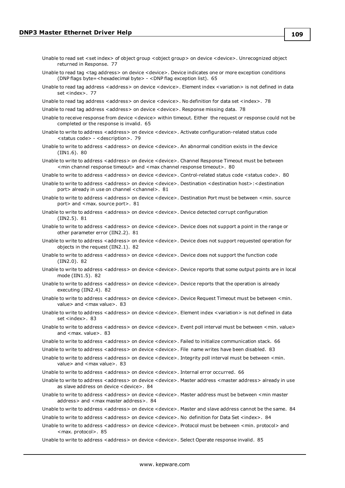- Unable to read set <set index> of object group <object group> on device <device>. Unrecognized object returned in Response. [77](#page-76-0)
- Unable to read tag <tag address> on device <device>. Device indicates one or more exception conditions (DNP flags byte=<hexadecimal byte> - <DNP flag exception list). [65](#page-64-0)
- Unable to read tag address <address> on device <device>. Element index <variation> is not defined in data set <index>. [77](#page-76-1)
- Unable to read tag address <address> on device <device>. No definition for data set <index>. [78](#page-77-0)
- Unable to read tag address <address> on device <device>. Response missing data. [78](#page-77-1)
- Unable to receive response from device <device> within timeout. Either the request or response could not be completed or the response is invalid. [65](#page-64-1)
- Unable to write to address <address> on device <device>. Activate configuration-related status code <status code> - <description>. [79](#page-78-0)
- Unable to write to address <address> on device <device>. An abnormal condition exists in the device (IIN1.6). [80](#page-79-0)
- Unable to write to address <address> on device <device>. Channel Response Timeout must be between <min channel response timeout> and <max channel response timeout>. [80](#page-79-1)
- Unable to write to address <address> on device <device>. Control-related status code <status code>. [80](#page-79-2)
- Unable to write to address <address> on device <device>. Destination <destination host>:<destination port> already in use on channel <channel>. [81](#page-80-0)
- Unable to write to address <address> on device <device>. Destination Port must be between <min. source port> and <max. source port>. [81](#page-80-1)
- Unable to write to address <address> on device <device>. Device detected corrupt configuration (IIN2.5). [81](#page-80-2)
- Unable to write to address <address> on device <device>. Device does not support a point in the range or other parameter error (IIN2.2). [81](#page-80-3)
- Unable to write to address <address> on device <device>. Device does not support requested operation for objects in the request (IIN2.1). [82](#page-81-0)
- Unable to write to address <address> on device <device>. Device does not support the function code (IIN2.0). [82](#page-81-1)
- Unable to write to address <address> on device <device>. Device reports that some output points are in local mode (IIN1.5). [82](#page-81-2)
- Unable to write to address <address> on device <device>. Device reports that the operation is already executing (IIN2.4). [82](#page-81-3)
- Unable to write to address <address> on device <device>. Device Request Timeout must be between <min. value> and <max value>. [83](#page-82-0)
- Unable to write to address <address> on device <device>. Element index <variation> is not defined in data set <index>. [83](#page-82-1)
- Unable to write to address <address> on device <device>. Event poll interval must be between <min. value> and <max. value>. [83](#page-82-2)
- Unable to write to address <address> on device <device>. Failed to initialize communication stack. [66](#page-65-0)
- Unable to write to address < address > on device < device >. File name writes have been disabled. [83](#page-82-3)
- Unable to write to address <address> on device <device>. Integrity poll interval must be between <min. value> and <max value>. [83](#page-82-4)
- Unable to write to address <address> on device <device>. Internal error occurred. [66](#page-65-1)
- Unable to write to address <address> on device <device>. Master address <master address> already in use as slave address on device <device>. [84](#page-83-0)
- Unable to write to address <address> on device <device>. Master address must be between <min master address> and <max master address>. [84](#page-83-1)
- Unable to write to address <address> on device <device>. Master and slave address cannot be the same. [84](#page-83-2)
- Unable to write to address <address> on device <device>. No definition for Data Set <index>. [84](#page-83-3)
- Unable to write to address <address> on device <device>. Protocol must be between <min. protocol> and <max. protocol>. [85](#page-84-0)
- Unable to write to address <address> on device <device>. Select Operate response invalid. [85](#page-84-1)